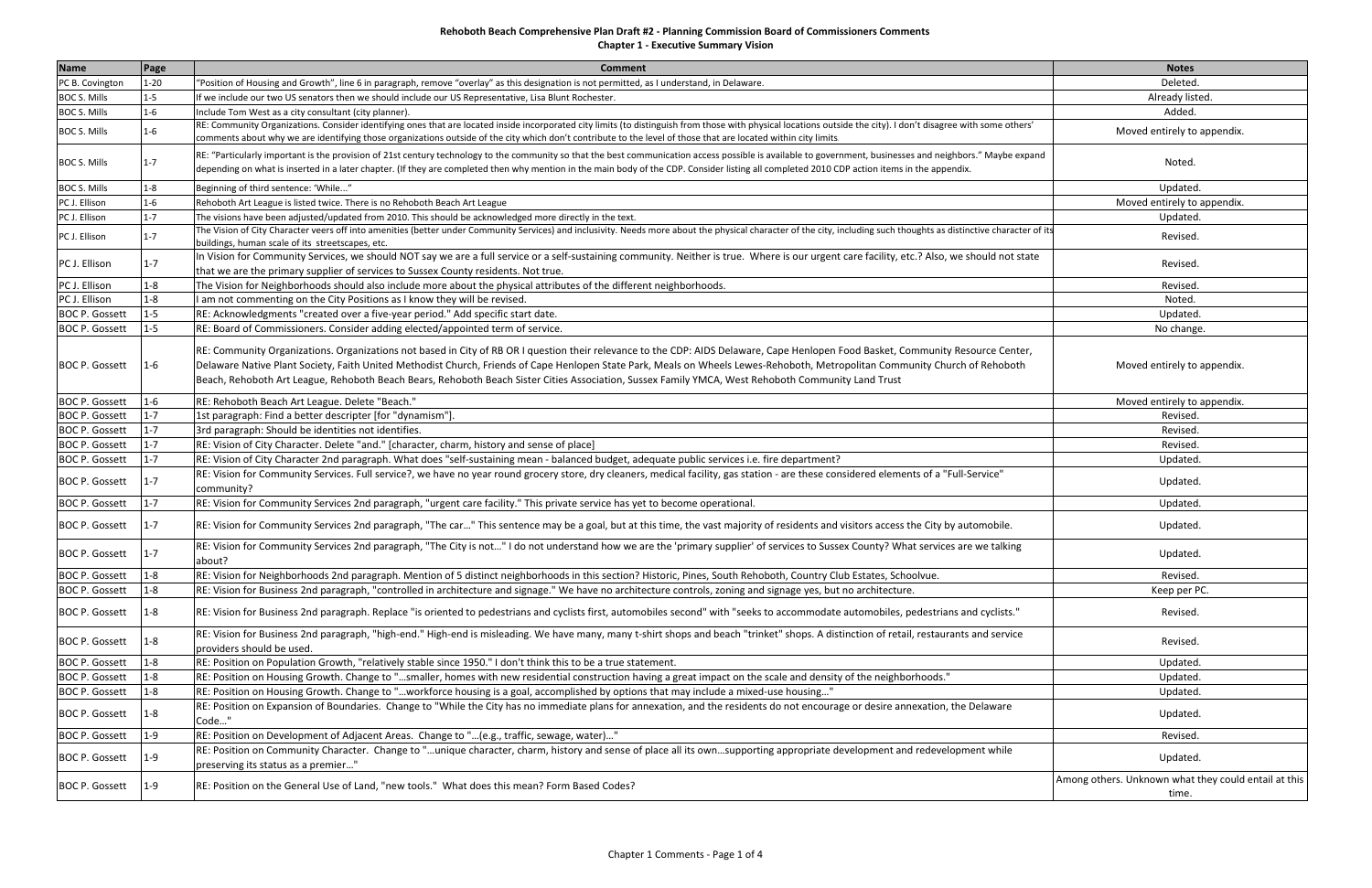**Chapter 1 ‐ Executive Summary Vision**

| <b>Name</b>           | Page     | <b>Comment</b>                                                                                                                                                                                                                                                                                                                                                                                                                                                                                                          | <b>Notes</b>                                                  |
|-----------------------|----------|-------------------------------------------------------------------------------------------------------------------------------------------------------------------------------------------------------------------------------------------------------------------------------------------------------------------------------------------------------------------------------------------------------------------------------------------------------------------------------------------------------------------------|---------------------------------------------------------------|
| PC B. Covington       | $1 - 20$ | 'Position of Housing and Growth", line 6 in paragraph, remove "overlay" as this designation is not permitted, as I understand, in Delaware.                                                                                                                                                                                                                                                                                                                                                                             | Deleted.                                                      |
| <b>BOC S. Mills</b>   | $1 - 5$  | If we include our two US senators then we should include our US Representative, Lisa Blunt Rochester.                                                                                                                                                                                                                                                                                                                                                                                                                   | Already listed.                                               |
| <b>BOC S. Mills</b>   | $1 - 6$  | Include Tom West as a city consultant (city planner).                                                                                                                                                                                                                                                                                                                                                                                                                                                                   | Added.                                                        |
| <b>BOC S. Mills</b>   | L-6      | RE: Community Organizations. Consider identifying ones that are located inside incorporated city limits (to distinguish from those with physical locations outside the city). I don't disagree with some others'<br>comments about why we are identifying those organizations outside of the city which don't contribute to the level of those that are located within city limits.                                                                                                                                     | Moved entirely to appendix.                                   |
| <b>BOC S. Mills</b>   | 1-7      | RE: "Particularly important is the provision of 21st century technology to the community so that the best communication access possible is available to government, businesses and neighbors." Maybe expand<br>depending on what is inserted in a later chapter. (If they are completed then why mention in the main body of the CDP. Consider listing all completed 2010 CDP action items in the appendix.                                                                                                             | Noted.                                                        |
| <b>BOC S. Mills</b>   | 1-8      | Beginning of third sentence: 'While"                                                                                                                                                                                                                                                                                                                                                                                                                                                                                    | Updated.                                                      |
| PC J. Ellison         | $1 - 6$  | Rehoboth Art League is listed twice. There is no Rehoboth Beach Art League                                                                                                                                                                                                                                                                                                                                                                                                                                              | Moved entirely to appendix.                                   |
| PC J. Ellison         | $1 - 7$  | The visions have been adjusted/updated from 2010. This should be acknowledged more directly in the text.                                                                                                                                                                                                                                                                                                                                                                                                                | Updated.                                                      |
| PC J. Ellison         | $1 - 7$  | The Vision of City Character veers off into amenities (better under Community Services) and inclusivity. Needs more about the physical character of the city, including such thoughts as distinctive character of its<br>buildings, human scale of its streetscapes, etc.                                                                                                                                                                                                                                               | Revised.                                                      |
| PC J. Ellison         | $1 - 7$  | In Vision for Community Services, we should NOT say we are a full service or a self-sustaining community. Neither is true. Where is our urgent care facility, etc.? Also, we should not state<br>that we are the primary supplier of services to Sussex County residents. Not true.                                                                                                                                                                                                                                     | Revised.                                                      |
| PC J. Ellison         | $1 - 8$  | The Vision for Neighborhoods should also include more about the physical attributes of the different neighborhoods.                                                                                                                                                                                                                                                                                                                                                                                                     | Revised.                                                      |
| PC J. Ellison         | $1 - 8$  | I am not commenting on the City Positions as I know they will be revised.                                                                                                                                                                                                                                                                                                                                                                                                                                               | Noted.                                                        |
| <b>BOC P. Gossett</b> | $1 - 5$  | RE: Acknowledgments "created over a five-year period." Add specific start date.                                                                                                                                                                                                                                                                                                                                                                                                                                         | Updated.                                                      |
| <b>BOC P. Gossett</b> | $1 - 5$  | RE: Board of Commissioners. Consider adding elected/appointed term of service.                                                                                                                                                                                                                                                                                                                                                                                                                                          | No change.                                                    |
| <b>BOC P. Gossett</b> | $1 - 6$  | RE: Community Organizations. Organizations not based in City of RB OR I question their relevance to the CDP: AIDS Delaware, Cape Henlopen Food Basket, Community Resource Center,<br>Delaware Native Plant Society, Faith United Methodist Church, Friends of Cape Henlopen State Park, Meals on Wheels Lewes-Rehoboth, Metropolitan Community Church of Rehoboth<br>Beach, Rehoboth Art League, Rehoboth Beach Bears, Rehoboth Beach Sister Cities Association, Sussex Family YMCA, West Rehoboth Community Land Trust | Moved entirely to appendix.                                   |
| <b>BOC P. Gossett</b> | $1 - 6$  | RE: Rehoboth Beach Art League. Delete "Beach."                                                                                                                                                                                                                                                                                                                                                                                                                                                                          | Moved entirely to appendix.                                   |
| <b>BOC P. Gossett</b> | $1 - 7$  | 1st paragraph: Find a better descripter [for "dynamism"]                                                                                                                                                                                                                                                                                                                                                                                                                                                                | Revised                                                       |
| <b>BOC P. Gossett</b> | $1 - 7$  | 3rd paragraph: Should be identities not identifies.                                                                                                                                                                                                                                                                                                                                                                                                                                                                     | Revised                                                       |
| <b>BOC P. Gossett</b> | $1 - 7$  | RE: Vision of City Character. Delete "and." [character, charm, history and sense of place]                                                                                                                                                                                                                                                                                                                                                                                                                              | Revised.                                                      |
| <b>BOC P. Gossett</b> | $1 - 7$  | RE: Vision of City Character 2nd paragraph. What does "self-sustaining mean - balanced budget, adequate public services i.e. fire department?                                                                                                                                                                                                                                                                                                                                                                           | Updated.                                                      |
| <b>BOC P. Gossett</b> | $1 - 7$  | RE: Vision for Community Services. Full service?, we have no year round grocery store, dry cleaners, medical facility, gas station - are these considered elements of a "Full-Service"<br>community?                                                                                                                                                                                                                                                                                                                    | Updated.                                                      |
| <b>BOC P. Gossett</b> | $1 - 7$  | RE: Vision for Community Services 2nd paragraph, "urgent care facility." This private service has yet to become operational.                                                                                                                                                                                                                                                                                                                                                                                            | Updated.                                                      |
| <b>BOC P. Gossett</b> | $1 - 7$  | RE: Vision for Community Services 2nd paragraph, "The car" This sentence may be a goal, but at this time, the vast majority of residents and visitors access the City by automobile.                                                                                                                                                                                                                                                                                                                                    | Updated.                                                      |
| <b>BOC P. Gossett</b> | $1 - 7$  | RE: Vision for Community Services 2nd paragraph, "The City is not" I do not understand how we are the 'primary supplier' of services to Sussex County? What services are we talking<br>about?                                                                                                                                                                                                                                                                                                                           | Updated.                                                      |
| <b>BOC P. Gossett</b> | $1 - 8$  | RE: Vision for Neighborhoods 2nd paragraph. Mention of 5 distinct neighborhoods in this section? Historic, Pines, South Rehoboth, Country Club Estates, Schoolvue.                                                                                                                                                                                                                                                                                                                                                      | Revised.                                                      |
| <b>BOC P. Gossett</b> | $1 - 8$  | RE: Vision for Business 2nd paragraph, "controlled in architecture and signage." We have no architecture controls, zoning and signage yes, but no architecture.                                                                                                                                                                                                                                                                                                                                                         | Keep per PC.                                                  |
| <b>BOC P. Gossett</b> | $1 - 8$  | RE: Vision for Business 2nd paragraph. Replace "is oriented to pedestrians and cyclists first, automobiles second" with "seeks to accommodate automobiles, pedestrians and cyclists."                                                                                                                                                                                                                                                                                                                                   | Revised.                                                      |
| <b>BOC P. Gossett</b> | $1 - 8$  | RE: Vision for Business 2nd paragraph, "high-end." High-end is misleading. We have many, many t-shirt shops and beach "trinket" shops. A distinction of retail, restaurants and service<br>providers should be used.                                                                                                                                                                                                                                                                                                    | Revised.                                                      |
| <b>BOC P. Gossett</b> | $1 - 8$  | RE: Position on Population Growth, "relatively stable since 1950." I don't think this to be a true statement.                                                                                                                                                                                                                                                                                                                                                                                                           | Updated.                                                      |
| <b>BOC P. Gossett</b> | $1 - 8$  | RE: Position on Housing Growth. Change to "smaller, homes with new residential construction having a great impact on the scale and density of the neighborhoods."                                                                                                                                                                                                                                                                                                                                                       | Updated.                                                      |
| <b>BOC P. Gossett</b> | $1 - 8$  | RE: Position on Housing Growth. Change to "workforce housing is a goal, accomplished by options that may include a mixed-use housing"                                                                                                                                                                                                                                                                                                                                                                                   | Updated.                                                      |
| <b>BOC P. Gossett</b> | $1 - 8$  | RE: Position on Expansion of Boundaries. Change to "While the City has no immediate plans for annexation, and the residents do not encourage or desire annexation, the Delaware<br>Code"                                                                                                                                                                                                                                                                                                                                | Updated.                                                      |
| <b>BOC P. Gossett</b> | $1 - 9$  | RE: Position on Development of Adjacent Areas. Change to "(e.g., traffic, sewage, water)"                                                                                                                                                                                                                                                                                                                                                                                                                               | Revised.                                                      |
| <b>BOC P. Gossett</b> | 1-9      | RE: Position on Community Character. Change to "unique character, charm, history and sense of place all its ownsupporting appropriate development and redevelopment while<br>preserving its status as a premier"                                                                                                                                                                                                                                                                                                        | Updated.                                                      |
| <b>BOC P. Gossett</b> | $1 - 9$  | RE: Position on the General Use of Land, "new tools." What does this mean? Form Based Codes?                                                                                                                                                                                                                                                                                                                                                                                                                            | Among others. Unknown what they could entail at this<br>time. |
|                       |          |                                                                                                                                                                                                                                                                                                                                                                                                                                                                                                                         |                                                               |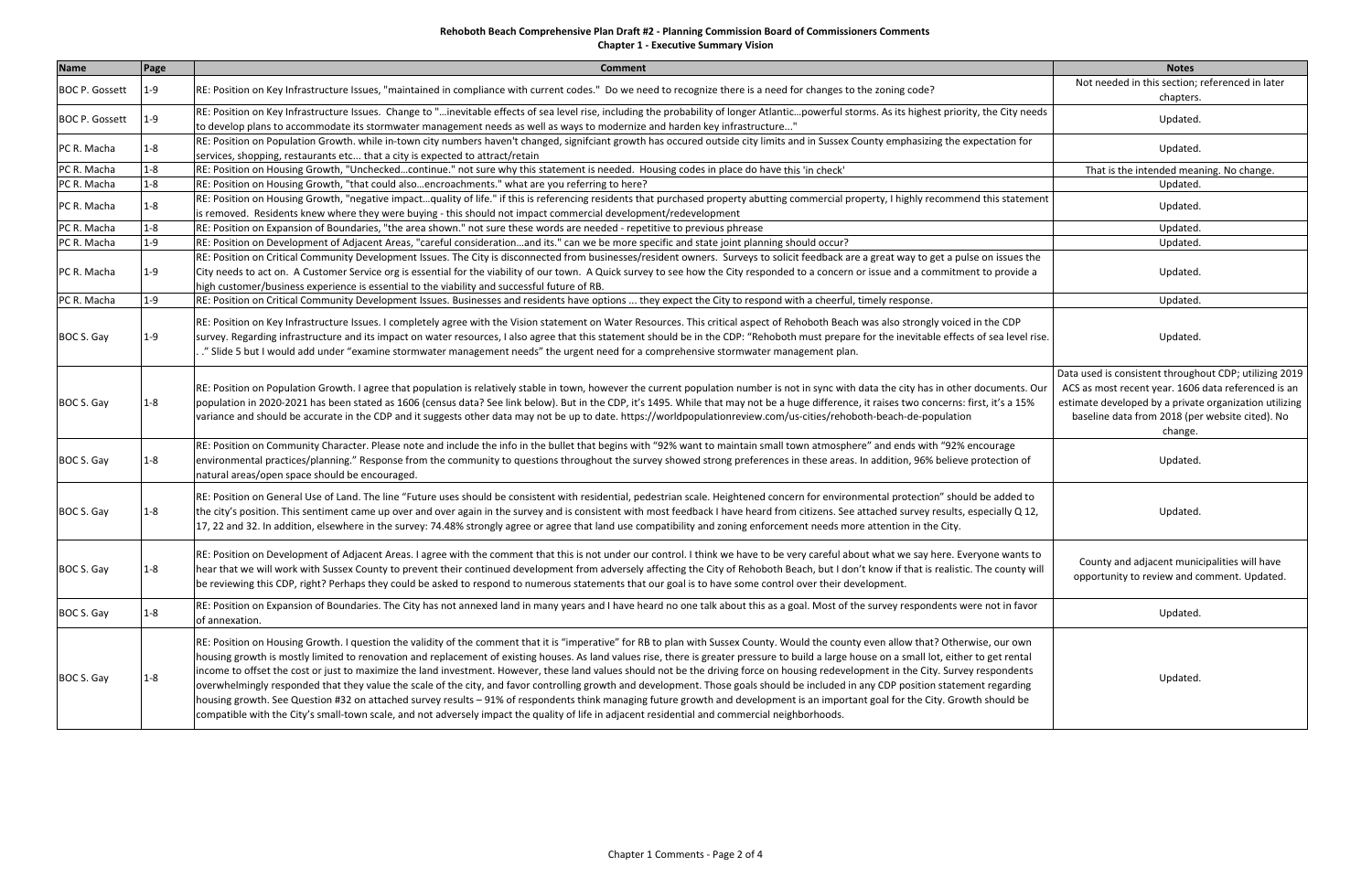**Chapter 1 ‐ Executive Summary Vision**

| <b>Name</b>           | Page    | <b>Comment</b>                                                                                                                                                                                                                                                                                                                                                                                                                                                                                                                                                                                                                                                                                                                                                                                                                                                                                                                                                                                                                                                                                                    | <b>Notes</b>                                                                                                                                                                                                                          |
|-----------------------|---------|-------------------------------------------------------------------------------------------------------------------------------------------------------------------------------------------------------------------------------------------------------------------------------------------------------------------------------------------------------------------------------------------------------------------------------------------------------------------------------------------------------------------------------------------------------------------------------------------------------------------------------------------------------------------------------------------------------------------------------------------------------------------------------------------------------------------------------------------------------------------------------------------------------------------------------------------------------------------------------------------------------------------------------------------------------------------------------------------------------------------|---------------------------------------------------------------------------------------------------------------------------------------------------------------------------------------------------------------------------------------|
| <b>BOC P. Gossett</b> | $1 - 9$ | RE: Position on Key Infrastructure Issues, "maintained in compliance with current codes." Do we need to recognize there is a need for changes to the zoning code?                                                                                                                                                                                                                                                                                                                                                                                                                                                                                                                                                                                                                                                                                                                                                                                                                                                                                                                                                 | Not needed in this section; referenced in later<br>chapters.                                                                                                                                                                          |
| <b>BOC P. Gossett</b> | 1-9     | RE: Position on Key Infrastructure Issues. Change to "inevitable effects of sea level rise, including the probability of longer Atlanticpowerful storms. As its highest priority, the City needs<br>to develop plans to accommodate its stormwater management needs as well as ways to modernize and harden key infrastructure"                                                                                                                                                                                                                                                                                                                                                                                                                                                                                                                                                                                                                                                                                                                                                                                   | Updated.                                                                                                                                                                                                                              |
| PC R. Macha           | 1-8     | RE: Position on Population Growth. while in-town city numbers haven't changed, signifciant growth has occured outside city limits and in Sussex County emphasizing the expectation for<br>services, shopping, restaurants etc that a city is expected to attract/retain                                                                                                                                                                                                                                                                                                                                                                                                                                                                                                                                                                                                                                                                                                                                                                                                                                           | Updated.                                                                                                                                                                                                                              |
| PC R. Macha           | $1 - 8$ | RE: Position on Housing Growth, "Uncheckedcontinue." not sure why this statement is needed. Housing codes in place do have this 'in check'                                                                                                                                                                                                                                                                                                                                                                                                                                                                                                                                                                                                                                                                                                                                                                                                                                                                                                                                                                        | That is the intended meaning. No change.                                                                                                                                                                                              |
| PC R. Macha           | $1 - 8$ | RE: Position on Housing Growth, "that could alsoencroachments." what are you referring to here?                                                                                                                                                                                                                                                                                                                                                                                                                                                                                                                                                                                                                                                                                                                                                                                                                                                                                                                                                                                                                   | Updated.                                                                                                                                                                                                                              |
| PC R. Macha           | $1 - 8$ | RE: Position on Housing Growth, "negative impactquality of life." if this is referencing residents that purchased property abutting commercial property, I highly recommend this statement<br>is removed. Residents knew where they were buying - this should not impact commercial development/redevelopment                                                                                                                                                                                                                                                                                                                                                                                                                                                                                                                                                                                                                                                                                                                                                                                                     | Updated.                                                                                                                                                                                                                              |
| PC R. Macha           | $1 - 8$ | RE: Position on Expansion of Boundaries, "the area shown." not sure these words are needed - repetitive to previous phrease                                                                                                                                                                                                                                                                                                                                                                                                                                                                                                                                                                                                                                                                                                                                                                                                                                                                                                                                                                                       | Updated.                                                                                                                                                                                                                              |
| PC R. Macha           | $1 - 9$ | RE: Position on Development of Adjacent Areas, "careful considerationand its." can we be more specific and state joint planning should occur?                                                                                                                                                                                                                                                                                                                                                                                                                                                                                                                                                                                                                                                                                                                                                                                                                                                                                                                                                                     | Updated.                                                                                                                                                                                                                              |
| PC R. Macha           | 1-9     | RE: Position on Critical Community Development Issues. The City is disconnected from businesses/resident owners. Surveys to solicit feedback are a great way to get a pulse on issues the<br>City needs to act on. A Customer Service org is essential for the viability of our town. A Quick survey to see how the City responded to a concern or issue and a commitment to provide a<br>high customer/business experience is essential to the viability and successful future of RB.                                                                                                                                                                                                                                                                                                                                                                                                                                                                                                                                                                                                                            | Updated.                                                                                                                                                                                                                              |
| PC R. Macha           | $1 - 9$ | RE: Position on Critical Community Development Issues. Businesses and residents have options  they expect the City to respond with a cheerful, timely response.                                                                                                                                                                                                                                                                                                                                                                                                                                                                                                                                                                                                                                                                                                                                                                                                                                                                                                                                                   | Updated.                                                                                                                                                                                                                              |
| BOC S. Gay            | 1-9     | RE: Position on Key Infrastructure Issues. I completely agree with the Vision statement on Water Resources. This critical aspect of Rehoboth Beach was also strongly voiced in the CDP<br>survey. Regarding infrastructure and its impact on water resources, I also agree that this statement should be in the CDP: "Rehoboth must prepare for the inevitable effects of sea level rise.<br>." Slide 5 but I would add under "examine stormwater management needs" the urgent need for a comprehensive stormwater management plan.                                                                                                                                                                                                                                                                                                                                                                                                                                                                                                                                                                               | Updated.                                                                                                                                                                                                                              |
| BOC S. Gay            | 1-8     | RE: Position on Population Growth. I agree that population is relatively stable in town, however the current population number is not in sync with data the city has in other documents. Our<br>population in 2020-2021 has been stated as 1606 (census data? See link below). But in the CDP, it's 1495. While that may not be a huge difference, it raises two concerns: first, it's a 15%<br>variance and should be accurate in the CDP and it suggests other data may not be up to date. https://worldpopulationreview.com/us-cities/rehoboth-beach-de-population                                                                                                                                                                                                                                                                                                                                                                                                                                                                                                                                             | Data used is consistent throughout CDP; utilizing 2019<br>ACS as most recent year. 1606 data referenced is an<br>estimate developed by a private organization utilizing<br>baseline data from 2018 (per website cited). No<br>change. |
| BOC S. Gay            | 1-8     | RE: Position on Community Character. Please note and include the info in the bullet that begins with "92% want to maintain small town atmosphere" and ends with "92% encourage<br>environmental practices/planning." Response from the community to questions throughout the survey showed strong preferences in these areas. In addition, 96% believe protection of<br>natural areas/open space should be encouraged.                                                                                                                                                                                                                                                                                                                                                                                                                                                                                                                                                                                                                                                                                            | Updated.                                                                                                                                                                                                                              |
| BOC S. Gay            | 1-8     | RE: Position on General Use of Land. The line "Future uses should be consistent with residential, pedestrian scale. Heightened concern for environmental protection" should be added to<br>the city's position. This sentiment came up over and over again in the survey and is consistent with most feedback I have heard from citizens. See attached survey results, especially Q 12,<br>17, 22 and 32. In addition, elsewhere in the survey: 74.48% strongly agree or agree that land use compatibility and zoning enforcement needs more attention in the City.                                                                                                                                                                                                                                                                                                                                                                                                                                                                                                                                               | Updated.                                                                                                                                                                                                                              |
| BOC S. Gay            | $1 - 8$ | RE: Position on Development of Adjacent Areas. I agree with the comment that this is not under our control. I think we have to be very careful about what we say here. Everyone wants to<br>hear that we will work with Sussex County to prevent their continued development from adversely affecting the City of Rehoboth Beach, but I don't know if that is realistic. The county will<br>be reviewing this CDP, right? Perhaps they could be asked to respond to numerous statements that our goal is to have some control over their development.                                                                                                                                                                                                                                                                                                                                                                                                                                                                                                                                                             | County and adjacent municipalities will have<br>opportunity to review and comment. Updated.                                                                                                                                           |
| BOC S. Gay            | $1 - 8$ | RE: Position on Expansion of Boundaries. The City has not annexed land in many years and I have heard no one talk about this as a goal. Most of the survey respondents were not in favor<br>of annexation.                                                                                                                                                                                                                                                                                                                                                                                                                                                                                                                                                                                                                                                                                                                                                                                                                                                                                                        | Updated.                                                                                                                                                                                                                              |
| BOC S. Gay            | 1-8     | RE: Position on Housing Growth. I question the validity of the comment that it is "imperative" for RB to plan with Sussex County. Would the county even allow that? Otherwise, our own<br>housing growth is mostly limited to renovation and replacement of existing houses. As land values rise, there is greater pressure to build a large house on a small lot, either to get rental<br>income to offset the cost or just to maximize the land investment. However, these land values should not be the driving force on housing redevelopment in the City. Survey respondents<br>overwhelmingly responded that they value the scale of the city, and favor controlling growth and development. Those goals should be included in any CDP position statement regarding<br>housing growth. See Question #32 on attached survey results - 91% of respondents think managing future growth and development is an important goal for the City. Growth should be<br>compatible with the City's small-town scale, and not adversely impact the quality of life in adjacent residential and commercial neighborhoods. | Updated.                                                                                                                                                                                                                              |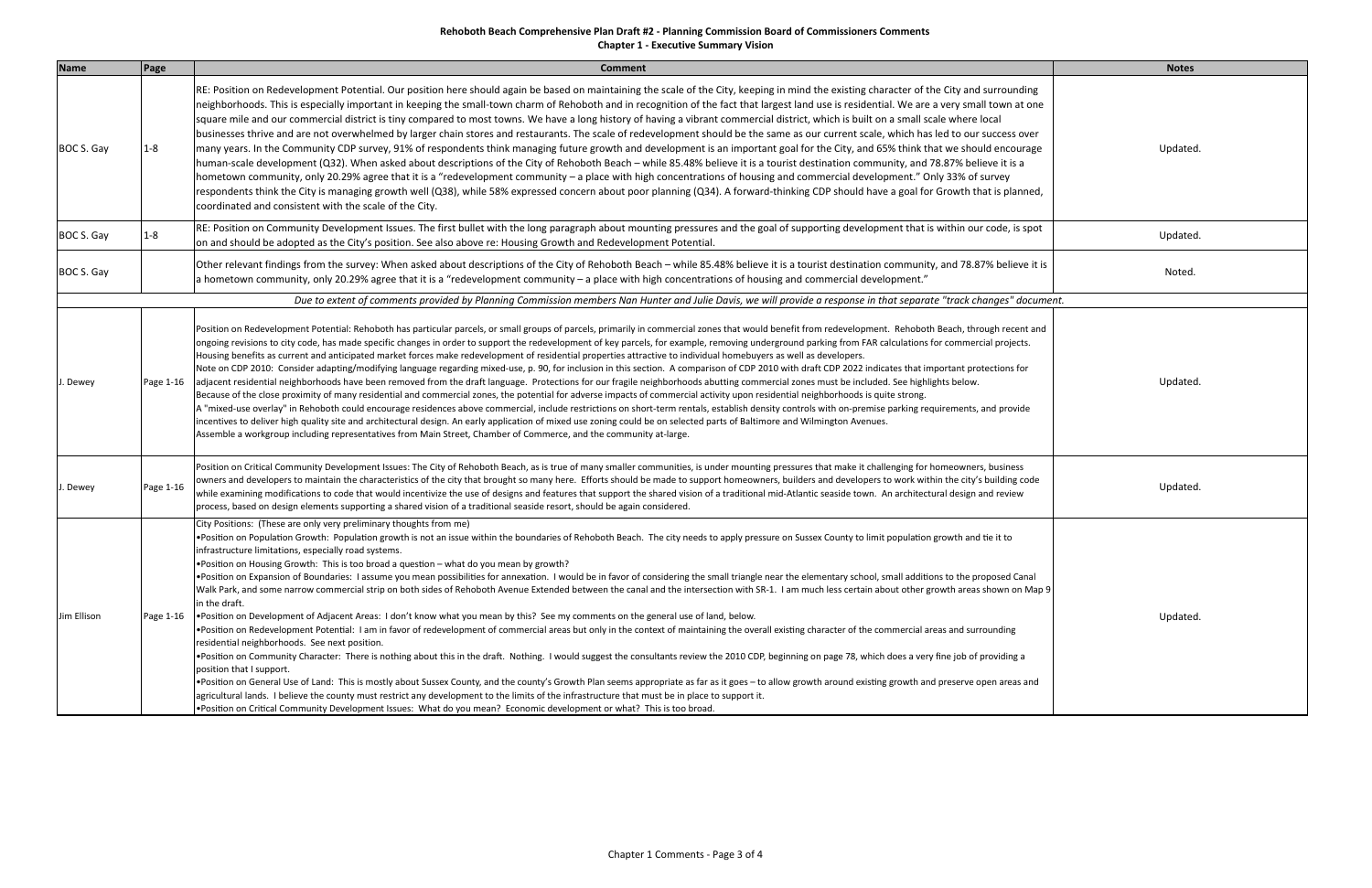## **Rehoboth Beach Comprehensive Plan Draft #2 ‐ Planning Commission Board of Commissioners Comments Chapter 1 ‐ Executive Summary Vision**

| <b>Name</b> | Page      | <b>Comment</b>                                                                                                                                                                                                                                                                                                                                                                                                                                                                                                                                                                                                                                                                                                                                                                                                                                                                                                                                                                                                                                                                                                                                                                                                                                                                                                                                                                                                                                                                                                                                                                                                                                                                                                                                                                                                                                                                                                                                                                                                           | <b>Notes</b> |
|-------------|-----------|--------------------------------------------------------------------------------------------------------------------------------------------------------------------------------------------------------------------------------------------------------------------------------------------------------------------------------------------------------------------------------------------------------------------------------------------------------------------------------------------------------------------------------------------------------------------------------------------------------------------------------------------------------------------------------------------------------------------------------------------------------------------------------------------------------------------------------------------------------------------------------------------------------------------------------------------------------------------------------------------------------------------------------------------------------------------------------------------------------------------------------------------------------------------------------------------------------------------------------------------------------------------------------------------------------------------------------------------------------------------------------------------------------------------------------------------------------------------------------------------------------------------------------------------------------------------------------------------------------------------------------------------------------------------------------------------------------------------------------------------------------------------------------------------------------------------------------------------------------------------------------------------------------------------------------------------------------------------------------------------------------------------------|--------------|
| BOC S. Gay  | $1 - 8$   | RE: Position on Redevelopment Potential. Our position here should again be based on maintaining the scale of the City, keeping in mind the existing character of the City and surrounding<br>neighborhoods. This is especially important in keeping the small-town charm of Rehoboth and in recognition of the fact that largest land use is residential. We are a very small town at one<br>square mile and our commercial district is tiny compared to most towns. We have a long history of having a vibrant commercial district, which is built on a small scale where local<br>businesses thrive and are not overwhelmed by larger chain stores and restaurants. The scale of redevelopment should be the same as our current scale, which has led to our success over<br>many years. In the Community CDP survey, 91% of respondents think managing future growth and development is an important goal for the City, and 65% think that we should encourage<br>human-scale development (Q32). When asked about descriptions of the City of Rehoboth Beach - while 85.48% believe it is a tourist destination community, and 78.87% believe it is a<br>hometown community, only 20.29% agree that it is a "redevelopment community – a place with high concentrations of housing and commercial development." Only 33% of survey<br>respondents think the City is managing growth well (Q38), while 58% expressed concern about poor planning (Q34). A forward-thinking CDP should have a goal for Growth that is planned,<br>coordinated and consistent with the scale of the City.                                                                                                                                                                                                                                                                                                                                                                                                                                | Updated      |
| BOC S. Gay  | $1 - 8$   | RE: Position on Community Development Issues. The first bullet with the long paragraph about mounting pressures and the goal of supporting development that is within our code, is spot<br>on and should be adopted as the City's position. See also above re: Housing Growth and Redevelopment Potential.                                                                                                                                                                                                                                                                                                                                                                                                                                                                                                                                                                                                                                                                                                                                                                                                                                                                                                                                                                                                                                                                                                                                                                                                                                                                                                                                                                                                                                                                                                                                                                                                                                                                                                               | Updated      |
| BOC S. Gay  |           | Other relevant findings from the survey: When asked about descriptions of the City of Rehoboth Beach - while 85.48% believe it is a tourist destination community, and 78.87% believe it is<br>a hometown community, only 20.29% agree that it is a "redevelopment community - a place with high concentrations of housing and commercial development."                                                                                                                                                                                                                                                                                                                                                                                                                                                                                                                                                                                                                                                                                                                                                                                                                                                                                                                                                                                                                                                                                                                                                                                                                                                                                                                                                                                                                                                                                                                                                                                                                                                                  | Noted.       |
|             |           | Due to extent of comments provided by Planning Commission members Nan Hunter and Julie Davis, we will provide a response in that separate "track changes" document.                                                                                                                                                                                                                                                                                                                                                                                                                                                                                                                                                                                                                                                                                                                                                                                                                                                                                                                                                                                                                                                                                                                                                                                                                                                                                                                                                                                                                                                                                                                                                                                                                                                                                                                                                                                                                                                      |              |
| J. Dewey    | Page 1-16 | Position on Redevelopment Potential: Rehoboth has particular parcels, or small groups of parcels, primarily in commercial zones that would benefit from redevelopment. Rehoboth Beach, through recent and<br>ongoing revisions to city code, has made specific changes in order to support the redevelopment of key parcels, for example, removing underground parking from FAR calculations for commercial projects.<br>Housing benefits as current and anticipated market forces make redevelopment of residential properties attractive to individual homebuyers as well as developers.<br>Note on CDP 2010: Consider adapting/modifying language regarding mixed-use, p. 90, for inclusion in this section. A comparison of CDP 2010 with draft CDP 2022 indicates that important protections for<br>adjacent residential neighborhoods have been removed from the draft language. Protections for our fragile neighborhoods abutting commercial zones must be included. See highlights below.<br>Because of the close proximity of many residential and commercial zones, the potential for adverse impacts of commercial activity upon residential neighborhoods is quite strong.<br>A "mixed-use overlay" in Rehoboth could encourage residences above commercial, include restrictions on short-term rentals, establish density controls with on-premise parking requirements, and provide<br>incentives to deliver high quality site and architectural design. An early application of mixed use zoning could be on selected parts of Baltimore and Wilmington Avenues.<br>Assemble a workgroup including representatives from Main Street, Chamber of Commerce, and the community at-large.                                                                                                                                                                                                                                                                                                                    | Updated      |
| I. Dewey    | Page 1-16 | Position on Critical Community Development Issues: The City of Rehoboth Beach, as is true of many smaller communities, is under mounting pressures that make it challenging for homeowners, business<br>owners and developers to maintain the characteristics of the city that brought so many here. Efforts should be made to support homeowners, builders and developers to work within the city's building code<br>while examining modifications to code that would incentivize the use of designs and features that support the shared vision of a traditional mid-Atlantic seaside town. An architectural design and review<br>process, based on design elements supporting a shared vision of a traditional seaside resort, should be again considered.                                                                                                                                                                                                                                                                                                                                                                                                                                                                                                                                                                                                                                                                                                                                                                                                                                                                                                                                                                                                                                                                                                                                                                                                                                                            | Updated      |
| Jim Ellison | Page 1-16 | City Positions: (These are only very preliminary thoughts from me)<br>. Position on Population Growth: Population growth is not an issue within the boundaries of Rehoboth Beach. The city needs to apply pressure on Sussex County to limit population growth and tie it to<br>infrastructure limitations, especially road systems.<br>• Position on Housing Growth: This is too broad a question - what do you mean by growth?<br>. Position on Expansion of Boundaries: I assume you mean possibilities for annexation. I would be in favor of considering the small triangle near the elementary school, small additions to the proposed Canal<br>Walk Park, and some narrow commercial strip on both sides of Rehoboth Avenue Extended between the canal and the intersection with SR-1. I am much less certain about other growth areas shown on Map 9<br>in the draft.<br>• Position on Development of Adjacent Areas: I don't know what you mean by this? See my comments on the general use of land, below.<br>. Position on Redevelopment Potential: I am in favor of redevelopment of commercial areas but only in the context of maintaining the overall existing character of the commercial areas and surrounding<br>residential neighborhoods. See next position.<br>. Position on Community Character: There is nothing about this in the draft. Nothing. I would suggest the consultants review the 2010 CDP, beginning on page 78, which does a very fine job of providing a<br>position that I support.<br>. Position on General Use of Land: This is mostly about Sussex County, and the county's Growth Plan seems appropriate as far as it goes - to allow growth around existing growth and preserve open areas and<br>agricultural lands. I believe the county must restrict any development to the limits of the infrastructure that must be in place to support it.<br>. Position on Critical Community Development Issues: What do you mean? Economic development or what? This is too broad. | Updated      |

| <b>Notes</b> |
|--------------|
|              |
| Updated.     |
|              |
| Updated.     |
| Noted.       |
| " document.  |
|              |
| Updated.     |
|              |
| Updated.     |
|              |
|              |
| Updated.     |
|              |
|              |
|              |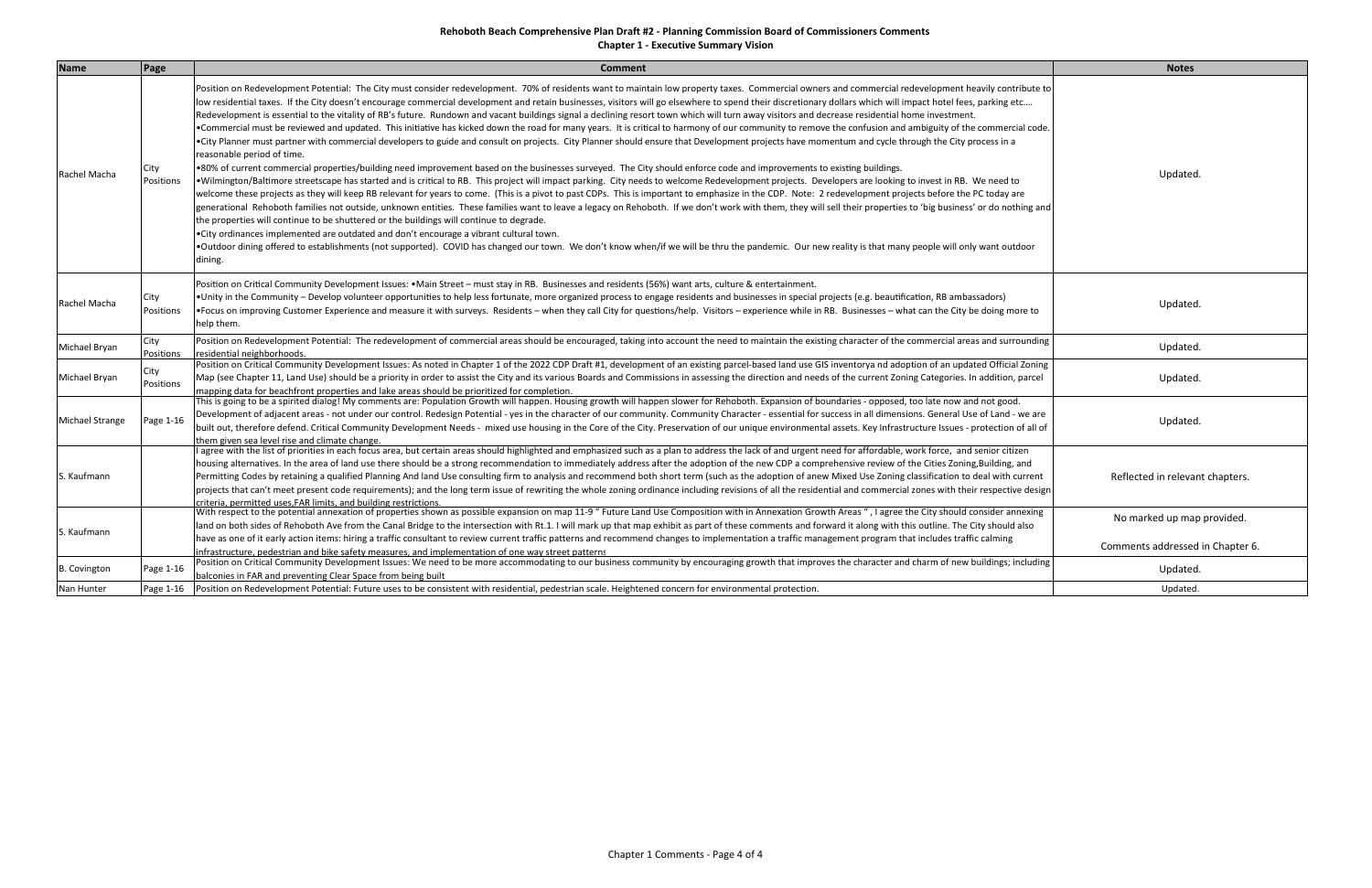**Chapter 1 ‐ Executive Summary Vision**

| <b>Name</b>            | Page              | <b>Comment</b>                                                                                                                                                                                                                                                                                                                                                                                                                                                                                                                                                                                                                                                                                                                                                                                                                                                                                                                                                                                                                                                                                                                                                                                                                                                                                                                                                                                                                                                                                                                                                                                                                                                                                                                                                                                                                                                                                                                                                                                                                                                                                                                                                                                                                                                                                                | <b>Notes</b>                                                   |
|------------------------|-------------------|---------------------------------------------------------------------------------------------------------------------------------------------------------------------------------------------------------------------------------------------------------------------------------------------------------------------------------------------------------------------------------------------------------------------------------------------------------------------------------------------------------------------------------------------------------------------------------------------------------------------------------------------------------------------------------------------------------------------------------------------------------------------------------------------------------------------------------------------------------------------------------------------------------------------------------------------------------------------------------------------------------------------------------------------------------------------------------------------------------------------------------------------------------------------------------------------------------------------------------------------------------------------------------------------------------------------------------------------------------------------------------------------------------------------------------------------------------------------------------------------------------------------------------------------------------------------------------------------------------------------------------------------------------------------------------------------------------------------------------------------------------------------------------------------------------------------------------------------------------------------------------------------------------------------------------------------------------------------------------------------------------------------------------------------------------------------------------------------------------------------------------------------------------------------------------------------------------------------------------------------------------------------------------------------------------------|----------------------------------------------------------------|
| Rachel Macha           | City<br>Positions | Position on Redevelopment Potential: The City must consider redevelopment. 70% of residents want to maintain low property taxes. Commercial owners and commercial redevelopment heavily contribute to<br>low residential taxes. If the City doesn't encourage commercial development and retain businesses, visitors will go elsewhere to spend their discretionary dollars which will impact hotel fees, parking etc<br>Redevelopment is essential to the vitality of RB's future. Rundown and vacant buildings signal a declining resort town which will turn away visitors and decrease residential home investment.<br>. Commercial must be reviewed and updated. This initiative has kicked down the road for many years. It is critical to harmony of our community to remove the confusion and ambiguity of the commercial code.<br>. City Planner must partner with commercial developers to guide and consult on projects. City Planner should ensure that Development projects have momentum and cycle through the City process in a<br>reasonable period of time.<br>.80% of current commercial properties/building need improvement based on the businesses surveyed. The City should enforce code and improvements to existing buildings.<br>. Wilmington/Baltimore streetscape has started and is critical to RB. This project will impact parking. City needs to welcome Redevelopment projects. Developers are looking to invest in RB. We need to<br>welcome these projects as they will keep RB relevant for years to come. (This is a pivot to past CDPs. This is important to emphasize in the CDP. Note: 2 redevelopment projects before the PC today are<br>generational Rehoboth families not outside, unknown entities. These families want to leave a legacy on Rehoboth. If we don't work with them, they will sell their properties to 'big business' or do nothing and<br>the properties will continue to be shuttered or the buildings will continue to degrade.<br>• City ordinances implemented are outdated and don't encourage a vibrant cultural town.<br>. Outdoor dining offered to establishments (not supported). COVID has changed our town. We don't know when/if we will be thru the pandemic. Our new reality is that many people will only want outdoor<br>dining. | Updated.                                                       |
| Rachel Macha           | City<br>Positions | Position on Critical Community Development Issues: •Main Street - must stay in RB. Businesses and residents (56%) want arts, culture & entertainment.<br>• Unity in the Community – Develop volunteer opportunities to help less fortunate, more organized process to engage residents and businesses in special projects (e.g. beautification, RB ambassadors)<br>•Focus on improving Customer Experience and measure it with surveys. Residents – when they call City for questions/help. Visitors – experience while in RB. Businesses – what can the City be doing more to<br>help them.                                                                                                                                                                                                                                                                                                                                                                                                                                                                                                                                                                                                                                                                                                                                                                                                                                                                                                                                                                                                                                                                                                                                                                                                                                                                                                                                                                                                                                                                                                                                                                                                                                                                                                                  | Updated.                                                       |
| Michael Bryan          | City<br>Positions | Position on Redevelopment Potential: The redevelopment of commercial areas should be encouraged, taking into account the need to maintain the existing character of the commercial areas and surrounding<br>esidential neighborhoods.                                                                                                                                                                                                                                                                                                                                                                                                                                                                                                                                                                                                                                                                                                                                                                                                                                                                                                                                                                                                                                                                                                                                                                                                                                                                                                                                                                                                                                                                                                                                                                                                                                                                                                                                                                                                                                                                                                                                                                                                                                                                         | Updated.                                                       |
| Michael Bryan          | City<br>Positions | Position on Critical Community Development Issues: As noted in Chapter 1 of the 2022 CDP Draft #1, development of an existing parcel-based land use GIS inventorya nd adoption of an updated Official Zoning<br>Map (see Chapter 11, Land Use) should be a priority in order to assist the City and its various Boards and Commissions in assessing the direction and needs of the current Zoning Categories. In addition, parcel<br>mapping data for beachfront properties and lake areas should be prioritized for completion.                                                                                                                                                                                                                                                                                                                                                                                                                                                                                                                                                                                                                                                                                                                                                                                                                                                                                                                                                                                                                                                                                                                                                                                                                                                                                                                                                                                                                                                                                                                                                                                                                                                                                                                                                                              | Updated.                                                       |
| <b>Michael Strange</b> | Page 1-16         | This is going to be a spirited dialog! My comments are: Population Growth will happen. Housing growth will happen slower for Rehoboth. Expansion of boundaries - opposed, too late now and not good.<br>Development of adjacent areas - not under our control. Redesign Potential - yes in the character of our community. Community Character - essential for success in all dimensions. General Use of Land - we are<br>built out, therefore defend. Critical Community Development Needs - mixed use housing in the Core of the City. Preservation of our unique environmental assets. Key Infrastructure Issues - protection of all of<br>hem given sea level rise and climate change.                                                                                                                                                                                                                                                                                                                                                                                                                                                                                                                                                                                                                                                                                                                                                                                                                                                                                                                                                                                                                                                                                                                                                                                                                                                                                                                                                                                                                                                                                                                                                                                                                    | Updated.                                                       |
| S. Kaufmann            |                   | agree with the list of priorities in each focus area, but certain areas should highlighted and emphasized such as a plan to address the lack of and urgent need for affordable, work force, and senior citizen<br>nousing alternatives. In the area of land use there should be a strong recommendation to immediately address after the adoption of the new CDP a comprehensive review of the Cities Zoning, Building, and<br>Permitting Codes by retaining a qualified Planning And land Use consulting firm to analysis and recommend both short term (such as the adoption of anew Mixed Use Zoning classification to deal with current<br>projects that can't meet present code requirements); and the long term issue of rewriting the whole zoning ordinance including revisions of all the residential and commercial zones with their respective design<br>riteria, permitted uses.FAR limits, and building restrictions                                                                                                                                                                                                                                                                                                                                                                                                                                                                                                                                                                                                                                                                                                                                                                                                                                                                                                                                                                                                                                                                                                                                                                                                                                                                                                                                                                             | Reflected in relevant chapters.                                |
| . Kaufmann             |                   | With respect to the potential annexation of properties shown as possible expansion on map 11-9 " Future Land Use Composition with in Annexation Growth Areas ", I agree the City should consider annexing<br>land on both sides of Rehoboth Ave from the Canal Bridge to the intersection with Rt.1. I will mark up that map exhibit as part of these comments and forward it along with this outline. The City should also<br>have as one of it early action items: hiring a traffic consultant to review current traffic patterns and recommend changes to implementation a traffic management program that includes traffic calming                                                                                                                                                                                                                                                                                                                                                                                                                                                                                                                                                                                                                                                                                                                                                                                                                                                                                                                                                                                                                                                                                                                                                                                                                                                                                                                                                                                                                                                                                                                                                                                                                                                                        | No marked up map provided.<br>Comments addressed in Chapter 6. |
| <b>B.</b> Covington    | Page 1-16         | nfrastructure, pedestrian and bike safety measures, and implementation of one way street patterns<br>Position on Critical Community Development Issues: We need to be more accommodating to our business community by encouraging growth that improves the character and charm of new buildings; including<br>palconies in FAR and preventing Clear Space from being built                                                                                                                                                                                                                                                                                                                                                                                                                                                                                                                                                                                                                                                                                                                                                                                                                                                                                                                                                                                                                                                                                                                                                                                                                                                                                                                                                                                                                                                                                                                                                                                                                                                                                                                                                                                                                                                                                                                                    | Updated.                                                       |
| Nan Hunter             | Page 1-16         | Position on Redevelopment Potential: Future uses to be consistent with residential, pedestrian scale. Heightened concern for environmental protection.                                                                                                                                                                                                                                                                                                                                                                                                                                                                                                                                                                                                                                                                                                                                                                                                                                                                                                                                                                                                                                                                                                                                                                                                                                                                                                                                                                                                                                                                                                                                                                                                                                                                                                                                                                                                                                                                                                                                                                                                                                                                                                                                                        | Updated.                                                       |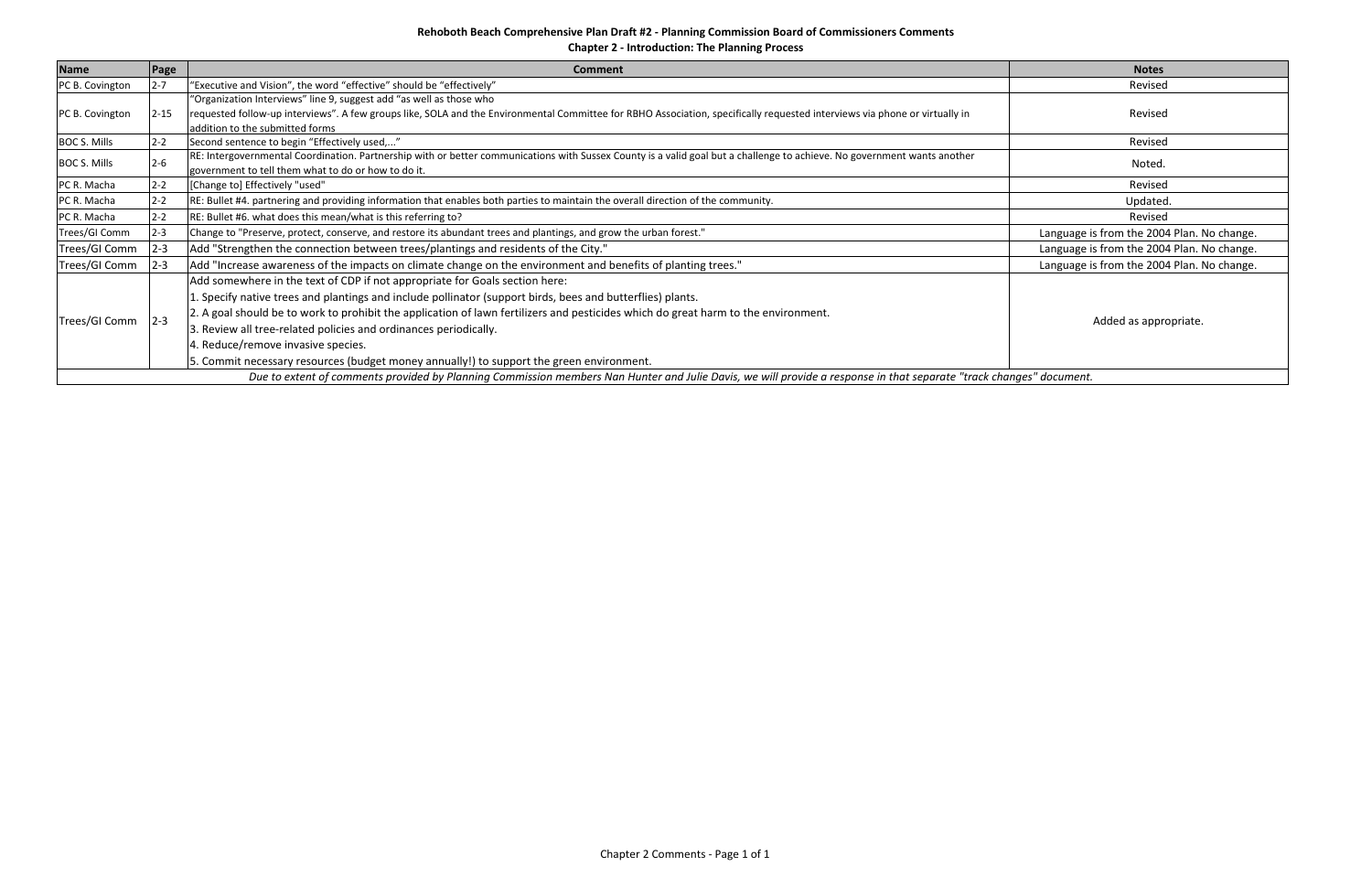**Chapter 2 ‐ Introduction: The Planning Process**

| <b>Name</b>         | Page                                                                                                                                                                | <b>Comment</b>                                                                                                                                                             | <b>Notes</b>                               |  |  |
|---------------------|---------------------------------------------------------------------------------------------------------------------------------------------------------------------|----------------------------------------------------------------------------------------------------------------------------------------------------------------------------|--------------------------------------------|--|--|
| PC B. Covington     | $2 - 7$                                                                                                                                                             | "Executive and Vision", the word "effective" should be "effectively"                                                                                                       | Revised                                    |  |  |
|                     |                                                                                                                                                                     | "Organization Interviews" line 9, suggest add "as well as those who                                                                                                        |                                            |  |  |
| PC B. Covington     | $2 - 15$                                                                                                                                                            | requested follow-up interviews". A few groups like, SOLA and the Environmental Committee for RBHO Association, specifically requested interviews via phone or virtually in | Revised                                    |  |  |
|                     |                                                                                                                                                                     | addition to the submitted forms                                                                                                                                            |                                            |  |  |
| <b>BOC S. Mills</b> | $2 - 2$                                                                                                                                                             | Second sentence to begin "Effectively used,"                                                                                                                               | Revised                                    |  |  |
| <b>BOC S. Mills</b> | $2 - 6$                                                                                                                                                             | RE: Intergovernmental Coordination. Partnership with or better communications with Sussex County is a valid goal but a challenge to achieve. No government wants another   | Noted.                                     |  |  |
|                     |                                                                                                                                                                     | government to tell them what to do or how to do it.                                                                                                                        |                                            |  |  |
| PC R. Macha         | $2 - 2$                                                                                                                                                             | [Change to] Effectively "used"                                                                                                                                             | Revised                                    |  |  |
| PC R. Macha         | $2 - 2$                                                                                                                                                             | RE: Bullet #4. partnering and providing information that enables both parties to maintain the overall direction of the community.                                          | Updated.                                   |  |  |
| PC R. Macha         | $2 - 2$                                                                                                                                                             | RE: Bullet #6. what does this mean/what is this referring to?                                                                                                              | Revised                                    |  |  |
| Trees/GI Comm       | $2 - 3$                                                                                                                                                             | Change to "Preserve, protect, conserve, and restore its abundant trees and plantings, and grow the urban forest."                                                          | Language is from the 2004 Plan. No change. |  |  |
| Trees/GI Comm       | $2 - 3$                                                                                                                                                             | Add "Strengthen the connection between trees/plantings and residents of the City."                                                                                         | Language is from the 2004 Plan. No change. |  |  |
| Trees/GI Comm       | $2 - 3$                                                                                                                                                             | Add "Increase awareness of the impacts on climate change on the environment and benefits of planting trees."                                                               | Language is from the 2004 Plan. No change. |  |  |
|                     |                                                                                                                                                                     | Add somewhere in the text of CDP if not appropriate for Goals section here:                                                                                                |                                            |  |  |
|                     |                                                                                                                                                                     | 1. Specify native trees and plantings and include pollinator (support birds, bees and butterflies) plants.                                                                 |                                            |  |  |
|                     | $2 - 3$                                                                                                                                                             | 2. A goal should be to work to prohibit the application of lawn fertilizers and pesticides which do great harm to the environment.                                         |                                            |  |  |
| Trees/GI Comm       |                                                                                                                                                                     | 3. Review all tree-related policies and ordinances periodically.                                                                                                           | Added as appropriate.                      |  |  |
|                     |                                                                                                                                                                     | 4. Reduce/remove invasive species.                                                                                                                                         |                                            |  |  |
|                     |                                                                                                                                                                     | 5. Commit necessary resources (budget money annually!) to support the green environment.                                                                                   |                                            |  |  |
|                     | Due to extent of comments provided by Planning Commission members Nan Hunter and Julie Davis, we will provide a response in that separate "track changes" document. |                                                                                                                                                                            |                                            |  |  |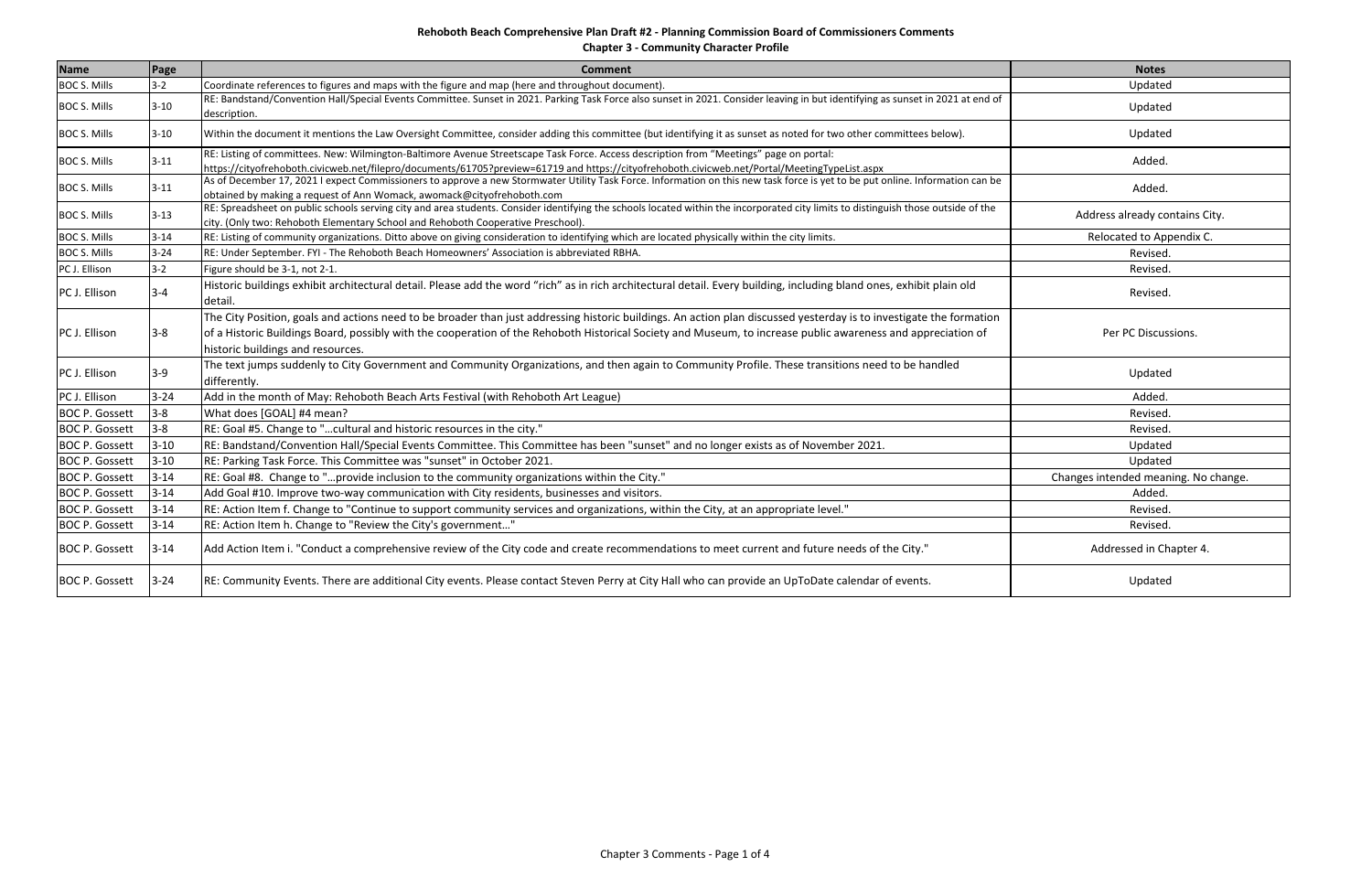**Chapter 3 ‐ Community Character Profile**

| <b>Name</b>           | Page     | <b>Comment</b>                                                                                                                                                                                                                                                                                                                                                           | <b>Notes</b>                         |
|-----------------------|----------|--------------------------------------------------------------------------------------------------------------------------------------------------------------------------------------------------------------------------------------------------------------------------------------------------------------------------------------------------------------------------|--------------------------------------|
| <b>BOC S. Mills</b>   | $3-2$    | Coordinate references to figures and maps with the figure and map (here and throughout document).                                                                                                                                                                                                                                                                        | Updated                              |
| <b>BOC S. Mills</b>   | $3 - 10$ | RE: Bandstand/Convention Hall/Special Events Committee. Sunset in 2021. Parking Task Force also sunset in 2021. Consider leaving in but identifying as sunset in 2021 at end of<br>description.                                                                                                                                                                          | Updated                              |
| <b>BOC S. Mills</b>   | $3 - 10$ | Within the document it mentions the Law Oversight Committee, consider adding this committee (but identifying it as sunset as noted for two other committees below).                                                                                                                                                                                                      | Updated                              |
| <b>BOC S. Mills</b>   | $3 - 11$ | RE: Listing of committees. New: Wilmington-Baltimore Avenue Streetscape Task Force. Access description from "Meetings" page on portal:<br>https://cityofrehoboth.civicweb.net/filepro/documents/61705?preview=61719 and https://cityofrehoboth.civicweb.net/Portal/MeetingTypeList.aspx                                                                                  | Added.                               |
| <b>BOC S. Mills</b>   | $3 - 11$ | As of December 17, 2021 I expect Commissioners to approve a new Stormwater Utility Task Force. Information on this new task force is yet to be put online. Information can be<br>obtained by making a request of Ann Womack, awomack@cityofrehoboth.com                                                                                                                  | Added.                               |
| <b>BOC S. Mills</b>   | $3 - 13$ | RE: Spreadsheet on public schools serving city and area students. Consider identifying the schools located within the incorporated city limits to distinguish those outside of the<br>city. (Only two: Rehoboth Elementary School and Rehoboth Cooperative Preschool).                                                                                                   | Address already contains City.       |
| <b>BOC S. Mills</b>   | $3 - 14$ | RE: Listing of community organizations. Ditto above on giving consideration to identifying which are located physically within the city limits.                                                                                                                                                                                                                          | Relocated to Appendix C.             |
| <b>BOC S. Mills</b>   | $3 - 24$ | RE: Under September. FYI - The Rehoboth Beach Homeowners' Association is abbreviated RBHA.                                                                                                                                                                                                                                                                               | Revised.                             |
| PC J. Ellison         | $3-2$    | Figure should be 3-1, not 2-1.                                                                                                                                                                                                                                                                                                                                           | Revised.                             |
| PC J. Ellison         | $3 - 4$  | Historic buildings exhibit architectural detail. Please add the word "rich" as in rich architectural detail. Every building, including bland ones, exhibit plain old<br>detail.                                                                                                                                                                                          | Revised.                             |
| PC J. Ellison         | $3 - 8$  | The City Position, goals and actions need to be broader than just addressing historic buildings. An action plan discussed yesterday is to investigate the formation<br>of a Historic Buildings Board, possibly with the cooperation of the Rehoboth Historical Society and Museum, to increase public awareness and appreciation of<br>historic buildings and resources. | Per PC Discussions.                  |
| PC J. Ellison         | $3 - 9$  | The text jumps suddenly to City Government and Community Organizations, and then again to Community Profile. These transitions need to be handled<br>differently.                                                                                                                                                                                                        | Updated                              |
| PC J. Ellison         | $3 - 24$ | Add in the month of May: Rehoboth Beach Arts Festival (with Rehoboth Art League)                                                                                                                                                                                                                                                                                         | Added.                               |
| <b>BOC P. Gossett</b> | $3 - 8$  | What does [GOAL] #4 mean?                                                                                                                                                                                                                                                                                                                                                | Revised.                             |
| <b>BOC P. Gossett</b> | $3 - 8$  | RE: Goal #5. Change to "cultural and historic resources in the city."                                                                                                                                                                                                                                                                                                    | Revised.                             |
| <b>BOC P. Gossett</b> | $3 - 10$ | RE: Bandstand/Convention Hall/Special Events Committee. This Committee has been "sunset" and no longer exists as of November 2021.                                                                                                                                                                                                                                       | Updated                              |
| <b>BOC P. Gossett</b> | $3 - 10$ | RE: Parking Task Force. This Committee was "sunset" in October 2021.                                                                                                                                                                                                                                                                                                     | Updated                              |
| <b>BOC P. Gossett</b> | $3 - 14$ | RE: Goal #8. Change to "provide inclusion to the community organizations within the City."                                                                                                                                                                                                                                                                               | Changes intended meaning. No change. |
| <b>BOC P. Gossett</b> | $3 - 14$ | Add Goal #10. Improve two-way communication with City residents, businesses and visitors.                                                                                                                                                                                                                                                                                | Added.                               |
| <b>BOC P. Gossett</b> | $3 - 14$ | RE: Action Item f. Change to "Continue to support community services and organizations, within the City, at an appropriate level."                                                                                                                                                                                                                                       | Revised.                             |
| <b>BOC P. Gossett</b> | $3 - 14$ | RE: Action Item h. Change to "Review the City's government"                                                                                                                                                                                                                                                                                                              | Revised.                             |
| <b>BOC P. Gossett</b> | $3 - 14$ | Add Action Item i. "Conduct a comprehensive review of the City code and create recommendations to meet current and future needs of the City."                                                                                                                                                                                                                            | Addressed in Chapter 4.              |
| <b>BOC P. Gossett</b> | $3 - 24$ | RE: Community Events. There are additional City events. Please contact Steven Perry at City Hall who can provide an UpToDate calendar of events.                                                                                                                                                                                                                         | Updated                              |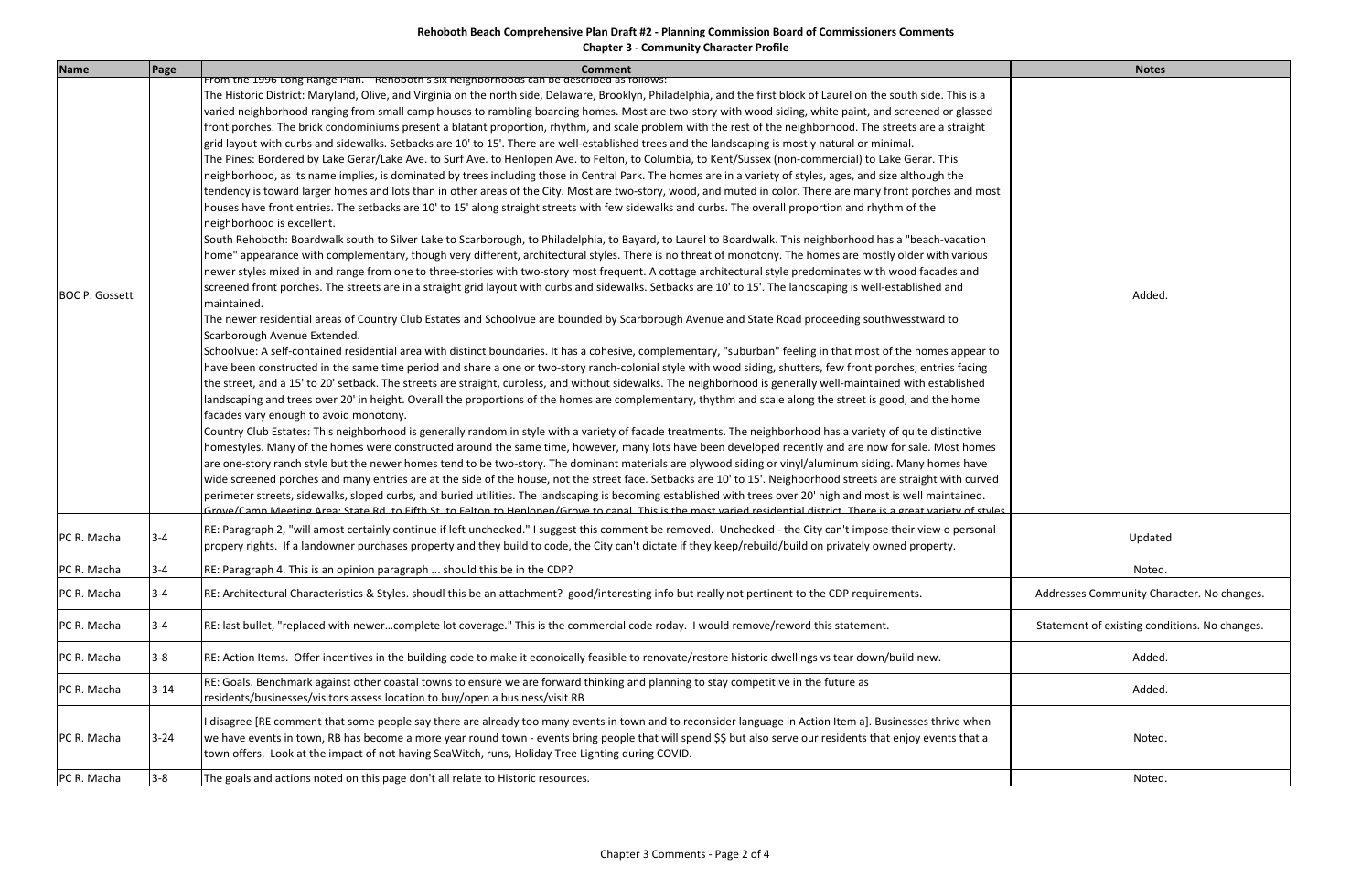# **Rehoboth Beach Comprehensive Plan Draft #2 ‐ Planning Commission Board of Commissioners Comments Chapter 3 ‐ Community Character Profile**

| <b>Name</b>           | Page     | <b>Comment</b>                                                                                                                                                                                                                                                                                                                                                                                                                                                                                                                                                                                                                                                                                                                                                                                                                                                                                                                                                                                                                                                                                                                                                                                                                                                                                                                                                                                                                                                                                                                                                                                                                                                                                                                                                                                                                                                                                                                                                                                                                                                                                                                                                                                                                                                                                                                                                                                                                                                                                                                                                                                                                                                                                                                                                                                                                                                                                                                                                                                                                                                                                                                                                                                                                                                                                                                                                                                                                                                                                                                                                                                                                                                                                                                                                                                                                                                                                                                                                                                                | <b>Notes</b>                                  |
|-----------------------|----------|---------------------------------------------------------------------------------------------------------------------------------------------------------------------------------------------------------------------------------------------------------------------------------------------------------------------------------------------------------------------------------------------------------------------------------------------------------------------------------------------------------------------------------------------------------------------------------------------------------------------------------------------------------------------------------------------------------------------------------------------------------------------------------------------------------------------------------------------------------------------------------------------------------------------------------------------------------------------------------------------------------------------------------------------------------------------------------------------------------------------------------------------------------------------------------------------------------------------------------------------------------------------------------------------------------------------------------------------------------------------------------------------------------------------------------------------------------------------------------------------------------------------------------------------------------------------------------------------------------------------------------------------------------------------------------------------------------------------------------------------------------------------------------------------------------------------------------------------------------------------------------------------------------------------------------------------------------------------------------------------------------------------------------------------------------------------------------------------------------------------------------------------------------------------------------------------------------------------------------------------------------------------------------------------------------------------------------------------------------------------------------------------------------------------------------------------------------------------------------------------------------------------------------------------------------------------------------------------------------------------------------------------------------------------------------------------------------------------------------------------------------------------------------------------------------------------------------------------------------------------------------------------------------------------------------------------------------------------------------------------------------------------------------------------------------------------------------------------------------------------------------------------------------------------------------------------------------------------------------------------------------------------------------------------------------------------------------------------------------------------------------------------------------------------------------------------------------------------------------------------------------------------------------------------------------------------------------------------------------------------------------------------------------------------------------------------------------------------------------------------------------------------------------------------------------------------------------------------------------------------------------------------------------------------------------------------------------------------------------------------------------------|-----------------------------------------------|
| <b>BOC P. Gossett</b> |          | From the 1996 Long Range Plan. "Renoboth's six heighborhoods can be described as follows:<br>The Historic District: Maryland, Olive, and Virginia on the north side, Delaware, Brooklyn, Philadelphia, and the first block of Laurel on the south side. This is a<br>varied neighborhood ranging from small camp houses to rambling boarding homes. Most are two-story with wood siding, white paint, and screened or glassed<br>front porches. The brick condominiums present a blatant proportion, rhythm, and scale problem with the rest of the neighborhood. The streets are a straight<br>grid layout with curbs and sidewalks. Setbacks are 10' to 15'. There are well-established trees and the landscaping is mostly natural or minimal.<br>The Pines: Bordered by Lake Gerar/Lake Ave. to Surf Ave. to Henlopen Ave. to Felton, to Columbia, to Kent/Sussex (non-commercial) to Lake Gerar. This<br>neighborhood, as its name implies, is dominated by trees including those in Central Park. The homes are in a variety of styles, ages, and size although the<br>tendency is toward larger homes and lots than in other areas of the City. Most are two-story, wood, and muted in color. There are many front porches and most<br>houses have front entries. The setbacks are 10' to 15' along straight streets with few sidewalks and curbs. The overall proportion and rhythm of the<br>neighborhood is excellent.<br>South Rehoboth: Boardwalk south to Silver Lake to Scarborough, to Philadelphia, to Bayard, to Laurel to Boardwalk. This neighborhood has a "beach-vacation<br>home" appearance with complementary, though very different, architectural styles. There is no threat of monotony. The homes are mostly older with various<br>newer styles mixed in and range from one to three-stories with two-story most frequent. A cottage architectural style predominates with wood facades and<br>screened front porches. The streets are in a straight grid layout with curbs and sidewalks. Setbacks are 10' to 15'. The landscaping is well-established and<br>maintained.<br>The newer residential areas of Country Club Estates and Schoolvue are bounded by Scarborough Avenue and State Road proceeding southwesstward to<br>Scarborough Avenue Extended.<br>Schoolvue: A self-contained residential area with distinct boundaries. It has a cohesive, complementary, "suburban" feeling in that most of the homes appear to<br>have been constructed in the same time period and share a one or two-story ranch-colonial style with wood siding, shutters, few front porches, entries facing<br>the street, and a 15' to 20' setback. The streets are straight, curbless, and without sidewalks. The neighborhood is generally well-maintained with established<br>landscaping and trees over 20' in height. Overall the proportions of the homes are complementary, thythm and scale along the street is good, and the home<br>facades vary enough to avoid monotony.<br>Country Club Estates: This neighborhood is generally random in style with a variety of facade treatments. The neighborhood has a variety of quite distinctive<br>homestyles. Many of the homes were constructed around the same time, however, many lots have been developed recently and are now for sale. Most homes<br>are one-story ranch style but the newer homes tend to be two-story. The dominant materials are plywood siding or vinyl/aluminum siding. Many homes have<br>wide screened porches and many entries are at the side of the house, not the street face. Setbacks are 10' to 15'. Neighborhood streets are straight with curved<br>perimeter streets, sidewalks, sloped curbs, and buried utilities. The landscaping is becoming established with trees over 20' high and most is well maintained.<br>Grove/Camp Meeting Area: State Rd, to Eifth St, to Felton to Heplopen/Grove to capal. This is the most varied residential district. There is a great variety of styles | Added.                                        |
| PC R. Macha           | $3 - 4$  | RE: Paragraph 2, "will amost certainly continue if left unchecked." I suggest this comment be removed. Unchecked - the City can't impose their view o personal<br>propery rights. If a landowner purchases property and they build to code, the City can't dictate if they keep/rebuild/build on privately owned property.                                                                                                                                                                                                                                                                                                                                                                                                                                                                                                                                                                                                                                                                                                                                                                                                                                                                                                                                                                                                                                                                                                                                                                                                                                                                                                                                                                                                                                                                                                                                                                                                                                                                                                                                                                                                                                                                                                                                                                                                                                                                                                                                                                                                                                                                                                                                                                                                                                                                                                                                                                                                                                                                                                                                                                                                                                                                                                                                                                                                                                                                                                                                                                                                                                                                                                                                                                                                                                                                                                                                                                                                                                                                                    | Updated                                       |
| PC R. Macha           | $3 - 4$  | RE: Paragraph 4. This is an opinion paragraph  should this be in the CDP?                                                                                                                                                                                                                                                                                                                                                                                                                                                                                                                                                                                                                                                                                                                                                                                                                                                                                                                                                                                                                                                                                                                                                                                                                                                                                                                                                                                                                                                                                                                                                                                                                                                                                                                                                                                                                                                                                                                                                                                                                                                                                                                                                                                                                                                                                                                                                                                                                                                                                                                                                                                                                                                                                                                                                                                                                                                                                                                                                                                                                                                                                                                                                                                                                                                                                                                                                                                                                                                                                                                                                                                                                                                                                                                                                                                                                                                                                                                                     | Noted.                                        |
| PC R. Macha           | $3 - 4$  | RE: Architectural Characteristics & Styles. shoudl this be an attachment? good/interesting info but really not pertinent to the CDP requirements.                                                                                                                                                                                                                                                                                                                                                                                                                                                                                                                                                                                                                                                                                                                                                                                                                                                                                                                                                                                                                                                                                                                                                                                                                                                                                                                                                                                                                                                                                                                                                                                                                                                                                                                                                                                                                                                                                                                                                                                                                                                                                                                                                                                                                                                                                                                                                                                                                                                                                                                                                                                                                                                                                                                                                                                                                                                                                                                                                                                                                                                                                                                                                                                                                                                                                                                                                                                                                                                                                                                                                                                                                                                                                                                                                                                                                                                             | Addresses Community Character. No changes.    |
| PC R. Macha           | $3 - 4$  | RE: last bullet, "replaced with newercomplete lot coverage." This is the commercial code roday. I would remove/reword this statement.                                                                                                                                                                                                                                                                                                                                                                                                                                                                                                                                                                                                                                                                                                                                                                                                                                                                                                                                                                                                                                                                                                                                                                                                                                                                                                                                                                                                                                                                                                                                                                                                                                                                                                                                                                                                                                                                                                                                                                                                                                                                                                                                                                                                                                                                                                                                                                                                                                                                                                                                                                                                                                                                                                                                                                                                                                                                                                                                                                                                                                                                                                                                                                                                                                                                                                                                                                                                                                                                                                                                                                                                                                                                                                                                                                                                                                                                         | Statement of existing conditions. No changes. |
| PC R. Macha           | $3 - 8$  | RE: Action Items. Offer incentives in the building code to make it econoically feasible to renovate/restore historic dwellings vs tear down/build new.                                                                                                                                                                                                                                                                                                                                                                                                                                                                                                                                                                                                                                                                                                                                                                                                                                                                                                                                                                                                                                                                                                                                                                                                                                                                                                                                                                                                                                                                                                                                                                                                                                                                                                                                                                                                                                                                                                                                                                                                                                                                                                                                                                                                                                                                                                                                                                                                                                                                                                                                                                                                                                                                                                                                                                                                                                                                                                                                                                                                                                                                                                                                                                                                                                                                                                                                                                                                                                                                                                                                                                                                                                                                                                                                                                                                                                                        | Added.                                        |
| PC R. Macha           | $3 - 14$ | RE: Goals. Benchmark against other coastal towns to ensure we are forward thinking and planning to stay competitive in the future as<br>residents/businesses/visitors assess location to buy/open a business/visit RB                                                                                                                                                                                                                                                                                                                                                                                                                                                                                                                                                                                                                                                                                                                                                                                                                                                                                                                                                                                                                                                                                                                                                                                                                                                                                                                                                                                                                                                                                                                                                                                                                                                                                                                                                                                                                                                                                                                                                                                                                                                                                                                                                                                                                                                                                                                                                                                                                                                                                                                                                                                                                                                                                                                                                                                                                                                                                                                                                                                                                                                                                                                                                                                                                                                                                                                                                                                                                                                                                                                                                                                                                                                                                                                                                                                         | Added.                                        |
| PC R. Macha           | $3 - 24$ | disagree [RE comment that some people say there are already too many events in town and to reconsider language in Action Item a]. Businesses thrive when<br>we have events in town, RB has become a more year round town - events bring people that will spend \$\$ but also serve our residents that enjoy events that a<br>town offers. Look at the impact of not having SeaWitch, runs, Holiday Tree Lighting during COVID.                                                                                                                                                                                                                                                                                                                                                                                                                                                                                                                                                                                                                                                                                                                                                                                                                                                                                                                                                                                                                                                                                                                                                                                                                                                                                                                                                                                                                                                                                                                                                                                                                                                                                                                                                                                                                                                                                                                                                                                                                                                                                                                                                                                                                                                                                                                                                                                                                                                                                                                                                                                                                                                                                                                                                                                                                                                                                                                                                                                                                                                                                                                                                                                                                                                                                                                                                                                                                                                                                                                                                                                | Noted.                                        |
| PC R. Macha           | $3 - 8$  | The goals and actions noted on this page don't all relate to Historic resources.                                                                                                                                                                                                                                                                                                                                                                                                                                                                                                                                                                                                                                                                                                                                                                                                                                                                                                                                                                                                                                                                                                                                                                                                                                                                                                                                                                                                                                                                                                                                                                                                                                                                                                                                                                                                                                                                                                                                                                                                                                                                                                                                                                                                                                                                                                                                                                                                                                                                                                                                                                                                                                                                                                                                                                                                                                                                                                                                                                                                                                                                                                                                                                                                                                                                                                                                                                                                                                                                                                                                                                                                                                                                                                                                                                                                                                                                                                                              | Noted.                                        |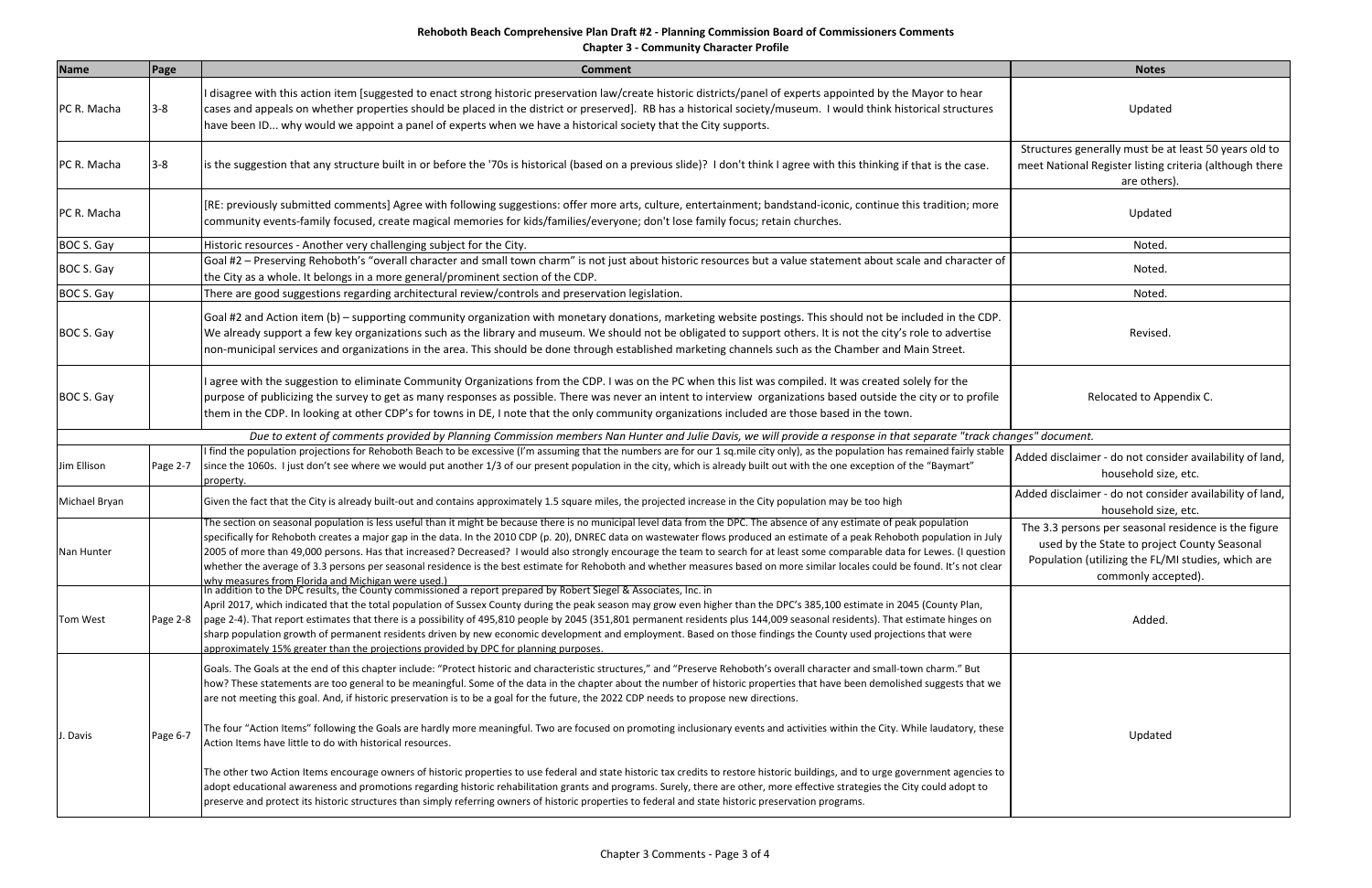**Chapter 3 ‐ Community Character Profile**

| <b>Name</b>   | Page     | Comment                                                                                                                                                                                                                                                                                                                                                                                                                                                                                                                                                                                                                                                                                                                                                                                                                                                                                               | <b>Notes</b>                                                                                                                                                                      |
|---------------|----------|-------------------------------------------------------------------------------------------------------------------------------------------------------------------------------------------------------------------------------------------------------------------------------------------------------------------------------------------------------------------------------------------------------------------------------------------------------------------------------------------------------------------------------------------------------------------------------------------------------------------------------------------------------------------------------------------------------------------------------------------------------------------------------------------------------------------------------------------------------------------------------------------------------|-----------------------------------------------------------------------------------------------------------------------------------------------------------------------------------|
| PC R. Macha   | $3 - 8$  | I disagree with this action item [suggested to enact strong historic preservation law/create historic districts/panel of experts appointed by the Mayor to hear<br>cases and appeals on whether properties should be placed in the district or preserved]. RB has a historical society/museum. I would think historical structures<br>have been ID why would we appoint a panel of experts when we have a historical society that the City supports.                                                                                                                                                                                                                                                                                                                                                                                                                                                  | Updated                                                                                                                                                                           |
| PC R. Macha   | $3 - 8$  | lis the suggestion that any structure built in or before the '70s is historical (based on a previous slide)? I don't think I agree with this thinking if that is the case.                                                                                                                                                                                                                                                                                                                                                                                                                                                                                                                                                                                                                                                                                                                            | Structures generally must be at least 50 years old to<br>meet National Register listing criteria (although there<br>are others).                                                  |
| PC R. Macha   |          | [RE: previously submitted comments] Agree with following suggestions: offer more arts, culture, entertainment; bandstand-iconic, continue this tradition; more<br>community events-family focused, create magical memories for kids/families/everyone; don't lose family focus; retain churches.                                                                                                                                                                                                                                                                                                                                                                                                                                                                                                                                                                                                      | Updated                                                                                                                                                                           |
| BOC S. Gay    |          | Historic resources - Another very challenging subject for the City.                                                                                                                                                                                                                                                                                                                                                                                                                                                                                                                                                                                                                                                                                                                                                                                                                                   | Noted.                                                                                                                                                                            |
| BOC S. Gay    |          | Goal #2 - Preserving Rehoboth's "overall character and small town charm" is not just about historic resources but a value statement about scale and character of<br>the City as a whole. It belongs in a more general/prominent section of the CDP.                                                                                                                                                                                                                                                                                                                                                                                                                                                                                                                                                                                                                                                   | Noted.                                                                                                                                                                            |
| BOC S. Gay    |          | There are good suggestions regarding architectural review/controls and preservation legislation.                                                                                                                                                                                                                                                                                                                                                                                                                                                                                                                                                                                                                                                                                                                                                                                                      | Noted.                                                                                                                                                                            |
| BOC S. Gay    |          | Goal #2 and Action item (b) – supporting community organization with monetary donations, marketing website postings. This should not be included in the CDP.<br>We already support a few key organizations such as the library and museum. We should not be obligated to support others. It is not the city's role to advertise<br>non-municipal services and organizations in the area. This should be done through established marketing channels such as the Chamber and Main Street.                                                                                                                                                                                                                                                                                                                                                                                                              | Revised.                                                                                                                                                                          |
| BOC S. Gay    |          | If agree with the suggestion to eliminate Community Organizations from the CDP. I was on the PC when this list was compiled. It was created solely for the<br>purpose of publicizing the survey to get as many responses as possible. There was never an intent to interview organizations based outside the city or to profile<br>them in the CDP. In looking at other CDP's for towns in DE, I note that the only community organizations included are those based in the town.                                                                                                                                                                                                                                                                                                                                                                                                                     | Relocated to Appendix C.                                                                                                                                                          |
|               |          | Due to extent of comments provided by Planning Commission members Nan Hunter and Julie Davis, we will provide a response in that separate "track changes" document.                                                                                                                                                                                                                                                                                                                                                                                                                                                                                                                                                                                                                                                                                                                                   |                                                                                                                                                                                   |
| Jim Ellison   | Page 2-7 | I find the population projections for Rehoboth Beach to be excessive (I'm assuming that the numbers are for our 1 sq.mile city only), as the population has remained fairly stable<br>since the 1060s. I just don't see where we would put another 1/3 of our present population in the city, which is already built out with the one exception of the "Baymart"<br>property.                                                                                                                                                                                                                                                                                                                                                                                                                                                                                                                         | Added disclaimer - do not consider availability of land,<br>household size, etc.                                                                                                  |
| Michael Bryan |          | Given the fact that the City is already built-out and contains approximately 1.5 square miles, the projected increase in the City population may be too high                                                                                                                                                                                                                                                                                                                                                                                                                                                                                                                                                                                                                                                                                                                                          | Added disclaimer - do not consider availability of land,<br>household size, etc.                                                                                                  |
| Nan Hunter    |          | The section on seasonal population is less useful than it might be because there is no municipal level data from the DPC. The absence of any estimate of peak population<br>specifically for Rehoboth creates a major gap in the data. In the 2010 CDP (p. 20), DNREC data on wastewater flows produced an estimate of a peak Rehoboth population in July<br>2005 of more than 49,000 persons. Has that increased? Decreased? I would also strongly encourage the team to search for at least some comparable data for Lewes. (I question<br>whether the average of 3.3 persons per seasonal residence is the best estimate for Rehoboth and whether measures based on more similar locales could be found. It's not clear<br>why measures from Florida and Michigan were used.)<br> In addition to the DPC results, the County commissioned a report prepared by Robert Siegel & Associates, Inc. in | The 3.3 persons per seasonal residence is the figure<br>used by the State to project County Seasonal<br>Population (utilizing the FL/MI studies, which are<br>commonly accepted). |
| Tom West      | Page 2-8 | April 2017, which indicated that the total population of Sussex County during the peak season may grow even higher than the DPC's 385,100 estimate in 2045 (County Plan,<br>page 2-4). That report estimates that there is a possibility of 495,810 people by 2045 (351,801 permanent residents plus 144,009 seasonal residents). That estimate hinges on<br>sharp population growth of permanent residents driven by new economic development and employment. Based on those findings the County used projections that were<br>approximately 15% greater than the projections provided by DPC for planning purposes.                                                                                                                                                                                                                                                                                 | Added.                                                                                                                                                                            |
|               |          | Goals. The Goals at the end of this chapter include: "Protect historic and characteristic structures," and "Preserve Rehoboth's overall character and small-town charm." But<br>how? These statements are too general to be meaningful. Some of the data in the chapter about the number of historic properties that have been demolished suggests that we<br>are not meeting this goal. And, if historic preservation is to be a goal for the future, the 2022 CDP needs to propose new directions.                                                                                                                                                                                                                                                                                                                                                                                                  |                                                                                                                                                                                   |
| J. Davis      | Page 6-7 | The four "Action Items" following the Goals are hardly more meaningful. Two are focused on promoting inclusionary events and activities within the City. While laudatory, these<br>Action Items have little to do with historical resources.                                                                                                                                                                                                                                                                                                                                                                                                                                                                                                                                                                                                                                                          | Updated                                                                                                                                                                           |
|               |          | The other two Action Items encourage owners of historic properties to use federal and state historic tax credits to restore historic buildings, and to urge government agencies to<br>adopt educational awareness and promotions regarding historic rehabilitation grants and programs. Surely, there are other, more effective strategies the City could adopt to<br>preserve and protect its historic structures than simply referring owners of historic properties to federal and state historic preservation programs.                                                                                                                                                                                                                                                                                                                                                                           |                                                                                                                                                                                   |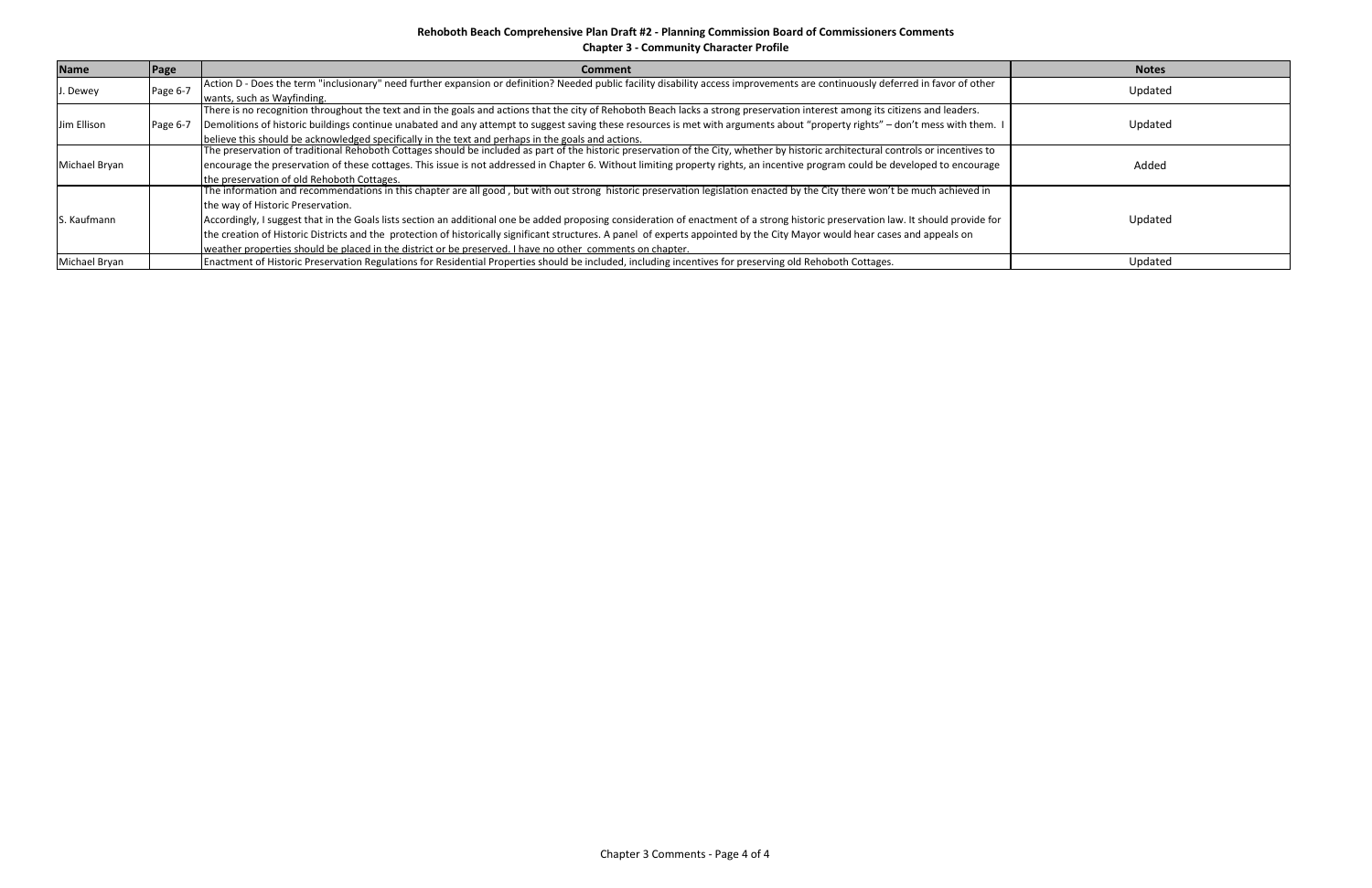**Chapter 3 ‐ Community Character Profile**

| <b>Name</b>   | Page     | <b>Comment</b>                                                                                                                                                                      | <b>Notes</b> |
|---------------|----------|-------------------------------------------------------------------------------------------------------------------------------------------------------------------------------------|--------------|
| J. Dewey      | Page 6-7 | Action D - Does the term "inclusionary" need further expansion or definition? Needed public facility disability access improvements are continuously deferred in favor of other     | Updated      |
|               |          | wants, such as Wayfinding.                                                                                                                                                          |              |
|               |          | There is no recognition throughout the text and in the goals and actions that the city of Rehoboth Beach lacks a strong preservation interest among its citizens and leaders.       |              |
| Jim Ellison   | Page 6-7 | Demolitions of historic buildings continue unabated and any attempt to suggest saving these resources is met with arguments about "property rights" - don't mess with them. I       | Updated      |
|               |          | believe this should be acknowledged specifically in the text and perhaps in the goals and actions.                                                                                  |              |
|               |          | The preservation of traditional Rehoboth Cottages should be included as part of the historic preservation of the City, whether by historic architectural controls or incentives to  |              |
| Michael Bryan |          | encourage the preservation of these cottages. This issue is not addressed in Chapter 6. Without limiting property rights, an incentive program could be developed to encourage      | Added        |
|               |          | the preservation of old Rehoboth Cottages.                                                                                                                                          |              |
|               |          | The information and recommendations in this chapter are all good, but with out strong historic preservation legislation enacted by the City there won't be much achieved in         |              |
|               |          | the way of Historic Preservation.                                                                                                                                                   |              |
| S. Kaufmann   |          | Accordingly, I suggest that in the Goals lists section an additional one be added proposing consideration of enactment of a strong historic preservation law. It should provide for | Updated      |
|               |          | the creation of Historic Districts and the protection of historically significant structures. A panel of experts appointed by the City Mayor would hear cases and appeals on        |              |
|               |          | weather properties should be placed in the district or be preserved. I have no other comments on chapter.                                                                           |              |
| Michael Bryan |          | Enactment of Historic Preservation Regulations for Residential Properties should be included, including incentives for preserving old Rehoboth Cottages.                            | Updated      |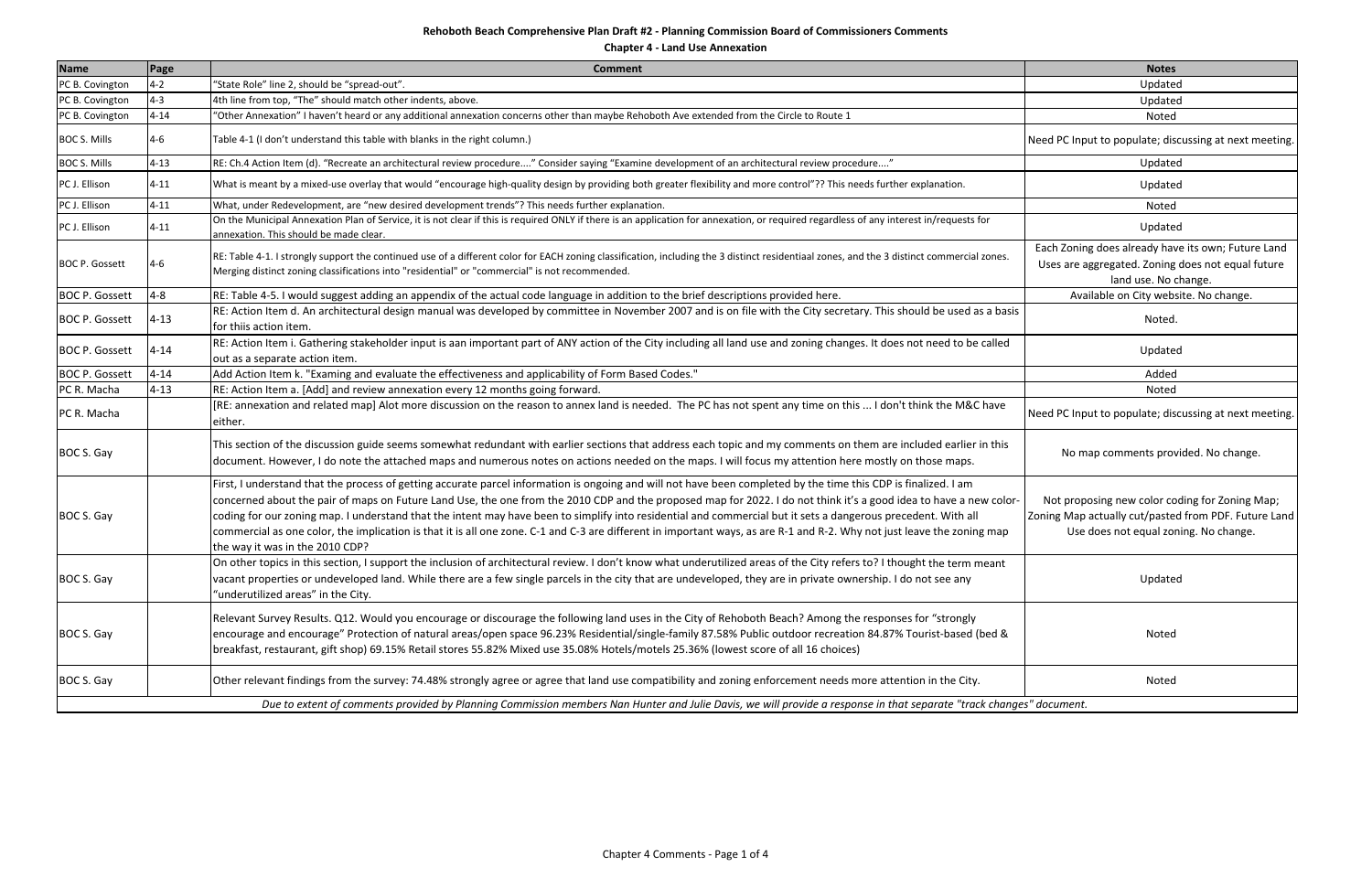**Chapter 4 ‐ Land Use Annexation**

| <b>Name</b>           | Page     | <b>Comment</b>                                                                                                                                                                                                                                                                                                                                                                                                                                                                                                                                                                                                                                                                                                       | <b>Notes</b>                                                                                                                                    |
|-----------------------|----------|----------------------------------------------------------------------------------------------------------------------------------------------------------------------------------------------------------------------------------------------------------------------------------------------------------------------------------------------------------------------------------------------------------------------------------------------------------------------------------------------------------------------------------------------------------------------------------------------------------------------------------------------------------------------------------------------------------------------|-------------------------------------------------------------------------------------------------------------------------------------------------|
| PC B. Covington       | $4 - 2$  | "State Role" line 2, should be "spread-out".                                                                                                                                                                                                                                                                                                                                                                                                                                                                                                                                                                                                                                                                         | Updated                                                                                                                                         |
| PC B. Covington       | $4 - 3$  | 4th line from top, "The" should match other indents, above.                                                                                                                                                                                                                                                                                                                                                                                                                                                                                                                                                                                                                                                          | Updated                                                                                                                                         |
| PC B. Covington       | $4 - 14$ | "Other Annexation" I haven't heard or any additional annexation concerns other than maybe Rehoboth Ave extended from the Circle to Route 1                                                                                                                                                                                                                                                                                                                                                                                                                                                                                                                                                                           | Noted                                                                                                                                           |
| <b>BOC S. Mills</b>   | $4 - 6$  | Table 4-1 (I don't understand this table with blanks in the right column.)                                                                                                                                                                                                                                                                                                                                                                                                                                                                                                                                                                                                                                           | Need PC Input to populate; discussing at next meeting                                                                                           |
| <b>BOC S. Mills</b>   | $4 - 13$ | RE: Ch.4 Action Item (d). "Recreate an architectural review procedure" Consider saying "Examine development of an architectural review procedure"                                                                                                                                                                                                                                                                                                                                                                                                                                                                                                                                                                    | Updated                                                                                                                                         |
| PC J. Ellison         | $4 - 11$ | What is meant by a mixed-use overlay that would "encourage high-quality design by providing both greater flexibility and more control"?? This needs further explanation.                                                                                                                                                                                                                                                                                                                                                                                                                                                                                                                                             | Updated                                                                                                                                         |
| PC J. Ellison         | $4 - 11$ | What, under Redevelopment, are "new desired development trends"? This needs further explanation.                                                                                                                                                                                                                                                                                                                                                                                                                                                                                                                                                                                                                     | Noted                                                                                                                                           |
| PC J. Ellison         | $4 - 11$ | On the Municipal Annexation Plan of Service, it is not clear if this is required ONLY if there is an application for annexation, or required regardless of any interest in/requests for<br>annexation. This should be made clear.                                                                                                                                                                                                                                                                                                                                                                                                                                                                                    | Updated                                                                                                                                         |
| <b>BOC P. Gossett</b> | $4 - 6$  | RE: Table 4-1. I strongly support the continued use of a different color for EACH zoning classification, including the 3 distinct residentiaal zones, and the 3 distinct commercial zones.<br>Merging distinct zoning classifications into "residential" or "commercial" is not recommended.                                                                                                                                                                                                                                                                                                                                                                                                                         | Each Zoning does already have its own; Future Land<br>Uses are aggregated. Zoning does not equal future<br>land use. No change.                 |
| <b>BOC P. Gossett</b> | $4 - 8$  | RE: Table 4-5. I would suggest adding an appendix of the actual code language in addition to the brief descriptions provided here.                                                                                                                                                                                                                                                                                                                                                                                                                                                                                                                                                                                   | Available on City website. No change.                                                                                                           |
| <b>BOC P. Gossett</b> | $4 - 13$ | RE: Action Item d. An architectural design manual was developed by committee in November 2007 and is on file with the City secretary. This should be used as a basis<br>for thiis action item.                                                                                                                                                                                                                                                                                                                                                                                                                                                                                                                       | Noted.                                                                                                                                          |
| <b>BOC P. Gossett</b> | $4 - 14$ | RE: Action Item i. Gathering stakeholder input is aan important part of ANY action of the City including all land use and zoning changes. It does not need to be called<br>out as a separate action item.                                                                                                                                                                                                                                                                                                                                                                                                                                                                                                            | Updated                                                                                                                                         |
| <b>BOC P. Gossett</b> | $4 - 14$ | Add Action Item k. "Examing and evaluate the effectiveness and applicability of Form Based Codes."                                                                                                                                                                                                                                                                                                                                                                                                                                                                                                                                                                                                                   | Added                                                                                                                                           |
| PC R. Macha           | $4 - 13$ | RE: Action Item a. [Add] and review annexation every 12 months going forward.                                                                                                                                                                                                                                                                                                                                                                                                                                                                                                                                                                                                                                        | Noted                                                                                                                                           |
| PC R. Macha           |          | [RE: annexation and related map] Alot more discussion on the reason to annex land is needed. The PC has not spent any time on this  I don't think the M&C have<br>either.                                                                                                                                                                                                                                                                                                                                                                                                                                                                                                                                            | Need PC Input to populate; discussing at next meeting                                                                                           |
| BOC S. Gay            |          | This section of the discussion guide seems somewhat redundant with earlier sections that address each topic and my comments on them are included earlier in this<br>document. However, I do note the attached maps and numerous notes on actions needed on the maps. I will focus my attention here mostly on those maps.                                                                                                                                                                                                                                                                                                                                                                                            | No map comments provided. No change.                                                                                                            |
| BOC S. Gay            |          | First, I understand that the process of getting accurate parcel information is ongoing and will not have been completed by the time this CDP is finalized. I am<br>concerned about the pair of maps on Future Land Use, the one from the 2010 CDP and the proposed map for 2022. I do not think it's a good idea to have a new color-<br>coding for our zoning map. I understand that the intent may have been to simplify into residential and commercial but it sets a dangerous precedent. With all<br>commercial as one color, the implication is that it is all one zone. C-1 and C-3 are different in important ways, as are R-1 and R-2. Why not just leave the zoning map<br>the way it was in the 2010 CDP? | Not proposing new color coding for Zoning Map;<br>Zoning Map actually cut/pasted from PDF. Future Land<br>Use does not equal zoning. No change. |
| BOC S. Gay            |          | On other topics in this section, I support the inclusion of architectural review. I don't know what underutilized areas of the City refers to? I thought the term meant<br>vacant properties or undeveloped land. While there are a few single parcels in the city that are undeveloped, they are in private ownership. I do not see any<br>"underutilized areas" in the City.                                                                                                                                                                                                                                                                                                                                       | Updated                                                                                                                                         |
| BOC S. Gay            |          | Relevant Survey Results. Q12. Would you encourage or discourage the following land uses in the City of Rehoboth Beach? Among the responses for "strongly<br>encourage and encourage" Protection of natural areas/open space 96.23% Residential/single-family 87.58% Public outdoor recreation 84.87% Tourist-based (bed &<br>breakfast, restaurant, gift shop) 69.15% Retail stores 55.82% Mixed use 35.08% Hotels/motels 25.36% (lowest score of all 16 choices)                                                                                                                                                                                                                                                    | Noted                                                                                                                                           |
| BOC S. Gay            |          | Other relevant findings from the survey: 74.48% strongly agree or agree that land use compatibility and zoning enforcement needs more attention in the City.                                                                                                                                                                                                                                                                                                                                                                                                                                                                                                                                                         | Noted                                                                                                                                           |
|                       |          | Due to extent of comments provided by Planning Commission members Nan Hunter and Julie Davis, we will provide a response in that separate "track changes" document.                                                                                                                                                                                                                                                                                                                                                                                                                                                                                                                                                  |                                                                                                                                                 |

|     | <b>Notes</b>                                                                                                                                    |
|-----|-------------------------------------------------------------------------------------------------------------------------------------------------|
|     | Updated                                                                                                                                         |
|     | Updated                                                                                                                                         |
|     | Noted                                                                                                                                           |
|     | Need PC Input to populate; discussing at next meeting.                                                                                          |
|     | Updated                                                                                                                                         |
|     | Updated                                                                                                                                         |
|     | Noted                                                                                                                                           |
|     | Updated                                                                                                                                         |
|     | Each Zoning does already have its own; Future Land<br>Uses are aggregated. Zoning does not equal future<br>land use. No change.                 |
|     | Available on City website. No change.                                                                                                           |
| sis | Noted.                                                                                                                                          |
|     | Updated                                                                                                                                         |
|     | Added                                                                                                                                           |
|     | Noted                                                                                                                                           |
|     | Need PC Input to populate; discussing at next meeting.                                                                                          |
|     | No map comments provided. No change.                                                                                                            |
| or- | Not proposing new color coding for Zoning Map;<br>Zoning Map actually cut/pasted from PDF. Future Land<br>Use does not equal zoning. No change. |
|     | Updated                                                                                                                                         |
|     | Noted                                                                                                                                           |
|     | Noted                                                                                                                                           |
|     | nges" document.                                                                                                                                 |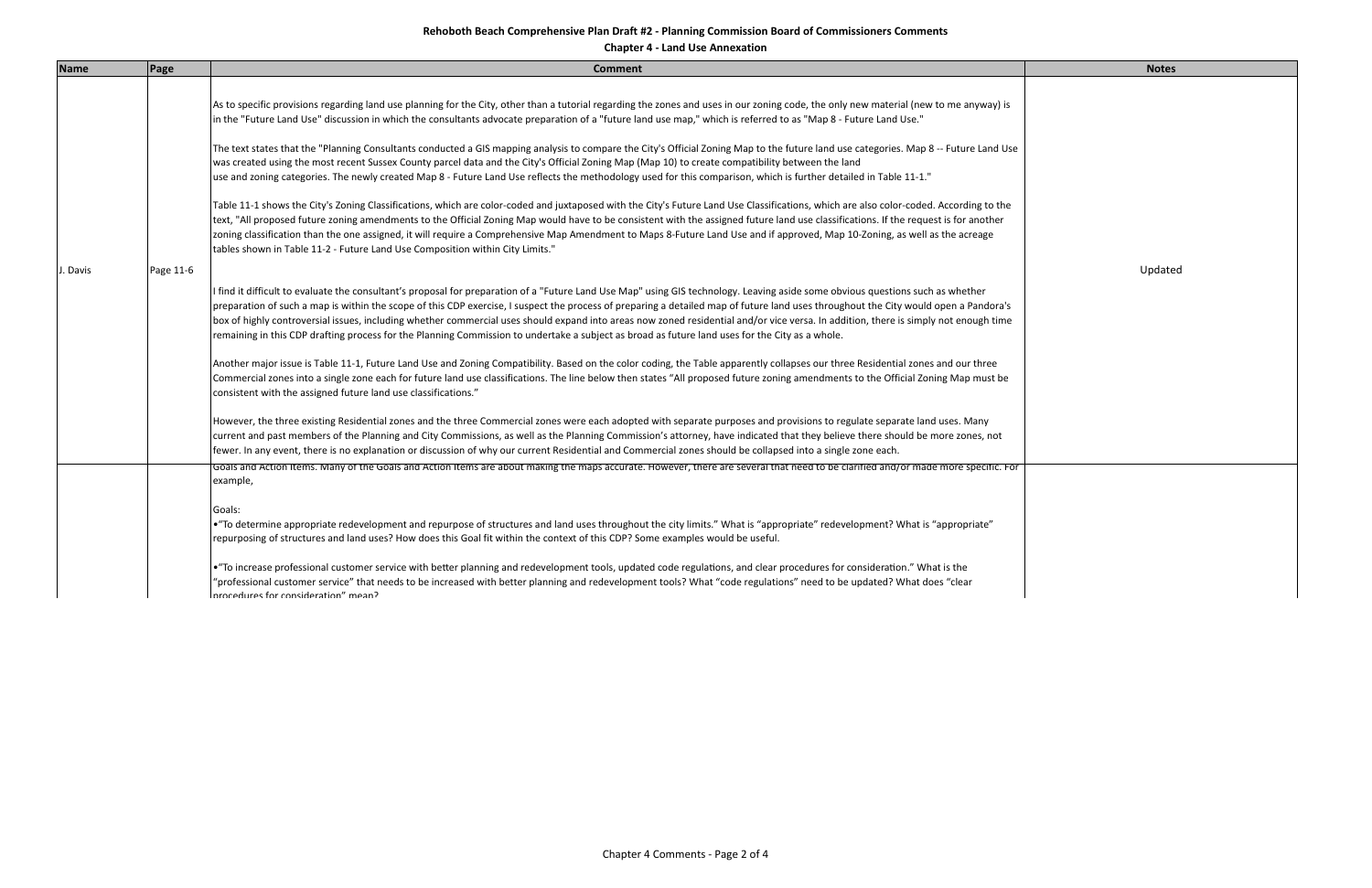**Chapter 4 ‐ Land Use Annexation**

| <b>Name</b> | Page      | <b>Comment</b>                                                                                                                                                                                                                                                                                                                                                                                                                                                                                                                                                                                                                                                                                                     | <b>Notes</b> |
|-------------|-----------|--------------------------------------------------------------------------------------------------------------------------------------------------------------------------------------------------------------------------------------------------------------------------------------------------------------------------------------------------------------------------------------------------------------------------------------------------------------------------------------------------------------------------------------------------------------------------------------------------------------------------------------------------------------------------------------------------------------------|--------------|
|             |           | As to specific provisions regarding land use planning for the City, other than a tutorial regarding the zones and uses in our zoning code, the only new material (new to me anyway) is<br>in the "Future Land Use" discussion in which the consultants advocate preparation of a "future land use map," which is referred to as "Map 8 - Future Land Use."                                                                                                                                                                                                                                                                                                                                                         |              |
|             |           | The text states that the "Planning Consultants conducted a GIS mapping analysis to compare the City's Official Zoning Map to the future land use categories. Map 8 -- Future Land Use<br>was created using the most recent Sussex County parcel data and the City's Official Zoning Map (Map 10) to create compatibility between the land<br>use and zoning categories. The newly created Map 8 - Future Land Use reflects the methodology used for this comparison, which is further detailed in Table 11-1."                                                                                                                                                                                                     |              |
|             |           | Table 11-1 shows the City's Zoning Classifications, which are color-coded and juxtaposed with the City's Future Land Use Classifications, which are also color-coded. According to the<br>text, "All proposed future zoning amendments to the Official Zoning Map would have to be consistent with the assigned future land use classifications. If the request is for another<br>zoning classification than the one assigned, it will require a Comprehensive Map Amendment to Maps 8-Future Land Use and if approved, Map 10-Zoning, as well as the acreage<br>tables shown in Table 11-2 - Future Land Use Composition within City Limits."                                                                     |              |
| J. Davis    | Page 11-6 |                                                                                                                                                                                                                                                                                                                                                                                                                                                                                                                                                                                                                                                                                                                    | Updated      |
|             |           | I find it difficult to evaluate the consultant's proposal for preparation of a "Future Land Use Map" using GIS technology. Leaving aside some obvious questions such as whether<br>preparation of such a map is within the scope of this CDP exercise, I suspect the process of preparing a detailed map of future land uses throughout the City would open a Pandora's<br>box of highly controversial issues, including whether commercial uses should expand into areas now zoned residential and/or vice versa. In addition, there is simply not enough time<br>remaining in this CDP drafting process for the Planning Commission to undertake a subject as broad as future land uses for the City as a whole. |              |
|             |           | Another major issue is Table 11-1, Future Land Use and Zoning Compatibility. Based on the color coding, the Table apparently collapses our three Residential zones and our three<br>Commercial zones into a single zone each for future land use classifications. The line below then states "All proposed future zoning amendments to the Official Zoning Map must be<br>consistent with the assigned future land use classifications."                                                                                                                                                                                                                                                                           |              |
|             |           | However, the three existing Residential zones and the three Commercial zones were each adopted with separate purposes and provisions to regulate separate land uses. Many<br>current and past members of the Planning and City Commissions, as well as the Planning Commission's attorney, have indicated that they believe there should be more zones, not<br>fewer. In any event, there is no explanation or discussion of why our current Residential and Commercial zones should be collapsed into a single zone each.                                                                                                                                                                                         |              |
|             |           | Goals and Action Items. Many of the Goals and Action Items are about making the maps accurate. However, there are several that need to be clarified and/or made more specific. Foir<br>example,                                                                                                                                                                                                                                                                                                                                                                                                                                                                                                                    |              |
|             |           | Goals:<br>• "To determine appropriate redevelopment and repurpose of structures and land uses throughout the city limits." What is "appropriate" redevelopment? What is "appropriate"<br>repurposing of structures and land uses? How does this Goal fit within the context of this CDP? Some examples would be useful.                                                                                                                                                                                                                                                                                                                                                                                            |              |
|             |           | • "To increase professional customer service with better planning and redevelopment tools, updated code regulations, and clear procedures for consideration." What is the<br>"professional customer service" that needs to be increased with better planning and redevelopment tools? What "code regulations" need to be updated? What does "clear<br>procedures for consideration" mean?                                                                                                                                                                                                                                                                                                                          |              |

|         | <b>Notes</b> |  |
|---------|--------------|--|
| í       |              |  |
| se      |              |  |
| $\cdot$ |              |  |
|         | Updated      |  |
| ;<br>e  |              |  |
|         |              |  |
|         |              |  |
| or      |              |  |
|         |              |  |
|         |              |  |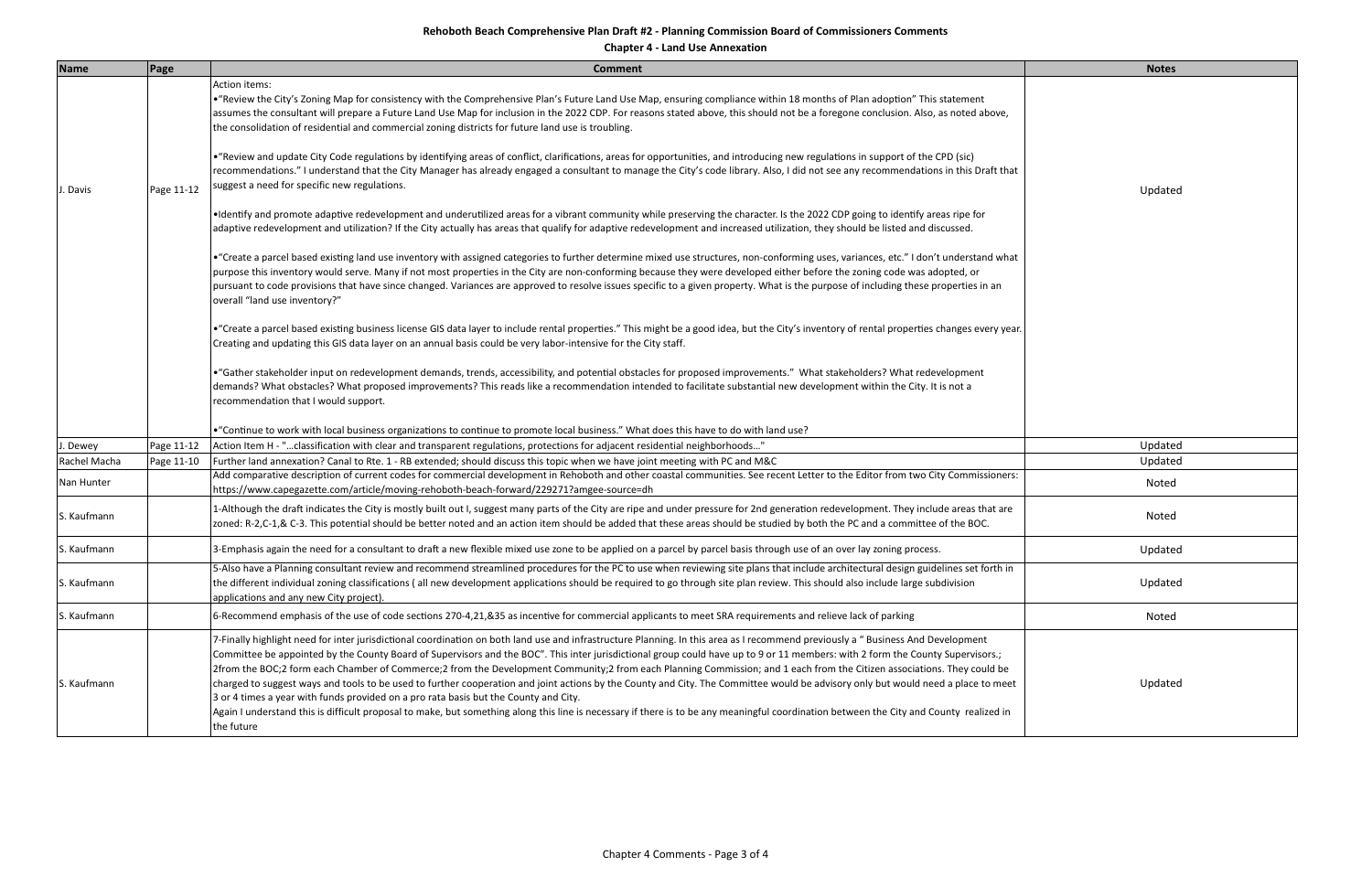**Chapter 4 ‐ Land Use Annexation**

| <b>Name</b>  | Page       | <b>Comment</b>                                                                                                                                                                                                                                                                                                                                                                                                                                                                                                                                                                                                                                                                                                                                                                                                                                                                                                                                                                                                                     | <b>Notes</b> |
|--------------|------------|------------------------------------------------------------------------------------------------------------------------------------------------------------------------------------------------------------------------------------------------------------------------------------------------------------------------------------------------------------------------------------------------------------------------------------------------------------------------------------------------------------------------------------------------------------------------------------------------------------------------------------------------------------------------------------------------------------------------------------------------------------------------------------------------------------------------------------------------------------------------------------------------------------------------------------------------------------------------------------------------------------------------------------|--------------|
|              |            | <b>Action items:</b><br>. "Review the City's Zoning Map for consistency with the Comprehensive Plan's Future Land Use Map, ensuring compliance within 18 months of Plan adoption" This statement<br>assumes the consultant will prepare a Future Land Use Map for inclusion in the 2022 CDP. For reasons stated above, this should not be a foregone conclusion. Also, as noted above,<br>the consolidation of residential and commercial zoning districts for future land use is troubling.                                                                                                                                                                                                                                                                                                                                                                                                                                                                                                                                       |              |
| . Davis      | Page 11-12 | • "Review and update City Code regulations by identifying areas of conflict, clarifications, areas for opportunities, and introducing new regulations in support of the CPD (sic)<br>recommendations." I understand that the City Manager has already engaged a consultant to manage the City's code library. Also, I did not see any recommendations in this Draft that<br>suggest a need for specific new regulations.                                                                                                                                                                                                                                                                                                                                                                                                                                                                                                                                                                                                           | Updated      |
|              |            | . I dentify and promote adaptive redevelopment and underutilized areas for a vibrant community while preserving the character. Is the 2022 CDP going to identify areas ripe for<br>adaptive redevelopment and utilization? If the City actually has areas that qualify for adaptive redevelopment and increased utilization, they should be listed and discussed.                                                                                                                                                                                                                                                                                                                                                                                                                                                                                                                                                                                                                                                                  |              |
|              |            | • "Create a parcel based existing land use inventory with assigned categories to further determine mixed use structures, non-conforming uses, variances, etc." I don't understand what<br>purpose this inventory would serve. Many if not most properties in the City are non-conforming because they were developed either before the zoning code was adopted, or<br>pursuant to code provisions that have since changed. Variances are approved to resolve issues specific to a given property. What is the purpose of including these properties in an<br>overall "land use inventory?"                                                                                                                                                                                                                                                                                                                                                                                                                                         |              |
|              |            | • "Create a parcel based existing business license GIS data layer to include rental properties." This might be a good idea, but the City's inventory of rental properties changes every year.<br>Creating and updating this GIS data layer on an annual basis could be very labor-intensive for the City staff.                                                                                                                                                                                                                                                                                                                                                                                                                                                                                                                                                                                                                                                                                                                    |              |
|              |            | • "Gather stakeholder input on redevelopment demands, trends, accessibility, and potential obstacles for proposed improvements." What stakeholders? What redevelopment<br>demands? What obstacles? What proposed improvements? This reads like a recommendation intended to facilitate substantial new development within the City. It is not a<br>recommendation that I would support.                                                                                                                                                                                                                                                                                                                                                                                                                                                                                                                                                                                                                                            |              |
|              |            | • "Continue to work with local business organizations to continue to promote local business." What does this have to do with land use?                                                                                                                                                                                                                                                                                                                                                                                                                                                                                                                                                                                                                                                                                                                                                                                                                                                                                             |              |
| . Dewey      | Page 11-12 | Action Item H - "classification with clear and transparent regulations, protections for adjacent residential neighborhoods"                                                                                                                                                                                                                                                                                                                                                                                                                                                                                                                                                                                                                                                                                                                                                                                                                                                                                                        | Updated      |
| Rachel Macha | Page 11-10 | Further land annexation? Canal to Rte. 1 - RB extended; should discuss this topic when we have joint meeting with PC and M&C                                                                                                                                                                                                                                                                                                                                                                                                                                                                                                                                                                                                                                                                                                                                                                                                                                                                                                       | Updated      |
| Nan Hunter   |            | Add comparative description of current codes for commercial development in Rehoboth and other coastal communities. See recent Letter to the Editor from two City Commissioners:<br>https://www.capegazette.com/article/moving-rehoboth-beach-forward/229271?amgee-source=dh                                                                                                                                                                                                                                                                                                                                                                                                                                                                                                                                                                                                                                                                                                                                                        | Noted        |
| S. Kaufmann  |            | 1-Although the draft indicates the City is mostly built out I, suggest many parts of the City are ripe and under pressure for 2nd generation redevelopment. They include areas that are<br>zoned: R-2,C-1,& C-3. This potential should be better noted and an action item should be added that these areas should be studied by both the PC and a committee of the BOC.                                                                                                                                                                                                                                                                                                                                                                                                                                                                                                                                                                                                                                                            | Noted        |
| S. Kaufmann  |            | 3-Emphasis again the need for a consultant to draft a new flexible mixed use zone to be applied on a parcel by parcel basis through use of an over lay zoning process.                                                                                                                                                                                                                                                                                                                                                                                                                                                                                                                                                                                                                                                                                                                                                                                                                                                             | Updated      |
| S. Kaufmann  |            | 5-Also have a Planning consultant review and recommend streamlined procedures for the PC to use when reviewing site plans that include architectural design guidelines set forth in<br>the different individual zoning classifications (all new development applications should be required to go through site plan review. This should also include large subdivision<br>applications and any new City project).                                                                                                                                                                                                                                                                                                                                                                                                                                                                                                                                                                                                                  | Updated      |
| S. Kaufmann  |            | 6-Recommend emphasis of the use of code sections 270-4,21,&35 as incentive for commercial applicants to meet SRA requirements and relieve lack of parking                                                                                                                                                                                                                                                                                                                                                                                                                                                                                                                                                                                                                                                                                                                                                                                                                                                                          | Noted        |
| S. Kaufmann  |            | 7-Finally highlight need for inter jurisdictional coordination on both land use and infrastructure Planning. In this area as I recommend previously a "Business And Development<br>Committee be appointed by the County Board of Supervisors and the BOC". This inter jurisdictional group could have up to 9 or 11 members: with 2 form the County Supervisors.;<br>2from the BOC;2 form each Chamber of Commerce;2 from the Development Community;2 from each Planning Commission; and 1 each from the Citizen associations. They could be<br>charged to suggest ways and tools to be used to further cooperation and joint actions by the County and City. The Committee would be advisory only but would need a place to meet<br>3 or 4 times a year with funds provided on a pro rata basis but the County and City.<br>Again I understand this is difficult proposal to make, but something along this line is necessary if there is to be any meaningful coordination between the City and County realized in<br>the future | Updated      |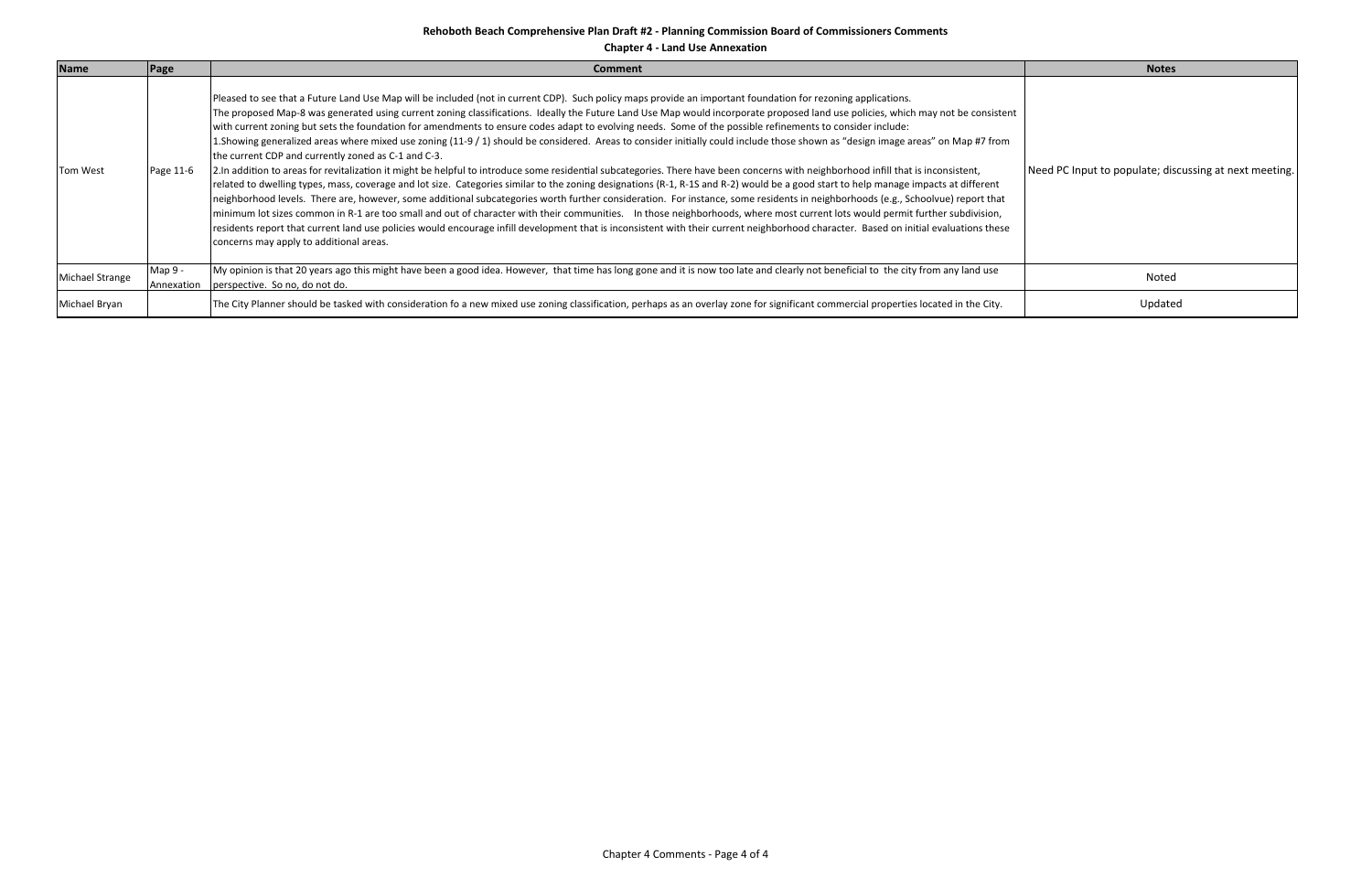**Chapter 4 ‐ Land Use Annexation**

| <b>Name</b>     | <b>Page</b>           | <b>Comment</b>                                                                                                                                                                                                                                                                                                                                                                                                                                                                                                                                                                                                                                                                                                                                                                                                                                                                                                                                                                                                                                                                                                                                                                                                                                                                                                                                                                                                                                                                                                                                                                                                                                                                                                                                 | <b>Notes</b>                                           |
|-----------------|-----------------------|------------------------------------------------------------------------------------------------------------------------------------------------------------------------------------------------------------------------------------------------------------------------------------------------------------------------------------------------------------------------------------------------------------------------------------------------------------------------------------------------------------------------------------------------------------------------------------------------------------------------------------------------------------------------------------------------------------------------------------------------------------------------------------------------------------------------------------------------------------------------------------------------------------------------------------------------------------------------------------------------------------------------------------------------------------------------------------------------------------------------------------------------------------------------------------------------------------------------------------------------------------------------------------------------------------------------------------------------------------------------------------------------------------------------------------------------------------------------------------------------------------------------------------------------------------------------------------------------------------------------------------------------------------------------------------------------------------------------------------------------|--------------------------------------------------------|
| Tom West        | Page 11-6             | Pleased to see that a Future Land Use Map will be included (not in current CDP). Such policy maps provide an important foundation for rezoning applications.<br>The proposed Map-8 was generated using current zoning classifications. Ideally the Future Land Use Map would incorporate proposed land use policies, which may not be consistent<br>with current zoning but sets the foundation for amendments to ensure codes adapt to evolving needs. Some of the possible refinements to consider include:<br>1. Showing generalized areas where mixed use zoning (11-9 / 1) should be considered. Areas to consider initially could include those shown as "design image areas" on Map #7 from<br>the current CDP and currently zoned as C-1 and C-3.<br>2. In addition to areas for revitalization it might be helpful to introduce some residential subcategories. There have been concerns with neighborhood infill that is inconsistent,<br>related to dwelling types, mass, coverage and lot size. Categories similar to the zoning designations (R-1, R-1S and R-2) would be a good start to help manage impacts at different<br>neighborhood levels. There are, however, some additional subcategories worth further consideration. For instance, some residents in neighborhoods (e.g., Schoolvue) report that<br>minimum lot sizes common in R-1 are too small and out of character with their communities. In those neighborhoods, where most current lots would permit further subdivision,<br>residents report that current land use policies would encourage infill development that is inconsistent with their current neighborhood character. Based on initial evaluations these<br>concerns may apply to additional areas. | Need PC Input to populate; discussing at next meeting. |
| Michael Strange | Map 9 -<br>Annexation | My opinion is that 20 years ago this might have been a good idea. However, that time has long gone and it is now too late and clearly not beneficial to the city from any land use<br>perspective. So no, do not do.                                                                                                                                                                                                                                                                                                                                                                                                                                                                                                                                                                                                                                                                                                                                                                                                                                                                                                                                                                                                                                                                                                                                                                                                                                                                                                                                                                                                                                                                                                                           | Noted                                                  |
| Michael Bryan   |                       | The City Planner should be tasked with consideration fo a new mixed use zoning classification, perhaps as an overlay zone for significant commercial properties located in the City.                                                                                                                                                                                                                                                                                                                                                                                                                                                                                                                                                                                                                                                                                                                                                                                                                                                                                                                                                                                                                                                                                                                                                                                                                                                                                                                                                                                                                                                                                                                                                           | Updated                                                |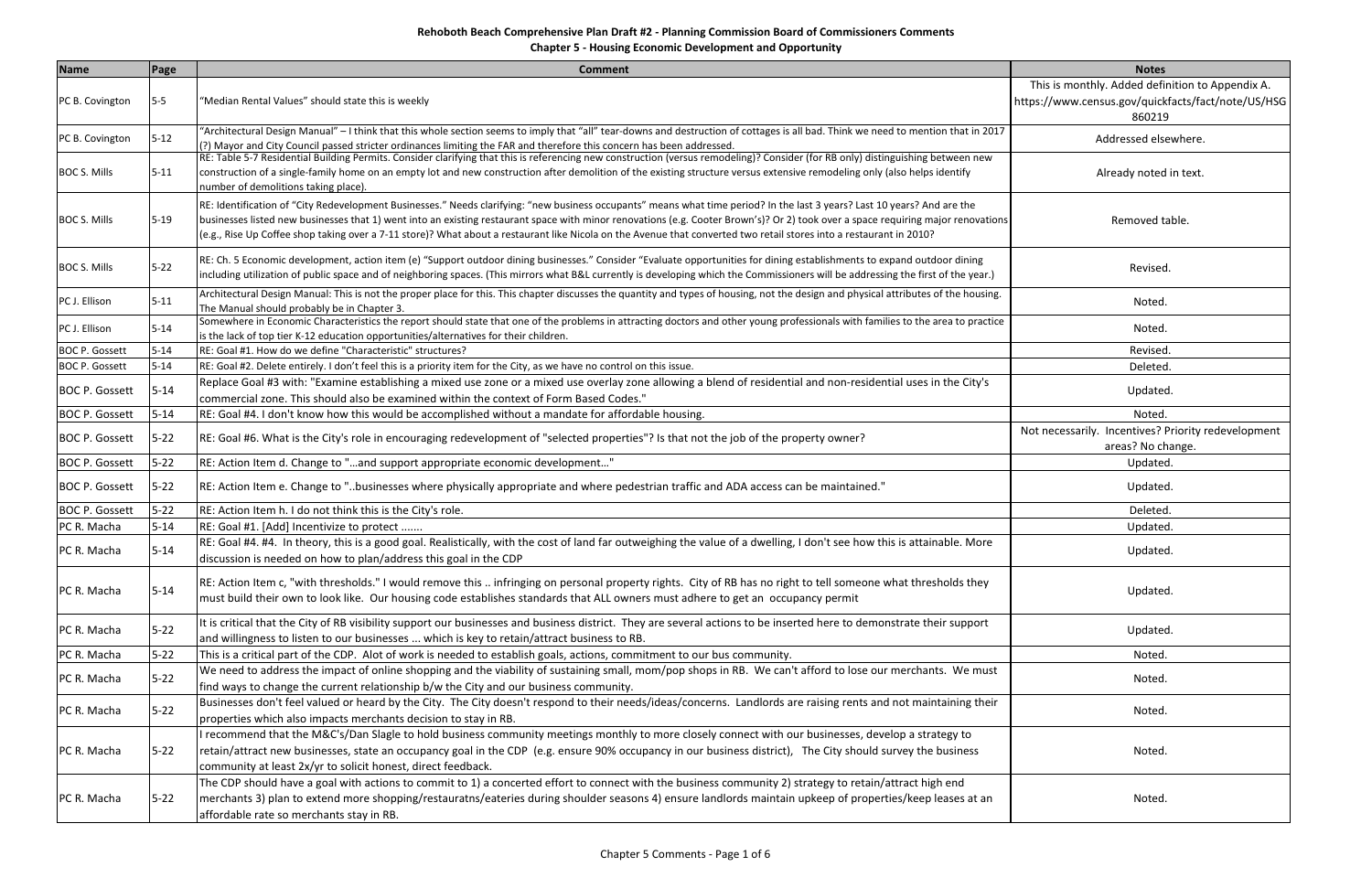**Chapter 5 ‐ Housing Economic Development and Opportunity**

| <b>Name</b>           | <b>Page</b>          | <b>Comment</b>                                                                                                                                                                                                                                                                           | <b>Notes</b>                                        |
|-----------------------|----------------------|------------------------------------------------------------------------------------------------------------------------------------------------------------------------------------------------------------------------------------------------------------------------------------------|-----------------------------------------------------|
|                       |                      |                                                                                                                                                                                                                                                                                          | This is monthly. Added definition to Appendix A.    |
| PC B. Covington       | $5-5$                | "Median Rental Values" should state this is weekly                                                                                                                                                                                                                                       | https://www.census.gov/quickfacts/fact/note/US/HSG  |
|                       |                      |                                                                                                                                                                                                                                                                                          | 860219                                              |
|                       | $5 - 12$             | "Architectural Design Manual" – I think that this whole section seems to imply that "all" tear-downs and destruction of cottages is all bad. Think we need to mention that in 2017                                                                                                       | Addressed elsewhere.                                |
| PC B. Covington       |                      | (?) Mayor and City Council passed stricter ordinances limiting the FAR and therefore this concern has been addressed.                                                                                                                                                                    |                                                     |
|                       |                      | RE: Table 5-7 Residential Building Permits. Consider clarifying that this is referencing new construction (versus remodeling)? Consider (for RB only) distinguishing between new                                                                                                         |                                                     |
| <b>BOC S. Mills</b>   | $5 - 11$             | construction of a single-family home on an empty lot and new construction after demolition of the existing structure versus extensive remodeling only (also helps identify<br>number of demolitions taking place).                                                                       | Already noted in text.                              |
|                       |                      | RE: Identification of "City Redevelopment Businesses." Needs clarifying: "new business occupants" means what time period? In the last 3 years? Last 10 years? And are the                                                                                                                |                                                     |
| <b>BOC S. Mills</b>   | $5 - 19$             | businesses listed new businesses that 1) went into an existing restaurant space with minor renovations (e.g. Cooter Brown's)? Or 2) took over a space requiring major renovations                                                                                                        | Removed table.                                      |
|                       |                      | (e.g., Rise Up Coffee shop taking over a 7-11 store)? What about a restaurant like Nicola on the Avenue that converted two retail stores into a restaurant in 2010?                                                                                                                      |                                                     |
|                       |                      | RE: Ch. 5 Economic development, action item (e) "Support outdoor dining businesses." Consider "Evaluate opportunities for dining establishments to expand outdoor dining                                                                                                                 |                                                     |
| <b>BOC S. Mills</b>   | $5 - 22$             | including utilization of public space and of neighboring spaces. (This mirrors what B&L currently is developing which the Commissioners will be addressing the first of the year.)                                                                                                       | Revised.                                            |
|                       | $5 - 11$             | Architectural Design Manual: This is not the proper place for this. This chapter discusses the quantity and types of housing, not the design and physical attributes of the housing.                                                                                                     |                                                     |
| PC J. Ellison         |                      | The Manual should probably be in Chapter 3.                                                                                                                                                                                                                                              | Noted.                                              |
| PC J. Ellison         | $5 - 14$             | Somewhere in Economic Characteristics the report should state that one of the problems in attracting doctors and other young professionals with families to the area to practice                                                                                                         | Noted.                                              |
|                       |                      | is the lack of top tier K-12 education opportunities/alternatives for their children.<br>RE: Goal #1. How do we define "Characteristic" structures?                                                                                                                                      |                                                     |
| <b>BOC P. Gossett</b> | $5 - 14$<br>$5 - 14$ |                                                                                                                                                                                                                                                                                          | Revised.                                            |
| <b>BOC P. Gossett</b> |                      | RE: Goal #2. Delete entirely. I don't feel this is a priority item for the City, as we have no control on this issue.<br>Replace Goal #3 with: "Examine establishing a mixed use zone or a mixed use overlay zone allowing a blend of residential and non-residential uses in the City's | Deleted.                                            |
| <b>BOC P. Gossett</b> | $5 - 14$             | commercial zone. This should also be examined within the context of Form Based Codes."                                                                                                                                                                                                   | Updated.                                            |
| <b>BOC P. Gossett</b> | $5 - 14$             | RE: Goal #4. I don't know how this would be accomplished without a mandate for affordable housing.                                                                                                                                                                                       | Noted.                                              |
|                       |                      |                                                                                                                                                                                                                                                                                          | Not necessarily. Incentives? Priority redevelopment |
| <b>BOC P. Gossett</b> | $5 - 22$             | RE: Goal #6. What is the City's role in encouraging redevelopment of "selected properties"? Is that not the job of the property owner?                                                                                                                                                   | areas? No change.                                   |
| <b>BOC P. Gossett</b> | $5 - 22$             | RE: Action Item d. Change to "and support appropriate economic development"                                                                                                                                                                                                              | Updated                                             |
| <b>BOC P. Gossett</b> | $5 - 22$             | RE: Action Item e. Change to "businesses where physically appropriate and where pedestrian traffic and ADA access can be maintained."                                                                                                                                                    | Updated.                                            |
| <b>BOC P. Gossett</b> | $5 - 22$             | RE: Action Item h. I do not think this is the City's role.                                                                                                                                                                                                                               | Deleted.                                            |
| PC R. Macha           | $5 - 14$             | RE: Goal #1. [Add] Incentivize to protect                                                                                                                                                                                                                                                | Updated                                             |
|                       |                      | RE: Goal #4. #4. In theory, this is a good goal. Realistically, with the cost of land far outweighing the value of a dwelling, I don't see how this is attainable. More                                                                                                                  |                                                     |
| PC R. Macha           | $5 - 14$             | discussion is needed on how to plan/address this goal in the CDP                                                                                                                                                                                                                         | Updated                                             |
|                       |                      |                                                                                                                                                                                                                                                                                          |                                                     |
| PC R. Macha           |                      | RE: Action Item c, "with thresholds." I would remove this  infringing on personal property rights. City of RB has no right to tell someone what thresholds they                                                                                                                          | Updated.                                            |
|                       | $5 - 14$             | must build their own to look like. Our housing code establishes standards that ALL owners must adhere to get an occupancy permit                                                                                                                                                         |                                                     |
| PC R. Macha           | $5 - 22$             | It is critical that the City of RB visibility support our businesses and business district. They are several actions to be inserted here to demonstrate their support                                                                                                                    |                                                     |
|                       |                      | and willingness to listen to our businesses  which is key to retain/attract business to RB.                                                                                                                                                                                              | Updated.                                            |
| PC R. Macha           | $5 - 22$             | This is a critical part of the CDP. Alot of work is needed to establish goals, actions, commitment to our bus community.                                                                                                                                                                 | Noted.                                              |
| PC R. Macha           | $5 - 22$             | We need to address the impact of online shopping and the viability of sustaining small, mom/pop shops in RB. We can't afford to lose our merchants. We must                                                                                                                              | Noted.                                              |
|                       |                      | find ways to change the current relationship b/w the City and our business community.                                                                                                                                                                                                    |                                                     |
| PC R. Macha           | $5 - 22$             | Businesses don't feel valued or heard by the City. The City doesn't respond to their needs/ideas/concerns. Landlords are raising rents and not maintaining their                                                                                                                         | Noted.                                              |
|                       |                      | properties which also impacts merchants decision to stay in RB.                                                                                                                                                                                                                          |                                                     |
|                       |                      | recommend that the M&C's/Dan Slagle to hold business community meetings monthly to more closely connect with our businesses, develop a strategy to                                                                                                                                       |                                                     |
| PC R. Macha           | $5 - 22$             | retain/attract new businesses, state an occupancy goal in the CDP (e.g. ensure 90% occupancy in our business district), The City should survey the business                                                                                                                              | Noted.                                              |
|                       |                      | community at least 2x/yr to solicit honest, direct feedback.                                                                                                                                                                                                                             |                                                     |
|                       |                      | The CDP should have a goal with actions to commit to 1) a concerted effort to connect with the business community 2) strategy to retain/attract high end                                                                                                                                 |                                                     |
| PC R. Macha           | $5 - 22$             | merchants 3) plan to extend more shopping/restauratns/eateries during shoulder seasons 4) ensure landlords maintain upkeep of properties/keep leases at an                                                                                                                               | Noted.                                              |
|                       |                      | affordable rate so merchants stay in RB.                                                                                                                                                                                                                                                 |                                                     |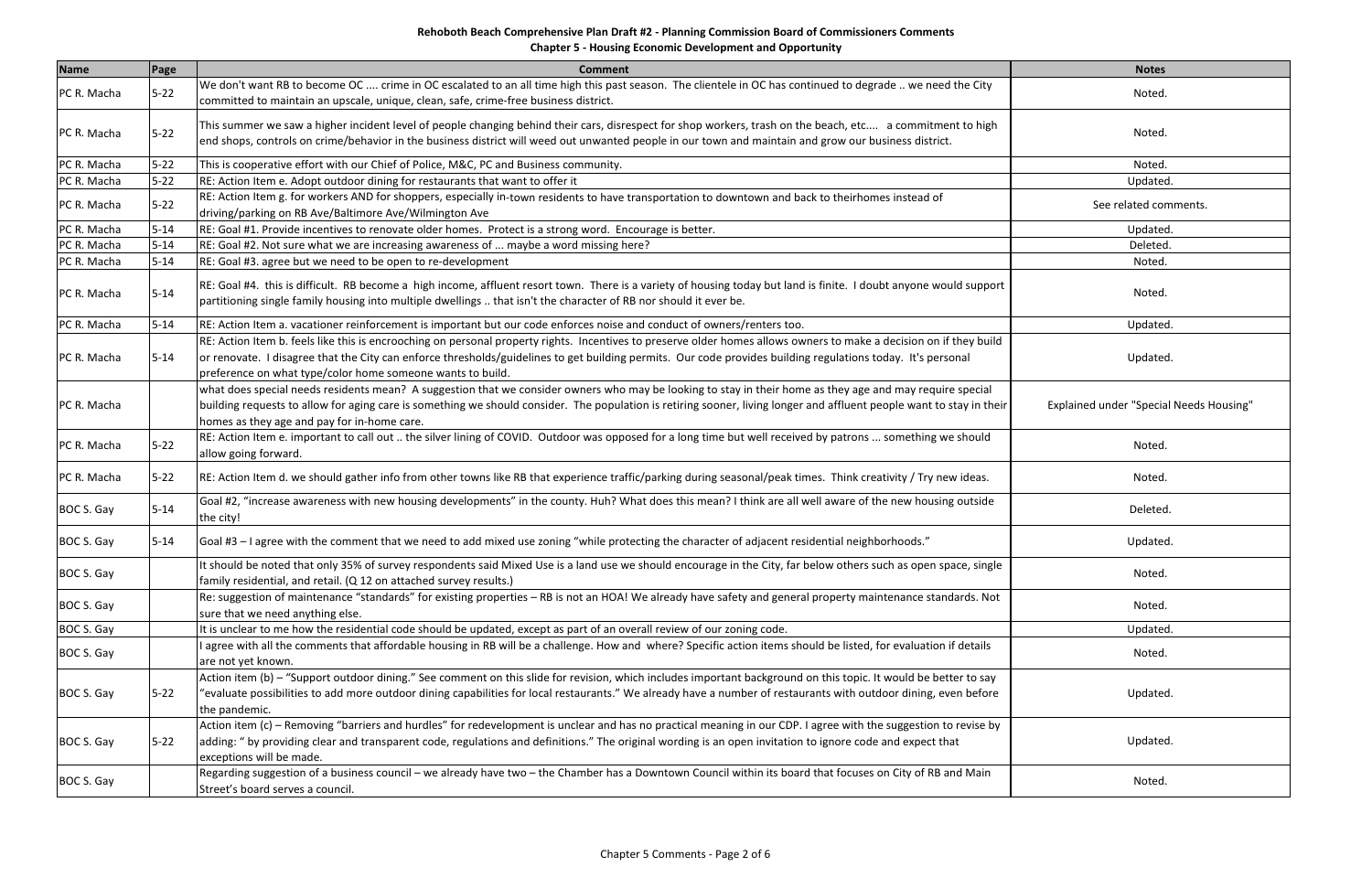**Chapter 5 ‐ Housing Economic Development and Opportunity**

| <b>Name</b> | Page     | <b>Comment</b>                                                                                                                                                                                                                                                                                                                                                                                    | <b>Notes</b>                                   |
|-------------|----------|---------------------------------------------------------------------------------------------------------------------------------------------------------------------------------------------------------------------------------------------------------------------------------------------------------------------------------------------------------------------------------------------------|------------------------------------------------|
| PC R. Macha | $5-22$   | We don't want RB to become OC  crime in OC escalated to an all time high this past season. The clientele in OC has continued to degrade  we need the City<br>committed to maintain an upscale, unique, clean, safe, crime-free business district.                                                                                                                                                 | Noted.                                         |
| PC R. Macha | $5-22$   | This summer we saw a higher incident level of people changing behind their cars, disrespect for shop workers, trash on the beach, etc a commitment to high<br>end shops, controls on crime/behavior in the business district will weed out unwanted people in our town and maintain and grow our business district.                                                                               | Noted.                                         |
| PC R. Macha | $5 - 22$ | This is cooperative effort with our Chief of Police, M&C, PC and Business community.                                                                                                                                                                                                                                                                                                              | Noted.                                         |
| PC R. Macha | $5 - 22$ | RE: Action Item e. Adopt outdoor dining for restaurants that want to offer it                                                                                                                                                                                                                                                                                                                     | Updated.                                       |
| PC R. Macha | $5 - 22$ | RE: Action Item g. for workers AND for shoppers, especially in-town residents to have transportation to downtown and back to theirhomes instead of<br>driving/parking on RB Ave/Baltimore Ave/Wilmington Ave                                                                                                                                                                                      | See related comments.                          |
| PC R. Macha | $5 - 14$ | RE: Goal #1. Provide incentives to renovate older homes. Protect is a strong word. Encourage is better.                                                                                                                                                                                                                                                                                           | Updated.                                       |
| PC R. Macha | $5 - 14$ | RE: Goal #2. Not sure what we are increasing awareness of  maybe a word missing here?                                                                                                                                                                                                                                                                                                             | Deleted.                                       |
| PC R. Macha | $5 - 14$ | RE: Goal #3. agree but we need to be open to re-development                                                                                                                                                                                                                                                                                                                                       | Noted.                                         |
| PC R. Macha | $5 - 14$ | RE: Goal #4. this is difficult. RB become a high income, affluent resort town. There is a variety of housing today but land is finite. I doubt anyone would support<br>partitioning single family housing into multiple dwellings  that isn't the character of RB nor should it ever be.                                                                                                          | Noted.                                         |
| PC R. Macha | $5 - 14$ | RE: Action Item a. vacationer reinforcement is important but our code enforces noise and conduct of owners/renters too.                                                                                                                                                                                                                                                                           | Updated.                                       |
| PC R. Macha | $5 - 14$ | RE: Action Item b. feels like this is encrooching on personal property rights. Incentives to preserve older homes allows owners to make a decision on if they build<br>or renovate. I disagree that the City can enforce thresholds/guidelines to get building permits. Our code provides building regulations today. It's personal<br>preference on what type/color home someone wants to build. | Updated.                                       |
| PC R. Macha |          | what does special needs residents mean? A suggestion that we consider owners who may be looking to stay in their home as they age and may require special<br>building requests to allow for aging care is something we should consider. The population is retiring sooner, living longer and affluent people want to stay in their<br>homes as they age and pay for in-home care.                 | <b>Explained under "Special Needs Housing"</b> |
| PC R. Macha | $5 - 22$ | RE: Action Item e. important to call out  the silver lining of COVID. Outdoor was opposed for a long time but well received by patrons  something we should<br>allow going forward.                                                                                                                                                                                                               | Noted.                                         |
| PC R. Macha | $5 - 22$ | RE: Action Item d. we should gather info from other towns like RB that experience traffic/parking during seasonal/peak times. Think creativity / Try new ideas.                                                                                                                                                                                                                                   | Noted.                                         |
| BOC S. Gay  | $5 - 14$ | Goal #2, "increase awareness with new housing developments" in the county. Huh? What does this mean? I think are all well aware of the new housing outside<br>the city!                                                                                                                                                                                                                           | Deleted.                                       |
| BOC S. Gay  | $5 - 14$ | Goal #3 - I agree with the comment that we need to add mixed use zoning "while protecting the character of adjacent residential neighborhoods."                                                                                                                                                                                                                                                   | Updated.                                       |
| BOC S. Gay  |          | It should be noted that only 35% of survey respondents said Mixed Use is a land use we should encourage in the City, far below others such as open space, single<br>family residential, and retail. (Q 12 on attached survey results.)                                                                                                                                                            | Noted.                                         |
| BOC S. Gay  |          | Re: suggestion of maintenance "standards" for existing properties - RB is not an HOA! We already have safety and general property maintenance standards. Not<br>sure that we need anything else.                                                                                                                                                                                                  | Noted.                                         |
| BOC S. Gay  |          | It is unclear to me how the residential code should be updated, except as part of an overall review of our zoning code.                                                                                                                                                                                                                                                                           | Updated.                                       |
| BOC S. Gay  |          | I agree with all the comments that affordable housing in RB will be a challenge. How and where? Specific action items should be listed, for evaluation if details<br>are not yet known.                                                                                                                                                                                                           | Noted.                                         |
| BOC S. Gay  | $5 - 22$ | Action item (b) – "Support outdoor dining." See comment on this slide for revision, which includes important background on this topic. It would be better to say<br>"evaluate possibilities to add more outdoor dining capabilities for local restaurants." We already have a number of restaurants with outdoor dining, even before<br>the pandemic.                                             | Updated.                                       |
| BOC S. Gay  | $5 - 22$ | Action item (c) – Removing "barriers and hurdles" for redevelopment is unclear and has no practical meaning in our CDP. I agree with the suggestion to revise by<br>adding: " by providing clear and transparent code, regulations and definitions." The original wording is an open invitation to ignore code and expect that<br>exceptions will be made.                                        | Updated.                                       |
| BOC S. Gay  |          | Regarding suggestion of a business council – we already have two – the Chamber has a Downtown Council within its board that focuses on City of RB and Main<br>Street's board serves a council.                                                                                                                                                                                                    | Noted.                                         |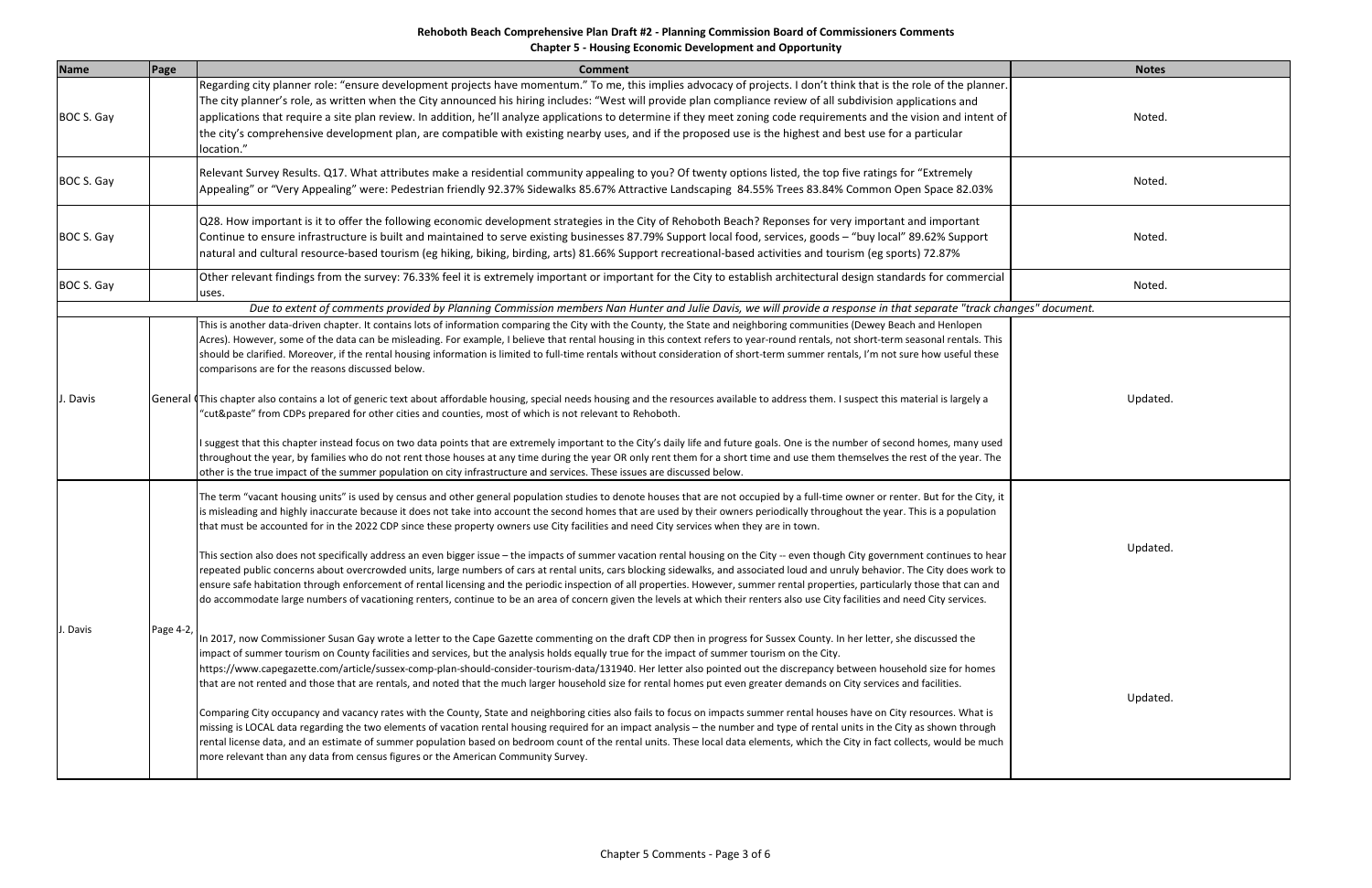# **Rehoboth Beach Comprehensive Plan Draft #2 ‐ Planning Commission Board of Commissioners Comments Chapter 5 ‐ Housing Economic Development and Opportunity**

| <b>Name</b> | Page      | <b>Comment</b>                                                                                                                                                                                                                                                                                                                                                                                                                                                                                                                                                                                                                                                                                                                                                                                                                                                                                                                                                                                                                                                                                                                                                                                                                                                                                                           | <b>Notes</b> |
|-------------|-----------|--------------------------------------------------------------------------------------------------------------------------------------------------------------------------------------------------------------------------------------------------------------------------------------------------------------------------------------------------------------------------------------------------------------------------------------------------------------------------------------------------------------------------------------------------------------------------------------------------------------------------------------------------------------------------------------------------------------------------------------------------------------------------------------------------------------------------------------------------------------------------------------------------------------------------------------------------------------------------------------------------------------------------------------------------------------------------------------------------------------------------------------------------------------------------------------------------------------------------------------------------------------------------------------------------------------------------|--------------|
| BOC S. Gay  |           | Regarding city planner role: "ensure development projects have momentum." To me, this implies advocacy of projects. I don't think that is the role of the planner.<br>The city planner's role, as written when the City announced his hiring includes: "West will provide plan compliance review of all subdivision applications and<br>applications that require a site plan review. In addition, he'll analyze applications to determine if they meet zoning code requirements and the vision and intent of<br>the city's comprehensive development plan, are compatible with existing nearby uses, and if the proposed use is the highest and best use for a particular<br>location."                                                                                                                                                                                                                                                                                                                                                                                                                                                                                                                                                                                                                                 | Noted.       |
| BOC S. Gay  |           | Relevant Survey Results. Q17. What attributes make a residential community appealing to you? Of twenty options listed, the top five ratings for "Extremely<br>Appealing" or "Very Appealing" were: Pedestrian friendly 92.37% Sidewalks 85.67% Attractive Landscaping 84.55% Trees 83.84% Common Open Space 82.03%                                                                                                                                                                                                                                                                                                                                                                                                                                                                                                                                                                                                                                                                                                                                                                                                                                                                                                                                                                                                       | Noted.       |
| BOC S. Gay  |           | Q28. How important is it to offer the following economic development strategies in the City of Rehoboth Beach? Reponses for very important and important<br>Continue to ensure infrastructure is built and maintained to serve existing businesses 87.79% Support local food, services, goods - "buy local" 89.62% Support<br>natural and cultural resource-based tourism (eg hiking, biking, birding, arts) 81.66% Support recreational-based activities and tourism (eg sports) 72.87%                                                                                                                                                                                                                                                                                                                                                                                                                                                                                                                                                                                                                                                                                                                                                                                                                                 | Noted.       |
| BOC S. Gay  |           | Other relevant findings from the survey: 76.33% feel it is extremely important or important for the City to establish architectural design standards for commercial<br>uses.                                                                                                                                                                                                                                                                                                                                                                                                                                                                                                                                                                                                                                                                                                                                                                                                                                                                                                                                                                                                                                                                                                                                             | Noted.       |
|             |           | Due to extent of comments provided by Planning Commission members Nan Hunter and Julie Davis, we will provide a response in that separate "track changes" document.                                                                                                                                                                                                                                                                                                                                                                                                                                                                                                                                                                                                                                                                                                                                                                                                                                                                                                                                                                                                                                                                                                                                                      |              |
| . Davis     |           | This is another data-driven chapter. It contains lots of information comparing the City with the County, the State and neighboring communities (Dewey Beach and Henlopen<br>Acres). However, some of the data can be misleading. For example, I believe that rental housing in this context refers to year-round rentals, not short-term seasonal rentals. This<br>should be clarified. Moreover, if the rental housing information is limited to full-time rentals without consideration of short-term summer rentals, I'm not sure how useful these<br>comparisons are for the reasons discussed below.<br>General (This chapter also contains a lot of generic text about affordable housing, special needs housing and the resources available to address them. I suspect this material is largely a                                                                                                                                                                                                                                                                                                                                                                                                                                                                                                                 |              |
|             |           | "cut&paste" from CDPs prepared for other cities and counties, most of which is not relevant to Rehoboth.<br>I suggest that this chapter instead focus on two data points that are extremely important to the City's daily life and future goals. One is the number of second homes, many used<br>throughout the year, by families who do not rent those houses at any time during the year OR only rent them for a short time and use them themselves the rest of the year. The<br>other is the true impact of the summer population on city infrastructure and services. These issues are discussed below.                                                                                                                                                                                                                                                                                                                                                                                                                                                                                                                                                                                                                                                                                                              | Updated.     |
| J. Davis    |           | The term "vacant housing units" is used by census and other general population studies to denote houses that are not occupied by a full-time owner or renter. But for the City, it<br>is misleading and highly inaccurate because it does not take into account the second homes that are used by their owners periodically throughout the year. This is a population<br>that must be accounted for in the 2022 CDP since these property owners use City facilities and need City services when they are in town.<br>This section also does not specifically address an even bigger issue - the impacts of summer vacation rental housing on the City -- even though City government continues to hear<br>repeated public concerns about overcrowded units, large numbers of cars at rental units, cars blocking sidewalks, and associated loud and unruly behavior. The City does work to<br>ensure safe habitation through enforcement of rental licensing and the periodic inspection of all properties. However, summer rental properties, particularly those that can and<br>do accommodate large numbers of vacationing renters, continue to be an area of concern given the levels at which their renters also use City facilities and need City services.                                                        | Updated.     |
|             | Page 4-2, | In 2017, now Commissioner Susan Gay wrote a letter to the Cape Gazette commenting on the draft CDP then in progress for Sussex County. In her letter, she discussed the<br>impact of summer tourism on County facilities and services, but the analysis holds equally true for the impact of summer tourism on the City.<br>https://www.capegazette.com/article/sussex-comp-plan-should-consider-tourism-data/131940. Her letter also pointed out the discrepancy between household size for homes<br>that are not rented and those that are rentals, and noted that the much larger household size for rental homes put even greater demands on City services and facilities.<br>Comparing City occupancy and vacancy rates with the County, State and neighboring cities also fails to focus on impacts summer rental houses have on City resources. What is<br>missing is LOCAL data regarding the two elements of vacation rental housing required for an impact analysis – the number and type of rental units in the City as shown through<br>rental license data, and an estimate of summer population based on bedroom count of the rental units. These local data elements, which the City in fact collects, would be much<br>more relevant than any data from census figures or the American Community Survey. | Updated.     |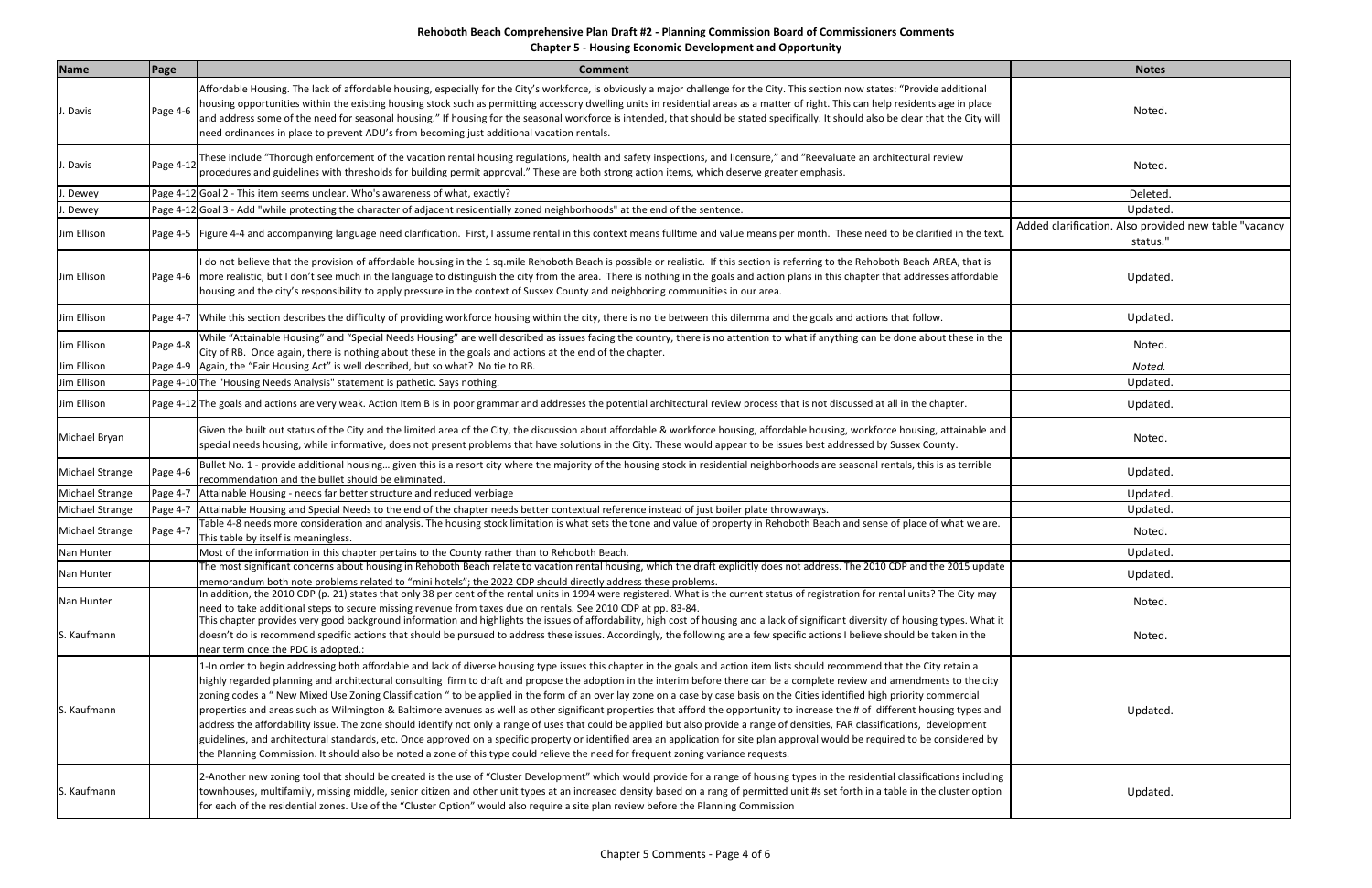# **Rehoboth Beach Comprehensive Plan Draft #2 ‐ Planning Commission Board of Commissioners Comments Chapter 5 ‐ Housing Economic Development and Opportunity**

| Name            | Page      | <b>Comment</b>                                                                                                                                                                                                                                                                                                                                                                                                                                                                                                                                                                                                                                                                                                                                                                                                                                                                                                                                                                                                                                                                                                                                                                                                                                     | <b>Notes</b>                                                      |
|-----------------|-----------|----------------------------------------------------------------------------------------------------------------------------------------------------------------------------------------------------------------------------------------------------------------------------------------------------------------------------------------------------------------------------------------------------------------------------------------------------------------------------------------------------------------------------------------------------------------------------------------------------------------------------------------------------------------------------------------------------------------------------------------------------------------------------------------------------------------------------------------------------------------------------------------------------------------------------------------------------------------------------------------------------------------------------------------------------------------------------------------------------------------------------------------------------------------------------------------------------------------------------------------------------|-------------------------------------------------------------------|
| . Davis         | Page 4-6  | Affordable Housing. The lack of affordable housing, especially for the City's workforce, is obviously a major challenge for the City. This section now states: "Provide additional<br>housing opportunities within the existing housing stock such as permitting accessory dwelling units in residential areas as a matter of right. This can help residents age in place<br>and address some of the need for seasonal housing." If housing for the seasonal workforce is intended, that should be stated specifically. It should also be clear that the City will<br>need ordinances in place to prevent ADU's from becoming just additional vacation rentals.                                                                                                                                                                                                                                                                                                                                                                                                                                                                                                                                                                                    | Noted.                                                            |
| . Davis         | Page 4-12 | These include "Thorough enforcement of the vacation rental housing regulations, health and safety inspections, and licensure," and "Reevaluate an architectural review<br>procedures and guidelines with thresholds for building permit approval." These are both strong action items, which deserve greater emphasis.                                                                                                                                                                                                                                                                                                                                                                                                                                                                                                                                                                                                                                                                                                                                                                                                                                                                                                                             | <b>Noted</b>                                                      |
| . Dewey         |           | Page 4-12 Goal 2 - This item seems unclear. Who's awareness of what, exactly?                                                                                                                                                                                                                                                                                                                                                                                                                                                                                                                                                                                                                                                                                                                                                                                                                                                                                                                                                                                                                                                                                                                                                                      | Deleted                                                           |
| . Dewey         |           | Page 4-12 Goal 3 - Add "while protecting the character of adjacent residentially zoned neighborhoods" at the end of the sentence.                                                                                                                                                                                                                                                                                                                                                                                                                                                                                                                                                                                                                                                                                                                                                                                                                                                                                                                                                                                                                                                                                                                  | Updated.                                                          |
| Jim Ellison     |           | Page 4-5   Figure 4-4 and accompanying language need clarification. First, I assume rental in this context means fulltime and value means per month. These need to be clarified in the text.                                                                                                                                                                                                                                                                                                                                                                                                                                                                                                                                                                                                                                                                                                                                                                                                                                                                                                                                                                                                                                                       | Added clarification. Also provided new table "vacancy<br>status." |
| Jim Ellison     |           | I do not believe that the provision of affordable housing in the 1 sq.mile Rehoboth Beach is possible or realistic. If this section is referring to the Rehoboth Beach AREA, that is<br>Page 4-6  more realistic, but I don't see much in the language to distinguish the city from the area. There is nothing in the goals and action plans in this chapter that addresses affordable<br>housing and the city's responsibility to apply pressure in the context of Sussex County and neighboring communities in our area.                                                                                                                                                                                                                                                                                                                                                                                                                                                                                                                                                                                                                                                                                                                         | Updated.                                                          |
| Jim Ellison     |           | Page 4-7 While this section describes the difficulty of providing workforce housing within the city, there is no tie between this dilemma and the goals and actions that follow.                                                                                                                                                                                                                                                                                                                                                                                                                                                                                                                                                                                                                                                                                                                                                                                                                                                                                                                                                                                                                                                                   | Updated.                                                          |
| Jim Ellison     | Page 4-8  | While "Attainable Housing" and "Special Needs Housing" are well described as issues facing the country, there is no attention to what if anything can be done about these in the<br>City of RB. Once again, there is nothing about these in the goals and actions at the end of the chapter.                                                                                                                                                                                                                                                                                                                                                                                                                                                                                                                                                                                                                                                                                                                                                                                                                                                                                                                                                       | Noted.                                                            |
| Jim Ellison     |           | Page 4-9 Again, the "Fair Housing Act" is well described, but so what? No tie to RB.                                                                                                                                                                                                                                                                                                                                                                                                                                                                                                                                                                                                                                                                                                                                                                                                                                                                                                                                                                                                                                                                                                                                                               | Noted.                                                            |
| Jim Ellison     |           | Page 4-10 The "Housing Needs Analysis" statement is pathetic. Says nothing.                                                                                                                                                                                                                                                                                                                                                                                                                                                                                                                                                                                                                                                                                                                                                                                                                                                                                                                                                                                                                                                                                                                                                                        | Updated.                                                          |
| Jim Ellison     |           | Page 4-12 The goals and actions are very weak. Action Item B is in poor grammar and addresses the potential architectural review process that is not discussed at all in the chapter.                                                                                                                                                                                                                                                                                                                                                                                                                                                                                                                                                                                                                                                                                                                                                                                                                                                                                                                                                                                                                                                              | Updated.                                                          |
| Michael Bryan   |           | Given the built out status of the City and the limited area of the City, the discussion about affordable & workforce housing, affordable housing, workforce housing, attainable and<br>special needs housing, while informative, does not present problems that have solutions in the City. These would appear to be issues best addressed by Sussex County.                                                                                                                                                                                                                                                                                                                                                                                                                                                                                                                                                                                                                                                                                                                                                                                                                                                                                       | Noted.                                                            |
| Michael Strange | Page 4-6  | Bullet No. 1 - provide additional housing given this is a resort city where the majority of the housing stock in residential neighborhoods are seasonal rentals, this is as terrible<br>recommendation and the bullet should be eliminated.                                                                                                                                                                                                                                                                                                                                                                                                                                                                                                                                                                                                                                                                                                                                                                                                                                                                                                                                                                                                        | Updated.                                                          |
| Michael Strange | Page 4-7  | Attainable Housing - needs far better structure and reduced verbiage                                                                                                                                                                                                                                                                                                                                                                                                                                                                                                                                                                                                                                                                                                                                                                                                                                                                                                                                                                                                                                                                                                                                                                               | Updated.                                                          |
| Michael Strange | Page 4-7  | Attainable Housing and Special Needs to the end of the chapter needs better contextual reference instead of just boiler plate throwaways.                                                                                                                                                                                                                                                                                                                                                                                                                                                                                                                                                                                                                                                                                                                                                                                                                                                                                                                                                                                                                                                                                                          | Updated.                                                          |
| Michael Strange | Page 4-7  | Table 4-8 needs more consideration and analysis. The housing stock limitation is what sets the tone and value of property in Rehoboth Beach and sense of place of what we are.<br>This table by itself is meaningless.                                                                                                                                                                                                                                                                                                                                                                                                                                                                                                                                                                                                                                                                                                                                                                                                                                                                                                                                                                                                                             | Noted.                                                            |
| Nan Hunter      |           | Most of the information in this chapter pertains to the County rather than to Rehoboth Beach.                                                                                                                                                                                                                                                                                                                                                                                                                                                                                                                                                                                                                                                                                                                                                                                                                                                                                                                                                                                                                                                                                                                                                      | Updated.                                                          |
| Nan Hunter      |           | The most significant concerns about housing in Rehoboth Beach relate to vacation rental housing, which the draft explicitly does not address. The 2010 CDP and the 2015 update<br>memorandum both note problems related to "mini hotels"; the 2022 CDP should directly address these problems.                                                                                                                                                                                                                                                                                                                                                                                                                                                                                                                                                                                                                                                                                                                                                                                                                                                                                                                                                     | Updated.                                                          |
| Nan Hunter      |           | In addition, the 2010 CDP (p. 21) states that only 38 per cent of the rental units in 1994 were registered. What is the current status of registration for rental units? The City may<br>need to take additional steps to secure missing revenue from taxes due on rentals. See 2010 CDP at pp. 83-84.                                                                                                                                                                                                                                                                                                                                                                                                                                                                                                                                                                                                                                                                                                                                                                                                                                                                                                                                             | Noted.                                                            |
| S. Kaufmann     |           | This chapter provides very good background information and highlights the issues of affordability, high cost of housing and a lack of significant diversity of housing types. What it<br>doesn't do is recommend specific actions that should be pursued to address these issues. Accordingly, the following are a few specific actions I believe should be taken in the<br>near term once the PDC is adopted.:                                                                                                                                                                                                                                                                                                                                                                                                                                                                                                                                                                                                                                                                                                                                                                                                                                    | Noted.                                                            |
| S. Kaufmann     |           | 1-In order to begin addressing both affordable and lack of diverse housing type issues this chapter in the goals and action item lists should recommend that the City retain a<br>highly regarded planning and architectural consulting firm to draft and propose the adoption in the interim before there can be a complete review and amendments to the city<br>zoning codes a "New Mixed Use Zoning Classification " to be applied in the form of an over lay zone on a case by case basis on the Cities identified high priority commercial<br>properties and areas such as Wilmington & Baltimore avenues as well as other significant properties that afford the opportunity to increase the # of different housing types and<br>address the affordability issue. The zone should identify not only a range of uses that could be applied but also provide a range of densities, FAR classifications, development<br>guidelines, and architectural standards, etc. Once approved on a specific property or identified area an application for site plan approval would be required to be considered by<br>the Planning Commission. It should also be noted a zone of this type could relieve the need for frequent zoning variance requests. | Updated.                                                          |
| S. Kaufmann     |           | 2-Another new zoning tool that should be created is the use of "Cluster Development" which would provide for a range of housing types in the residential classifications including<br>townhouses, multifamily, missing middle, senior citizen and other unit types at an increased density based on a rang of permitted unit #s set forth in a table in the cluster option<br>for each of the residential zones. Use of the "Cluster Option" would also require a site plan review before the Planning Commission                                                                                                                                                                                                                                                                                                                                                                                                                                                                                                                                                                                                                                                                                                                                  | Updated.                                                          |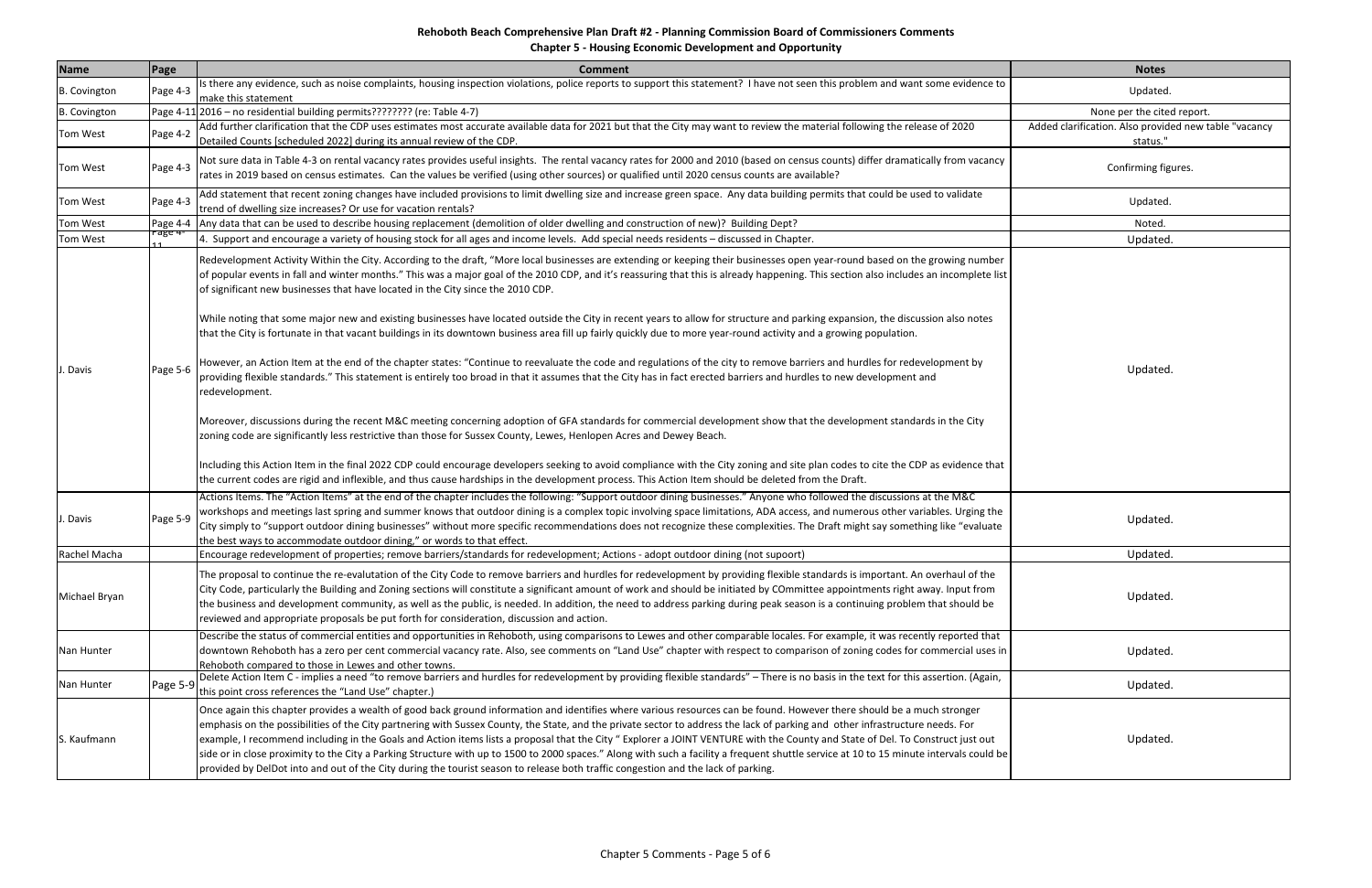**Chapter 5 ‐ Housing Economic Development and Opportunity**

| Name                | Page     | <b>Comment</b>                                                                                                                                                                                                                                                                                                                                                                                                                                                                                                                                                                                                                                                                                                                                                                                                                                                                                                                                                                                  | <b>Notes</b>                                                      |
|---------------------|----------|-------------------------------------------------------------------------------------------------------------------------------------------------------------------------------------------------------------------------------------------------------------------------------------------------------------------------------------------------------------------------------------------------------------------------------------------------------------------------------------------------------------------------------------------------------------------------------------------------------------------------------------------------------------------------------------------------------------------------------------------------------------------------------------------------------------------------------------------------------------------------------------------------------------------------------------------------------------------------------------------------|-------------------------------------------------------------------|
| <b>B.</b> Covington | Page 4-3 | Is there any evidence, such as noise complaints, housing inspection violations, police reports to support this statement? I have not seen this problem and want some evidence to<br>make this statement                                                                                                                                                                                                                                                                                                                                                                                                                                                                                                                                                                                                                                                                                                                                                                                         | Updated.                                                          |
| <b>B.</b> Covington |          | Page 4-11 2016 - no residential building permits???????? (re: Table 4-7)                                                                                                                                                                                                                                                                                                                                                                                                                                                                                                                                                                                                                                                                                                                                                                                                                                                                                                                        | None per the cited report.                                        |
| Tom West            | Page 4-2 | Add further clarification that the CDP uses estimates most accurate available data for 2021 but that the City may want to review the material following the release of 2020<br>Detailed Counts [scheduled 2022] during its annual review of the CDP.                                                                                                                                                                                                                                                                                                                                                                                                                                                                                                                                                                                                                                                                                                                                            | Added clarification. Also provided new table "vacancy<br>status." |
| <b>Tom West</b>     | Page 4-3 | Not sure data in Table 4-3 on rental vacancy rates provides useful insights. The rental vacancy rates for 2000 and 2010 (based on census counts) differ dramatically from vacancy<br>rates in 2019 based on census estimates. Can the values be verified (using other sources) or qualified until 2020 census counts are available?                                                                                                                                                                                                                                                                                                                                                                                                                                                                                                                                                                                                                                                             | Confirming figures.                                               |
| Tom West            | Page 4-3 | Add statement that recent zoning changes have included provisions to limit dwelling size and increase green space. Any data building permits that could be used to validate<br>trend of dwelling size increases? Or use for vacation rentals?                                                                                                                                                                                                                                                                                                                                                                                                                                                                                                                                                                                                                                                                                                                                                   | Updated.                                                          |
| <b>Tom West</b>     | Page 4-4 | Any data that can be used to describe housing replacement (demolition of older dwelling and construction of new)? Building Dept?                                                                                                                                                                                                                                                                                                                                                                                                                                                                                                                                                                                                                                                                                                                                                                                                                                                                | Noted.                                                            |
| <b>Tom West</b>     | rage 4   | 4. Support and encourage a variety of housing stock for all ages and income levels. Add special needs residents - discussed in Chapter.                                                                                                                                                                                                                                                                                                                                                                                                                                                                                                                                                                                                                                                                                                                                                                                                                                                         | Updated.                                                          |
|                     | Page 5-6 | Redevelopment Activity Within the City. According to the draft, "More local businesses are extending or keeping their businesses open year-round based on the growing number<br>of popular events in fall and winter months." This was a major goal of the 2010 CDP, and it's reassuring that this is already happening. This section also includes an incomplete list<br>of significant new businesses that have located in the City since the 2010 CDP.<br>While noting that some major new and existing businesses have located outside the City in recent years to allow for structure and parking expansion, the discussion also notes<br>that the City is fortunate in that vacant buildings in its downtown business area fill up fairly quickly due to more year-round activity and a growing population.<br>However, an Action Item at the end of the chapter states: "Continue to reevaluate the code and regulations of the city to remove barriers and hurdles for redevelopment by |                                                                   |
| l. Davis            |          | providing flexible standards." This statement is entirely too broad in that it assumes that the City has in fact erected barriers and hurdles to new development and<br>redevelopment.<br>Moreover, discussions during the recent M&C meeting concerning adoption of GFA standards for commercial development show that the development standards in the City<br>zoning code are significantly less restrictive than those for Sussex County, Lewes, Henlopen Acres and Dewey Beach.<br>Including this Action Item in the final 2022 CDP could encourage developers seeking to avoid compliance with the City zoning and site plan codes to cite the CDP as evidence that<br>the current codes are rigid and inflexible, and thus cause hardships in the development process. This Action Item should be deleted from the Draft.                                                                                                                                                                | Updated.                                                          |
| J. Davis            | Page 5-9 | Actions Items. The "Action Items" at the end of the chapter includes the following: "Support outdoor dining businesses." Anyone who followed the discussions at the M&C<br>workshops and meetings last spring and summer knows that outdoor dining is a complex topic involving space limitations, ADA access, and numerous other variables. Urging the<br>City simply to "support outdoor dining businesses" without more specific recommendations does not recognize these complexities. The Draft might say something like "evaluate<br>the best ways to accommodate outdoor dining," or words to that effect                                                                                                                                                                                                                                                                                                                                                                                | Updated.                                                          |
| Rachel Macha        |          | [Encourage redevelopment of properties; remove barriers/standards for redevelopment; Actions - adopt outdoor dining (not supoort)                                                                                                                                                                                                                                                                                                                                                                                                                                                                                                                                                                                                                                                                                                                                                                                                                                                               | Updated.                                                          |
| Michael Bryan       |          | The proposal to continue the re-evalutation of the City Code to remove barriers and hurdles for redevelopment by providing flexible standards is important. An overhaul of the<br>City Code, particularly the Building and Zoning sections will constitute a significant amount of work and should be initiated by COmmittee appointments right away. Input from<br>the business and development community, as well as the public, is needed. In addition, the need to address parking during peak season is a continuing problem that should be<br>reviewed and appropriate proposals be put forth for consideration, discussion and action.                                                                                                                                                                                                                                                                                                                                                   | Updated.                                                          |
| Nan Hunter          |          | Describe the status of commercial entities and opportunities in Rehoboth, using comparisons to Lewes and other comparable locales. For example, it was recently reported that<br>downtown Rehoboth has a zero per cent commercial vacancy rate. Also, see comments on "Land Use" chapter with respect to comparison of zoning codes for commercial uses in<br>Rehoboth compared to those in Lewes and other towns.                                                                                                                                                                                                                                                                                                                                                                                                                                                                                                                                                                              | Updated.                                                          |
| Nan Hunter          | Page 5-9 | Delete Action Item C - implies a need "to remove barriers and hurdles for redevelopment by providing flexible standards" - There is no basis in the text for this assertion. (Again,<br>this point cross references the "Land Use" chapter.)                                                                                                                                                                                                                                                                                                                                                                                                                                                                                                                                                                                                                                                                                                                                                    | Updated.                                                          |
| S. Kaufmann         |          | Once again this chapter provides a wealth of good back ground information and identifies where various resources can be found. However there should be a much stronger<br>emphasis on the possibilities of the City partnering with Sussex County, the State, and the private sector to address the lack of parking and other infrastructure needs. For<br>example, I recommend including in the Goals and Action items lists a proposal that the City " Explorer a JOINT VENTURE with the County and State of Del. To Construct just out<br>side or in close proximity to the City a Parking Structure with up to 1500 to 2000 spaces." Along with such a facility a frequent shuttle service at 10 to 15 minute intervals could be<br>provided by DelDot into and out of the City during the tourist season to release both traffic congestion and the lack of parking.                                                                                                                       | Updated.                                                          |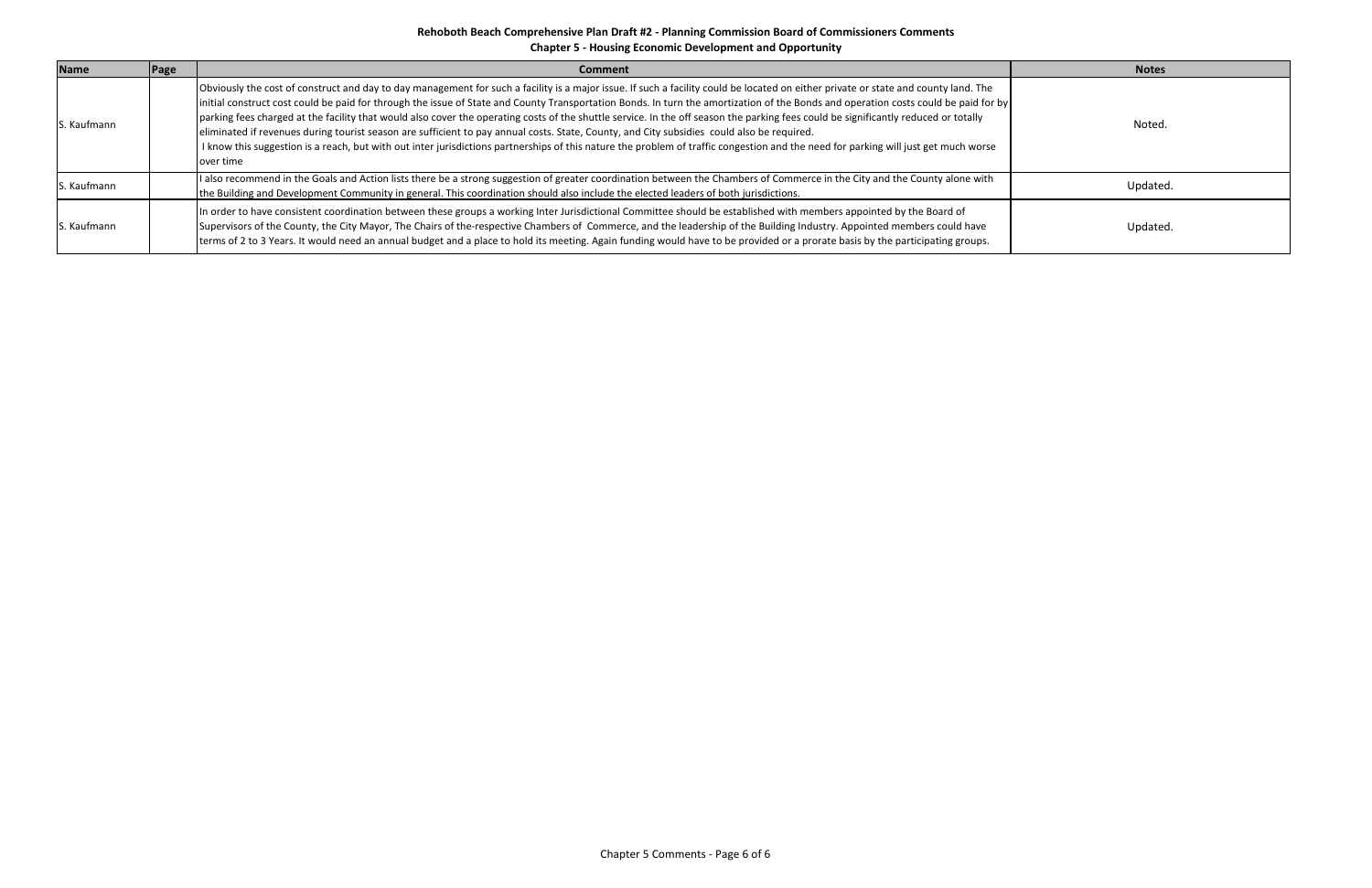## **Rehoboth Beach Comprehensive Plan Draft #2 ‐ Planning Commission Board of Commissioners Comments Chapter 5 ‐ Housing Economic Development and Opportunity**

| <b>Name</b> | Page | Comment                                                                                                                                                                                                                                                                                                                                                                                                                                                                                                                                                                                                                                                                                                                                                                                                                                                                                                               | <b>Notes</b> |
|-------------|------|-----------------------------------------------------------------------------------------------------------------------------------------------------------------------------------------------------------------------------------------------------------------------------------------------------------------------------------------------------------------------------------------------------------------------------------------------------------------------------------------------------------------------------------------------------------------------------------------------------------------------------------------------------------------------------------------------------------------------------------------------------------------------------------------------------------------------------------------------------------------------------------------------------------------------|--------------|
| S. Kaufmann |      | Obviously the cost of construct and day to day management for such a facility is a major issue. If such a facility could be located on either private or state and county land. The<br> initial construct cost could be paid for through the issue of State and County Transportation Bonds. In turn the amortization of the Bonds and operation costs could be paid for by <br>parking fees charged at the facility that would also cover the operating costs of the shuttle service. In the off season the parking fees could be significantly reduced or totally<br>eliminated if revenues during tourist season are sufficient to pay annual costs. State, County, and City subsidies could also be required.<br>I know this suggestion is a reach, but with out inter jurisdictions partnerships of this nature the problem of traffic congestion and the need for parking will just get much worse<br>over time | Noted.       |
| S. Kaufmann |      | I also recommend in the Goals and Action lists there be a strong suggestion of greater coordination between the Chambers of Commerce in the City and the County alone with<br>the Building and Development Community in general. This coordination should also include the elected leaders of both jurisdictions.                                                                                                                                                                                                                                                                                                                                                                                                                                                                                                                                                                                                     | Updated.     |
| S. Kaufmann |      | In order to have consistent coordination between these groups a working Inter Jurisdictional Committee should be established with members appointed by the Board of<br>Supervisors of the County, the City Mayor, The Chairs of the-respective Chambers of Commerce, and the leadership of the Building Industry. Appointed members could have<br>terms of 2 to 3 Years. It would need an annual budget and a place to hold its meeting. Again funding would have to be provided or a prorate basis by the participating groups.                                                                                                                                                                                                                                                                                                                                                                                      | Updated.     |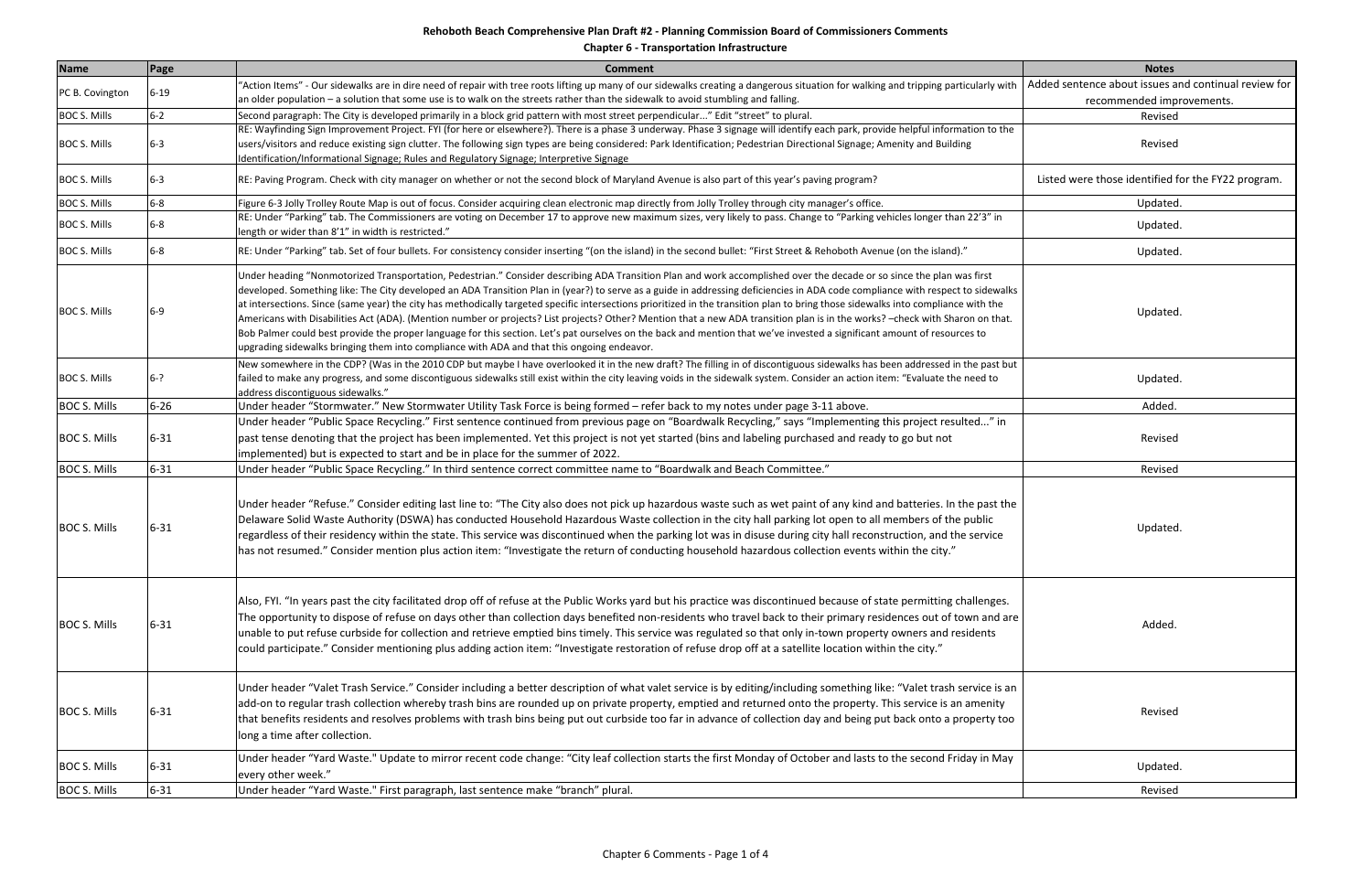| <b>Name</b>         | Page     | <b>Comment</b>                                                                                                                                                                                                                                                                                                                                                                                                                                                                                                                                                                                                                                                                                                                                                                                                                                                                                                                                                                                            | <b>Notes</b>                                         |
|---------------------|----------|-----------------------------------------------------------------------------------------------------------------------------------------------------------------------------------------------------------------------------------------------------------------------------------------------------------------------------------------------------------------------------------------------------------------------------------------------------------------------------------------------------------------------------------------------------------------------------------------------------------------------------------------------------------------------------------------------------------------------------------------------------------------------------------------------------------------------------------------------------------------------------------------------------------------------------------------------------------------------------------------------------------|------------------------------------------------------|
| PC B. Covington     | $6 - 19$ | "Action Items" - Our sidewalks are in dire need of repair with tree roots lifting up many of our sidewalks creating a dangerous situation for walking and tripping particularly with                                                                                                                                                                                                                                                                                                                                                                                                                                                                                                                                                                                                                                                                                                                                                                                                                      | Added sentence about issues and continual review for |
|                     |          | an older population - a solution that some use is to walk on the streets rather than the sidewalk to avoid stumbling and falling.                                                                                                                                                                                                                                                                                                                                                                                                                                                                                                                                                                                                                                                                                                                                                                                                                                                                         | recommended improvements.                            |
| <b>BOC S. Mills</b> | $6 - 2$  | Second paragraph: The City is developed primarily in a block grid pattern with most street perpendicular" Edit "street" to plural.                                                                                                                                                                                                                                                                                                                                                                                                                                                                                                                                                                                                                                                                                                                                                                                                                                                                        | Revised                                              |
| <b>BOC S. Mills</b> | $6 - 3$  | RE: Wayfinding Sign Improvement Project. FYI (for here or elsewhere?). There is a phase 3 underway. Phase 3 signage will identify each park, provide helpful information to the<br>users/visitors and reduce existing sign clutter. The following sign types are being considered: Park Identification; Pedestrian Directional Signage; Amenity and Building<br>Identification/Informational Signage; Rules and Regulatory Signage; Interpretive Signage                                                                                                                                                                                                                                                                                                                                                                                                                                                                                                                                                  | Revised                                              |
| <b>BOC S. Mills</b> | $6 - 3$  | RE: Paving Program. Check with city manager on whether or not the second block of Maryland Avenue is also part of this year's paving program?                                                                                                                                                                                                                                                                                                                                                                                                                                                                                                                                                                                                                                                                                                                                                                                                                                                             | Listed were those identified for the FY22 program.   |
| <b>BOC S. Mills</b> | $6-8$    | Figure 6-3 Jolly Trolley Route Map is out of focus. Consider acquiring clean electronic map directly from Jolly Trolley through city manager's office.                                                                                                                                                                                                                                                                                                                                                                                                                                                                                                                                                                                                                                                                                                                                                                                                                                                    | Updated.                                             |
| <b>BOC S. Mills</b> | $6-8$    | RE: Under "Parking" tab. The Commissioners are voting on December 17 to approve new maximum sizes, very likely to pass. Change to "Parking vehicles longer than 22'3" in<br>length or wider than 8'1" in width is restricted."                                                                                                                                                                                                                                                                                                                                                                                                                                                                                                                                                                                                                                                                                                                                                                            | Updated.                                             |
| <b>BOC S. Mills</b> | $6-8$    | RE: Under "Parking" tab. Set of four bullets. For consistency consider inserting "(on the island) in the second bullet: "First Street & Rehoboth Avenue (on the island)."                                                                                                                                                                                                                                                                                                                                                                                                                                                                                                                                                                                                                                                                                                                                                                                                                                 | Updated.                                             |
| <b>BOC S. Mills</b> | 6-9      | Under heading "Nonmotorized Transportation, Pedestrian." Consider describing ADA Transition Plan and work accomplished over the decade or so since the plan was first<br>developed. Something like: The City developed an ADA Transition Plan in (year?) to serve as a guide in addressing deficiencies in ADA code compliance with respect to sidewalks<br>at intersections. Since (same year) the city has methodically targeted specific intersections prioritized in the transition plan to bring those sidewalks into compliance with the<br>Americans with Disabilities Act (ADA). (Mention number or projects? List projects? Other? Mention that a new ADA transition plan is in the works? -check with Sharon on that.<br>Bob Palmer could best provide the proper language for this section. Let's pat ourselves on the back and mention that we've invested a significant amount of resources to<br>upgrading sidewalks bringing them into compliance with ADA and that this ongoing endeavor. | Updated.                                             |
| <b>BOC S. Mills</b> | $6 - ?$  | New somewhere in the CDP? (Was in the 2010 CDP but maybe I have overlooked it in the new draft? The filling in of discontiguous sidewalks has been addressed in the past but<br>failed to make any progress, and some discontiguous sidewalks still exist within the city leaving voids in the sidewalk system. Consider an action item: "Evaluate the need to<br>address discontiguous sidewalks."                                                                                                                                                                                                                                                                                                                                                                                                                                                                                                                                                                                                       | Updated.                                             |
| <b>BOC S. Mills</b> | $6 - 26$ | Under header "Stormwater." New Stormwater Utility Task Force is being formed - refer back to my notes under page 3-11 above.                                                                                                                                                                                                                                                                                                                                                                                                                                                                                                                                                                                                                                                                                                                                                                                                                                                                              | Added.                                               |
| <b>BOC S. Mills</b> | $6 - 31$ | Under header "Public Space Recycling." First sentence continued from previous page on "Boardwalk Recycling," says "Implementing this project resulted" in<br>past tense denoting that the project has been implemented. Yet this project is not yet started (bins and labeling purchased and ready to go but not<br>implemented) but is expected to start and be in place for the summer of 2022.                                                                                                                                                                                                                                                                                                                                                                                                                                                                                                                                                                                                         | Revised                                              |
| <b>BOC S. Mills</b> | $6 - 31$ | Under header "Public Space Recycling." In third sentence correct committee name to "Boardwalk and Beach Committee."                                                                                                                                                                                                                                                                                                                                                                                                                                                                                                                                                                                                                                                                                                                                                                                                                                                                                       | Revised                                              |
| <b>BOC S. Mills</b> | $6 - 31$ | Under header "Refuse." Consider editing last line to: "The City also does not pick up hazardous waste such as wet paint of any kind and batteries. In the past the<br>Delaware Solid Waste Authority (DSWA) has conducted Household Hazardous Waste collection in the city hall parking lot open to all members of the public<br>regardless of their residency within the state. This service was discontinued when the parking lot was in disuse during city hall reconstruction, and the service<br>has not resumed." Consider mention plus action item: "Investigate the return of conducting household hazardous collection events within the city."                                                                                                                                                                                                                                                                                                                                                  | Updated.                                             |
| <b>BOC S. Mills</b> | $6 - 31$ | Also, FYI. "In years past the city facilitated drop off of refuse at the Public Works yard but his practice was discontinued because of state permitting challenges.<br>The opportunity to dispose of refuse on days other than collection days benefited non-residents who travel back to their primary residences out of town and are<br>unable to put refuse curbside for collection and retrieve emptied bins timely. This service was regulated so that only in-town property owners and residents<br>could participate." Consider mentioning plus adding action item: "Investigate restoration of refuse drop off at a satellite location within the city."                                                                                                                                                                                                                                                                                                                                         | Added.                                               |
| <b>BOC S. Mills</b> | $6 - 31$ | Under header "Valet Trash Service." Consider including a better description of what valet service is by editing/including something like: "Valet trash service is an<br>add-on to regular trash collection whereby trash bins are rounded up on private property, emptied and returned onto the property. This service is an amenity<br>that benefits residents and resolves problems with trash bins being put out curbside too far in advance of collection day and being put back onto a property too<br>long a time after collection.                                                                                                                                                                                                                                                                                                                                                                                                                                                                 | Revised                                              |
| <b>BOC S. Mills</b> | $6 - 31$ | Under header "Yard Waste." Update to mirror recent code change: "City leaf collection starts the first Monday of October and lasts to the second Friday in May<br>every other week."                                                                                                                                                                                                                                                                                                                                                                                                                                                                                                                                                                                                                                                                                                                                                                                                                      | Updated.                                             |
| <b>BOC S. Mills</b> | $6 - 31$ | Under header "Yard Waste." First paragraph, last sentence make "branch" plural.                                                                                                                                                                                                                                                                                                                                                                                                                                                                                                                                                                                                                                                                                                                                                                                                                                                                                                                           | Revised                                              |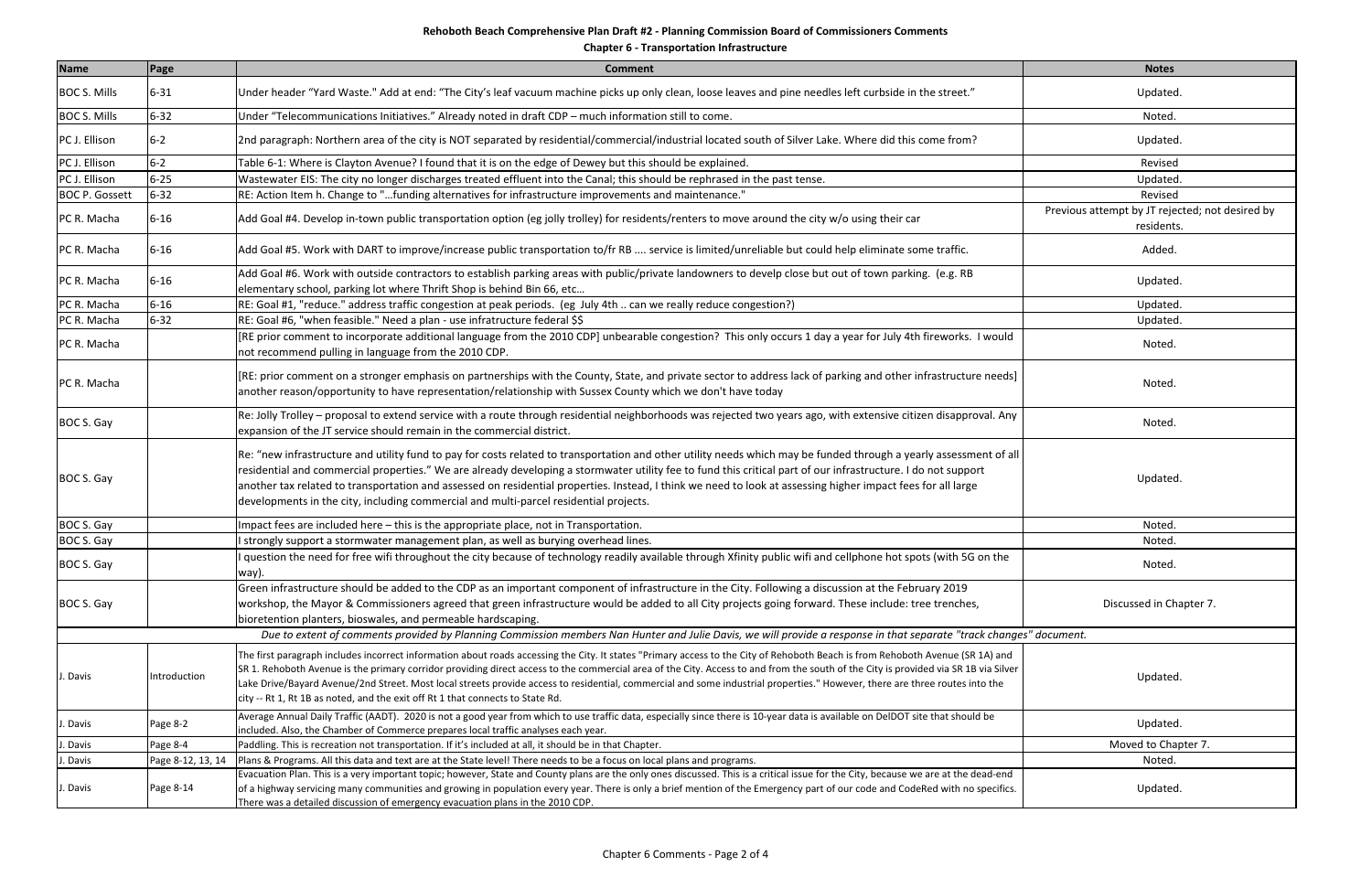| <b>Name</b>           | Page              | <b>Comment</b>                                                                                                                                                                                                                                                                                                                                                                                                                                                                                                                                                                                                                         | <b>Notes</b>                                                  |
|-----------------------|-------------------|----------------------------------------------------------------------------------------------------------------------------------------------------------------------------------------------------------------------------------------------------------------------------------------------------------------------------------------------------------------------------------------------------------------------------------------------------------------------------------------------------------------------------------------------------------------------------------------------------------------------------------------|---------------------------------------------------------------|
| <b>BOC S. Mills</b>   | $6 - 31$          | Under header "Yard Waste." Add at end: "The City's leaf vacuum machine picks up only clean, loose leaves and pine needles left curbside in the street."                                                                                                                                                                                                                                                                                                                                                                                                                                                                                | Updated.                                                      |
| <b>BOC S. Mills</b>   | $6 - 32$          | Under "Telecommunications Initiatives." Already noted in draft CDP - much information still to come.                                                                                                                                                                                                                                                                                                                                                                                                                                                                                                                                   | Noted.                                                        |
| PC J. Ellison         | $6 - 2$           | 2nd paragraph: Northern area of the city is NOT separated by residential/commercial/industrial located south of Silver Lake. Where did this come from?                                                                                                                                                                                                                                                                                                                                                                                                                                                                                 | Updated.                                                      |
| PC J. Ellison         | $6-2$             | Table 6-1: Where is Clayton Avenue? I found that it is on the edge of Dewey but this should be explained.                                                                                                                                                                                                                                                                                                                                                                                                                                                                                                                              | Revised                                                       |
| PC J. Ellison         | $6 - 25$          | Wastewater EIS: The city no longer discharges treated effluent into the Canal; this should be rephrased in the past tense.                                                                                                                                                                                                                                                                                                                                                                                                                                                                                                             | Updated.                                                      |
| <b>BOC P. Gossett</b> | $6 - 32$          | "RE: Action Item h. Change to "funding alternatives for infrastructure improvements and maintenance.                                                                                                                                                                                                                                                                                                                                                                                                                                                                                                                                   | Revised                                                       |
| PC R. Macha           | $6 - 16$          | Add Goal #4. Develop in-town public transportation option (eg jolly trolley) for residents/renters to move around the city w/o using their car                                                                                                                                                                                                                                                                                                                                                                                                                                                                                         | Previous attempt by JT rejected; not desired by<br>residents. |
| PC R. Macha           | $6 - 16$          | Add Goal #5. Work with DART to improve/increase public transportation to/fr RB  service is limited/unreliable but could help eliminate some traffic.                                                                                                                                                                                                                                                                                                                                                                                                                                                                                   | Added.                                                        |
| PC R. Macha           | $6 - 16$          | Add Goal #6. Work with outside contractors to establish parking areas with public/private landowners to develp close but out of town parking. (e.g. RB<br>elementary school, parking lot where Thrift Shop is behind Bin 66, etc                                                                                                                                                                                                                                                                                                                                                                                                       | Updated.                                                      |
| PC R. Macha           | $6 - 16$          | RE: Goal #1, "reduce." address traffic congestion at peak periods. (eg July 4th  can we really reduce congestion?)                                                                                                                                                                                                                                                                                                                                                                                                                                                                                                                     | Updated.                                                      |
| PC R. Macha           | $6 - 32$          | RE: Goal #6, "when feasible." Need a plan - use infratructure federal \$\$                                                                                                                                                                                                                                                                                                                                                                                                                                                                                                                                                             | Updated.                                                      |
| PC R. Macha           |                   | RE prior comment to incorporate additional language from the 2010 CDP] unbearable congestion? This only occurs 1 day a year for July 4th fireworks. I would<br>not recommend pulling in language from the 2010 CDP.                                                                                                                                                                                                                                                                                                                                                                                                                    | Noted.                                                        |
| PC R. Macha           |                   | [RE: prior comment on a stronger emphasis on partnerships with the County, State, and private sector to address lack of parking and other infrastructure needs]<br>another reason/opportunity to have representation/relationship with Sussex County which we don't have today                                                                                                                                                                                                                                                                                                                                                         | Noted.                                                        |
| BOC S. Gay            |                   | Re: Jolly Trolley - proposal to extend service with a route through residential neighborhoods was rejected two years ago, with extensive citizen disapproval. Any<br>expansion of the JT service should remain in the commercial district.                                                                                                                                                                                                                                                                                                                                                                                             | Noted.                                                        |
| BOC S. Gay            |                   | Re: "new infrastructure and utility fund to pay for costs related to transportation and other utility needs which may be funded through a yearly assessment of all<br>residential and commercial properties." We are already developing a stormwater utility fee to fund this critical part of our infrastructure. I do not support<br>another tax related to transportation and assessed on residential properties. Instead, I think we need to look at assessing higher impact fees for all large<br>developments in the city, including commercial and multi-parcel residential projects.                                           | Updated.                                                      |
| BOC S. Gay            |                   | Impact fees are included here - this is the appropriate place, not in Transportation.                                                                                                                                                                                                                                                                                                                                                                                                                                                                                                                                                  | Noted                                                         |
| BOC S. Gay            |                   | strongly support a stormwater management plan, as well as burying overhead lines.                                                                                                                                                                                                                                                                                                                                                                                                                                                                                                                                                      | Noted.                                                        |
| BOC S. Gay            |                   | I question the need for free wifi throughout the city because of technology readily available through Xfinity public wifi and cellphone hot spots (with 5G on the<br>way).                                                                                                                                                                                                                                                                                                                                                                                                                                                             | Noted.                                                        |
| BOC S. Gay            |                   | Green infrastructure should be added to the CDP as an important component of infrastructure in the City. Following a discussion at the February 2019<br>workshop, the Mayor & Commissioners agreed that green infrastructure would be added to all City projects going forward. These include: tree trenches,<br>bioretention planters, bioswales, and permeable hardscaping.                                                                                                                                                                                                                                                          | Discussed in Chapter 7.                                       |
|                       |                   | Due to extent of comments provided by Planning Commission members Nan Hunter and Julie Davis, we will provide a response in that separate "track changes" document.                                                                                                                                                                                                                                                                                                                                                                                                                                                                    |                                                               |
| J. Davis              | Introduction      | The first paragraph includes incorrect information about roads accessing the City. It states "Primary access to the City of Rehoboth Beach is from Rehoboth Avenue (SR 1A) and<br>SR 1. Rehoboth Avenue is the primary corridor providing direct access to the commercial area of the City. Access to and from the south of the City is provided via SR 1B via Silver<br>Lake Drive/Bayard Avenue/2nd Street. Most local streets provide access to residential, commercial and some industrial properties." However, there are three routes into the<br>city -- Rt 1, Rt 1B as noted, and the exit off Rt 1 that connects to State Rd. | Updated.                                                      |
| J. Davis              | Page 8-2          | Average Annual Daily Traffic (AADT). 2020 is not a good year from which to use traffic data, especially since there is 10-year data is available on DelDOT site that should be<br>included. Also, the Chamber of Commerce prepares local traffic analyses each year.                                                                                                                                                                                                                                                                                                                                                                   | Updated.                                                      |
| J. Davis              | Page 8-4          | Paddling. This is recreation not transportation. If it's included at all, it should be in that Chapter.                                                                                                                                                                                                                                                                                                                                                                                                                                                                                                                                | Moved to Chapter 7.                                           |
| J. Davis              | Page 8-12, 13, 14 | Plans & Programs. All this data and text are at the State level! There needs to be a focus on local plans and programs.                                                                                                                                                                                                                                                                                                                                                                                                                                                                                                                | Noted.                                                        |
| . Davis               | Page 8-14         | Evacuation Plan. This is a very important topic; however, State and County plans are the only ones discussed. This is a critical issue for the City, because we are at the dead-end<br>of a highway servicing many communities and growing in population every year. There is only a brief mention of the Emergency part of our code and CodeRed with no specifics.<br>There was a detailed discussion of emergency evacuation plans in the 2010 CDP.                                                                                                                                                                                  | Updated.                                                      |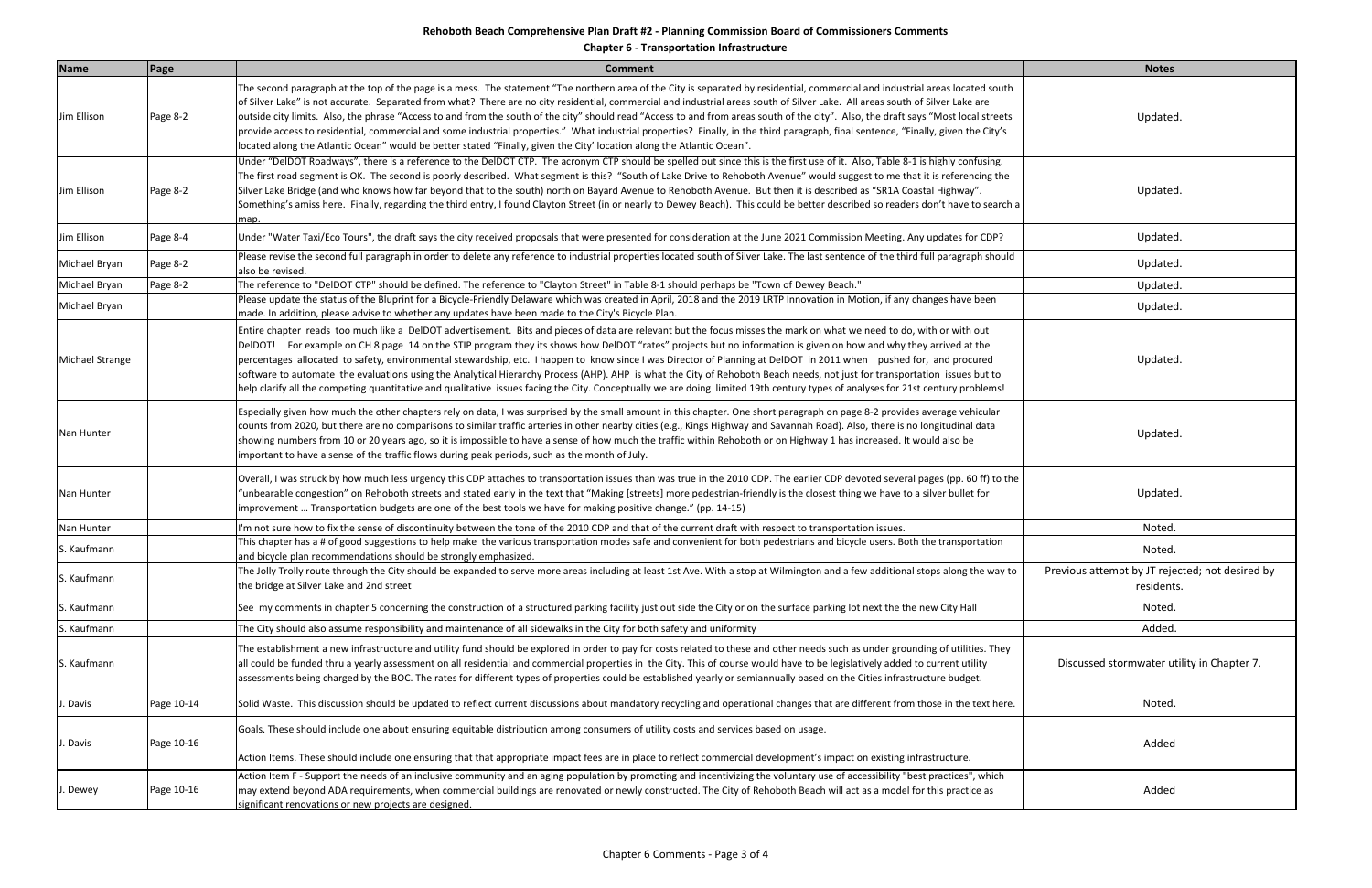| <b>Name</b>            | Page       | <b>Comment</b>                                                                                                                                                                                                                                                                                                                                                                                                                                                                                                                                                                                                                                                                                                                                                                                                                                                                      | <b>Notes</b>                                                  |
|------------------------|------------|-------------------------------------------------------------------------------------------------------------------------------------------------------------------------------------------------------------------------------------------------------------------------------------------------------------------------------------------------------------------------------------------------------------------------------------------------------------------------------------------------------------------------------------------------------------------------------------------------------------------------------------------------------------------------------------------------------------------------------------------------------------------------------------------------------------------------------------------------------------------------------------|---------------------------------------------------------------|
| Jim Ellison            | Page 8-2   | The second paragraph at the top of the page is a mess. The statement "The northern area of the City is separated by residential, commercial and industrial areas located south<br>of Silver Lake" is not accurate. Separated from what? There are no city residential, commercial and industrial areas south of Silver Lake. All areas south of Silver Lake are<br>outside city limits. Also, the phrase "Access to and from the south of the city" should read "Access to and from areas south of the city". Also, the draft says "Most local streets"<br>provide access to residential, commercial and some industrial properties." What industrial properties? Finally, in the third paragraph, final sentence, "Finally, given the City's<br>located along the Atlantic Ocean" would be better stated "Finally, given the City' location along the Atlantic Ocean".             | Updated.                                                      |
| Jim Ellison            | Page 8-2   | Under "DelDOT Roadways", there is a reference to the DelDOT CTP. The acronym CTP should be spelled out since this is the first use of it. Also, Table 8-1 is highly confusing.<br>The first road segment is OK. The second is poorly described. What segment is this? "South of Lake Drive to Rehoboth Avenue" would suggest to me that it is referencing the<br>Silver Lake Bridge (and who knows how far beyond that to the south) north on Bayard Avenue to Rehoboth Avenue. But then it is described as "SR1A Coastal Highway".<br>Something's amiss here. Finally, regarding the third entry, I found Clayton Street (in or nearly to Dewey Beach). This could be better described so readers don't have to search a<br>map.                                                                                                                                                   | Updated.                                                      |
| Jim Ellison            | Page 8-4   | Under "Water Taxi/Eco Tours", the draft says the city received proposals that were presented for consideration at the June 2021 Commission Meeting. Any updates for CDP?                                                                                                                                                                                                                                                                                                                                                                                                                                                                                                                                                                                                                                                                                                            | Updated.                                                      |
| Michael Bryan          | Page 8-2   | Please revise the second full paragraph in order to delete any reference to industrial properties located south of Silver Lake. The last sentence of the third full paragraph should<br>also be revised.                                                                                                                                                                                                                                                                                                                                                                                                                                                                                                                                                                                                                                                                            | Updated.                                                      |
| Michael Bryan          | Page 8-2   | The reference to "DelDOT CTP" should be defined. The reference to "Clayton Street" in Table 8-1 should perhaps be "Town of Dewey Beach."                                                                                                                                                                                                                                                                                                                                                                                                                                                                                                                                                                                                                                                                                                                                            | Updated.                                                      |
| Michael Bryan          |            | Please update the status of the Bluprint for a Bicycle-Friendly Delaware which was created in April, 2018 and the 2019 LRTP Innovation in Motion, if any changes have been<br>made. In addition, please advise to whether any updates have been made to the City's Bicycle Plan.                                                                                                                                                                                                                                                                                                                                                                                                                                                                                                                                                                                                    | Updated.                                                      |
| <b>Michael Strange</b> |            | Entire chapter reads too much like a DelDOT advertisement. Bits and pieces of data are relevant but the focus misses the mark on what we need to do, with or with out<br>DelDOT! For example on CH 8 page 14 on the STIP program they its shows how DelDOT "rates" projects but no information is given on how and why they arrived at the<br>percentages allocated to safety, environmental stewardship, etc. I happen to know since I was Director of Planning at DelDOT in 2011 when I pushed for, and procured<br>software to automate the evaluations using the Analytical Hierarchy Process (AHP). AHP is what the City of Rehoboth Beach needs, not just for transportation issues but to<br>help clarify all the competing quantitative and qualitative issues facing the City. Conceptually we are doing limited 19th century types of analyses for 21st century problems! | Updated.                                                      |
| Nan Hunter             |            | Especially given how much the other chapters rely on data, I was surprised by the small amount in this chapter. One short paragraph on page 8-2 provides average vehicular<br>counts from 2020, but there are no comparisons to similar traffic arteries in other nearby cities (e.g., Kings Highway and Savannah Road). Also, there is no longitudinal data<br>showing numbers from 10 or 20 years ago, so it is impossible to have a sense of how much the traffic within Rehoboth or on Highway 1 has increased. It would also be<br>important to have a sense of the traffic flows during peak periods, such as the month of July.                                                                                                                                                                                                                                              | Updated.                                                      |
| Nan Hunter             |            | Overall, I was struck by how much less urgency this CDP attaches to transportation issues than was true in the 2010 CDP. The earlier CDP devoted several pages (pp. 60 ff) to the<br>"unbearable congestion" on Rehoboth streets and stated early in the text that "Making [streets] more pedestrian-friendly is the closest thing we have to a silver bullet for<br>improvement  Transportation budgets are one of the best tools we have for making positive change." (pp. 14-15)                                                                                                                                                                                                                                                                                                                                                                                                 | Updated.                                                      |
| Nan Hunter             |            | I'm not sure how to fix the sense of discontinuity between the tone of the 2010 CDP and that of the current draft with respect to transportation issues.                                                                                                                                                                                                                                                                                                                                                                                                                                                                                                                                                                                                                                                                                                                            | Noted.                                                        |
| S. Kaufmann            |            | This chapter has a # of good suggestions to help make the various transportation modes safe and convenient for both pedestrians and bicycle users. Both the transportation<br>land bicycle plan recommendations should be strongly emphasized.                                                                                                                                                                                                                                                                                                                                                                                                                                                                                                                                                                                                                                      | Noted.                                                        |
| S. Kaufmann            |            | The Jolly Trolly route through the City should be expanded to serve more areas including at least 1st Ave. With a stop at Wilmington and a few additional stops along the way to<br>the bridge at Silver Lake and 2nd street                                                                                                                                                                                                                                                                                                                                                                                                                                                                                                                                                                                                                                                        | Previous attempt by JT rejected; not desired by<br>residents. |
| S. Kaufmann            |            | See my comments in chapter 5 concerning the construction of a structured parking facility just out side the City or on the surface parking lot next the the new City Hall                                                                                                                                                                                                                                                                                                                                                                                                                                                                                                                                                                                                                                                                                                           | Noted.                                                        |
| S. Kaufmann            |            | The City should also assume responsibility and maintenance of all sidewalks in the City for both safety and uniformity                                                                                                                                                                                                                                                                                                                                                                                                                                                                                                                                                                                                                                                                                                                                                              | Added.                                                        |
| S. Kaufmann            |            | The establishment a new infrastructure and utility fund should be explored in order to pay for costs related to these and other needs such as under grounding of utilities. They<br>all could be funded thru a yearly assessment on all residential and commercial properties in the City. This of course would have to be legislatively added to current utility<br>assessments being charged by the BOC. The rates for different types of properties could be established yearly or semiannually based on the Cities infrastructure budget.                                                                                                                                                                                                                                                                                                                                       | Discussed stormwater utility in Chapter 7.                    |
| . Davis                | Page 10-14 | Solid Waste. This discussion should be updated to reflect current discussions about mandatory recycling and operational changes that are different from those in the text here.                                                                                                                                                                                                                                                                                                                                                                                                                                                                                                                                                                                                                                                                                                     | Noted.                                                        |
| . Davis                | Page 10-16 | Goals. These should include one about ensuring equitable distribution among consumers of utility costs and services based on usage.<br>Action Items. These should include one ensuring that that appropriate impact fees are in place to reflect commercial development's impact on existing infrastructure.                                                                                                                                                                                                                                                                                                                                                                                                                                                                                                                                                                        | Added                                                         |
| I. Dewey               | Page 10-16 | Action Item F - Support the needs of an inclusive community and an aging population by promoting and incentivizing the voluntary use of accessibility "best practices", which<br>may extend beyond ADA requirements, when commercial buildings are renovated or newly constructed. The City of Rehoboth Beach will act as a model for this practice as<br>significant renovations or new projects are designed.                                                                                                                                                                                                                                                                                                                                                                                                                                                                     | Added                                                         |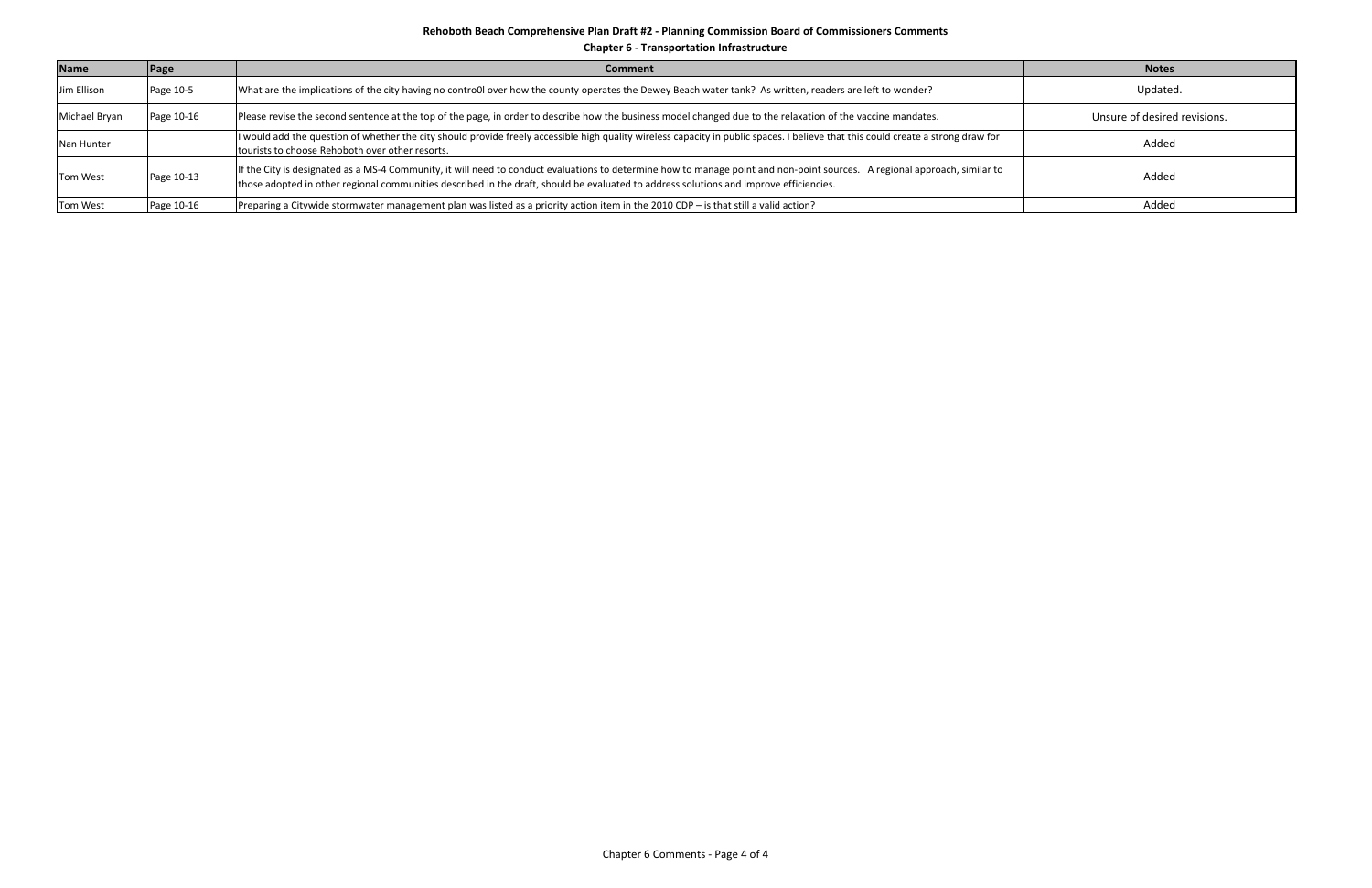| <b>Name</b>     | Page       | <b>Comment</b>                                                                                                                                                                                                                                                                                                       | <b>Notes</b>                 |
|-----------------|------------|----------------------------------------------------------------------------------------------------------------------------------------------------------------------------------------------------------------------------------------------------------------------------------------------------------------------|------------------------------|
| Jim Ellison     | Page 10-5  | What are the implications of the city having no contro0l over how the county operates the Dewey Beach water tank? As written, readers are left to wonder?                                                                                                                                                            | Updated.                     |
| Michael Bryan   | Page 10-16 | Please revise the second sentence at the top of the page, in order to describe how the business model changed due to the relaxation of the vaccine mandates.                                                                                                                                                         | Unsure of desired revisions. |
| Nan Hunter      |            | I would add the question of whether the city should provide freely accessible high quality wireless capacity in public spaces. I believe that this could create a strong draw for<br>tourists to choose Rehoboth over other resorts.                                                                                 | Added                        |
| <b>Tom West</b> | Page 10-13 | If the City is designated as a MS-4 Community, it will need to conduct evaluations to determine how to manage point and non-point sources. A regional approach, similar to<br>those adopted in other regional communities described in the draft, should be evaluated to address solutions and improve efficiencies. | Added                        |
| Tom West        | Page 10-16 | Preparing a Citywide stormwater management plan was listed as a priority action item in the 2010 CDP - is that still a valid action?                                                                                                                                                                                 | Added                        |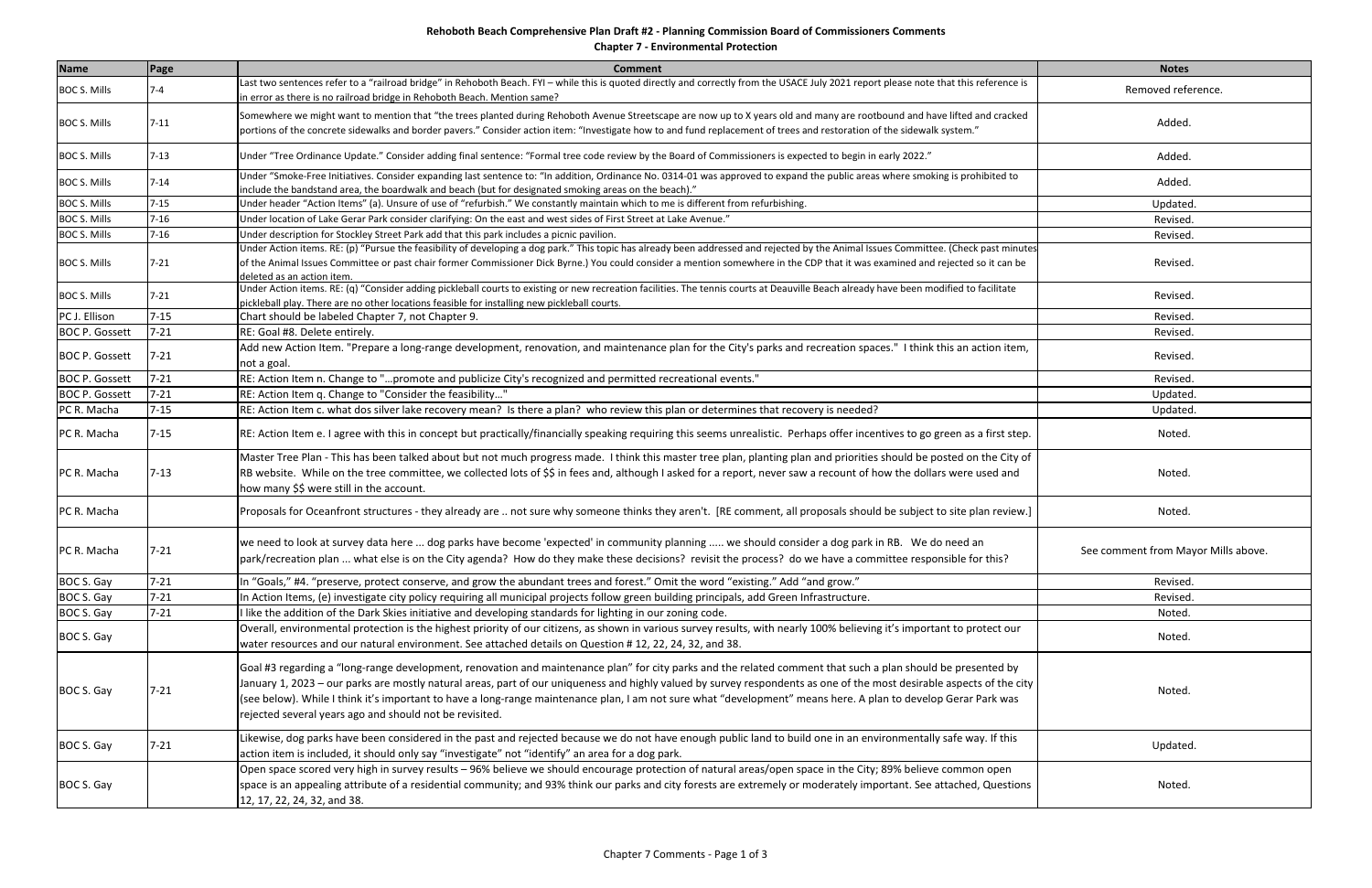**Chapter 7 ‐ Environmental Protection**

| <b>Name</b>           | <b>Page</b> | <b>Comment</b>                                                                                                                                                                                                                                                                                                                                                                                                                                                                                                                                                     | <b>Notes</b>                        |
|-----------------------|-------------|--------------------------------------------------------------------------------------------------------------------------------------------------------------------------------------------------------------------------------------------------------------------------------------------------------------------------------------------------------------------------------------------------------------------------------------------------------------------------------------------------------------------------------------------------------------------|-------------------------------------|
| <b>BOC S. Mills</b>   | $7 - 4$     | Last two sentences refer to a "railroad bridge" in Rehoboth Beach. FYI – while this is quoted directly and correctly from the USACE July 2021 report please note that this reference is<br>n error as there is no railroad bridge in Rehoboth Beach. Mention same?                                                                                                                                                                                                                                                                                                 | Removed reference.                  |
| <b>BOC S. Mills</b>   | $7 - 11$    | Somewhere we might want to mention that "the trees planted during Rehoboth Avenue Streetscape are now up to X years old and many are rootbound and have lifted and cracked<br>portions of the concrete sidewalks and border pavers." Consider action item: "Investigate how to and fund replacement of trees and restoration of the sidewalk system."                                                                                                                                                                                                              | Added.                              |
| <b>BOC S. Mills</b>   | $7 - 13$    | Under "Tree Ordinance Update." Consider adding final sentence: "Formal tree code review by the Board of Commissioners is expected to begin in early 2022."                                                                                                                                                                                                                                                                                                                                                                                                         | Added.                              |
| <b>BOC S. Mills</b>   | $7 - 14$    | Under "Smoke-Free Initiatives. Consider expanding last sentence to: "In addition, Ordinance No. 0314-01 was approved to expand the public areas where smoking is prohibited to<br>".(nclude the bandstand area, the boardwalk and beach (but for designated smoking areas on the beach                                                                                                                                                                                                                                                                             | Added.                              |
| <b>BOC S. Mills</b>   | $7 - 15$    | Jnder header "Action Items" (a). Unsure of use of "refurbish." We constantly maintain which to me is different from refurbishing.                                                                                                                                                                                                                                                                                                                                                                                                                                  | Updated.                            |
| <b>BOC S. Mills</b>   | $7 - 16$    | Under location of Lake Gerar Park consider clarifying: On the east and west sides of First Street at Lake Avenue."                                                                                                                                                                                                                                                                                                                                                                                                                                                 | Revised.                            |
| <b>BOC S. Mills</b>   | $7 - 16$    | Under description for Stockley Street Park add that this park includes a picnic pavilion.                                                                                                                                                                                                                                                                                                                                                                                                                                                                          | Revised.                            |
| <b>BOC S. Mills</b>   | $7 - 21$    | Under Action items. RE: (p) "Pursue the feasibility of developing a dog park." This topic has already been addressed and rejected by the Animal Issues Committee. (Check past minutes<br>of the Animal Issues Committee or past chair former Commissioner Dick Byrne.) You could consider a mention somewhere in the CDP that it was examined and rejected so it can be<br>deleted as an action item.                                                                                                                                                              | Revised.                            |
| <b>BOC S. Mills</b>   | $7 - 21$    | Under Action items. RE: (q) "Consider adding pickleball courts to existing or new recreation facilities. The tennis courts at Deauville Beach already have been modified to facilitate<br>pickleball play. There are no other locations feasible for installing new pickleball courts.                                                                                                                                                                                                                                                                             | Revised.                            |
| PC J. Ellison         | $7 - 15$    | Chart should be labeled Chapter 7, not Chapter 9.                                                                                                                                                                                                                                                                                                                                                                                                                                                                                                                  | Revised.                            |
| <b>BOC P. Gossett</b> | $7 - 21$    | RE: Goal #8. Delete entirely.                                                                                                                                                                                                                                                                                                                                                                                                                                                                                                                                      | Revised.                            |
| <b>BOC P. Gossett</b> | $7 - 21$    | Add new Action Item. "Prepare a long-range development, renovation, and maintenance plan for the City's parks and recreation spaces." I think this an action item,<br>not a goal.                                                                                                                                                                                                                                                                                                                                                                                  | Revised.                            |
| <b>BOC P. Gossett</b> | $7 - 21$    | RE: Action Item n. Change to "promote and publicize City's recognized and permitted recreational events."                                                                                                                                                                                                                                                                                                                                                                                                                                                          | Revised.                            |
| <b>BOC P. Gossett</b> | $7 - 21$    | RE: Action Item q. Change to "Consider the feasibility"                                                                                                                                                                                                                                                                                                                                                                                                                                                                                                            | Updated.                            |
| PC R. Macha           | $7 - 15$    | RE: Action Item c. what dos silver lake recovery mean? Is there a plan? who review this plan or determines that recovery is needed?                                                                                                                                                                                                                                                                                                                                                                                                                                | Updated.                            |
| PC R. Macha           | $7 - 15$    | RE: Action Item e. I agree with this in concept but practically/financially speaking requiring this seems unrealistic. Perhaps offer incentives to go green as a first step.                                                                                                                                                                                                                                                                                                                                                                                       | Noted.                              |
| PC R. Macha           | $7 - 13$    | Master Tree Plan - This has been talked about but not much progress made. I think this master tree plan, planting plan and priorities should be posted on the City of<br>RB website. While on the tree committee, we collected lots of \$\$ in fees and, although I asked for a report, never saw a recount of how the dollars were used and<br>how many \$\$ were still in the account.                                                                                                                                                                           | Noted.                              |
| PC R. Macha           |             | Proposals for Oceanfront structures - they already are  not sure why someone thinks they aren't. [RE comment, all proposals should be subject to site plan review.]                                                                                                                                                                                                                                                                                                                                                                                                | Noted.                              |
| PC R. Macha           | $7 - 21$    | we need to look at survey data here  dog parks have become 'expected' in community planning  we should consider a dog park in RB. We do need an<br>park/recreation plan  what else is on the City agenda? How do they make these decisions? revisit the process? do we have a committee responsible for this?                                                                                                                                                                                                                                                      | See comment from Mayor Mills above. |
| BOC S. Gay            | $7 - 21$    | In "Goals," #4. "preserve, protect conserve, and grow the abundant trees and forest." Omit the word "existing." Add "and grow."                                                                                                                                                                                                                                                                                                                                                                                                                                    | Revised.                            |
| BOC S. Gay            | $7 - 21$    | In Action Items, (e) investigate city policy requiring all municipal projects follow green building principals, add Green Infrastructure.                                                                                                                                                                                                                                                                                                                                                                                                                          | Revised.                            |
| BOC S. Gay            | $7 - 21$    | like the addition of the Dark Skies initiative and developing standards for lighting in our zoning code.                                                                                                                                                                                                                                                                                                                                                                                                                                                           | Noted.                              |
| BOC S. Gay            |             | Overall, environmental protection is the highest priority of our citizens, as shown in various survey results, with nearly 100% believing it's important to protect our<br>water resources and our natural environment. See attached details on Question #12, 22, 24, 32, and 38.                                                                                                                                                                                                                                                                                  | Noted.                              |
| BOC S. Gay            | $7 - 21$    | Goal #3 regarding a "long-range development, renovation and maintenance plan" for city parks and the related comment that such a plan should be presented by<br>January 1, 2023 – our parks are mostly natural areas, part of our uniqueness and highly valued by survey respondents as one of the most desirable aspects of the city<br>(see below). While I think it's important to have a long-range maintenance plan, I am not sure what "development" means here. A plan to develop Gerar Park was<br>rejected several years ago and should not be revisited. | Noted.                              |
| BOC S. Gay            | $7 - 21$    | Likewise, dog parks have been considered in the past and rejected because we do not have enough public land to build one in an environmentally safe way. If this<br>action item is included, it should only say "investigate" not "identify" an area for a dog park.                                                                                                                                                                                                                                                                                               | Updated.                            |
| BOC S. Gay            |             | Open space scored very high in survey results - 96% believe we should encourage protection of natural areas/open space in the City; 89% believe common open<br>space is an appealing attribute of a residential community; and 93% think our parks and city forests are extremely or moderately important. See attached, Questions<br>12, 17, 22, 24, 32, and 38.                                                                                                                                                                                                  | Noted.                              |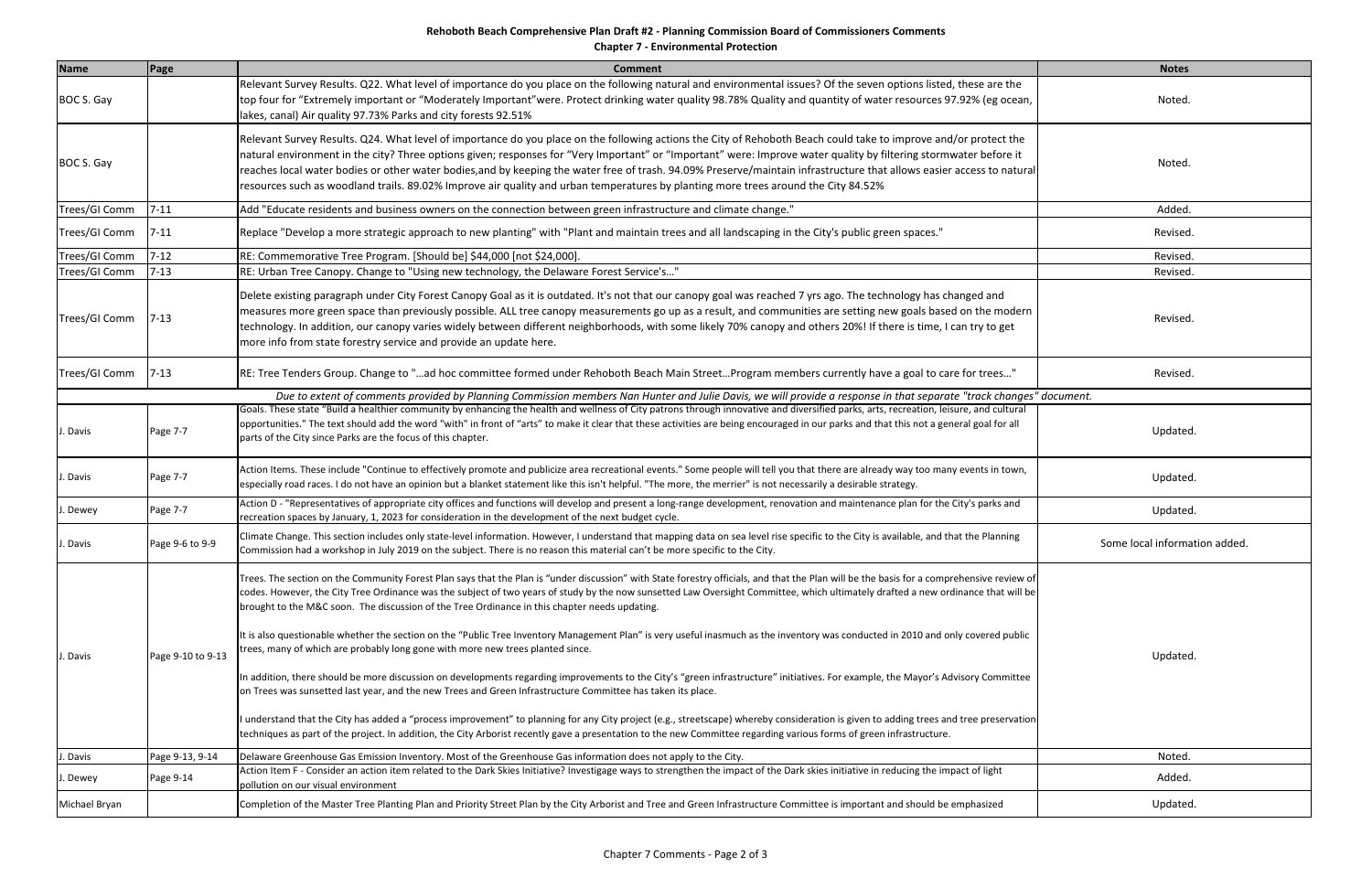**Chapter 7 ‐ Environmental Protection**

| <b>Name</b>   | Page              | <b>Comment</b>                                                                                                                                                                                                                                                                                                                                                                                                                                                                                                                                                                                                                                         | <b>Notes</b>                  |
|---------------|-------------------|--------------------------------------------------------------------------------------------------------------------------------------------------------------------------------------------------------------------------------------------------------------------------------------------------------------------------------------------------------------------------------------------------------------------------------------------------------------------------------------------------------------------------------------------------------------------------------------------------------------------------------------------------------|-------------------------------|
| BOC S. Gay    |                   | Relevant Survey Results. Q22. What level of importance do you place on the following natural and environmental issues? Of the seven options listed, these are the<br>top four for "Extremely important or "Moderately Important"were. Protect drinking water quality 98.78% Quality and quantity of water resources 97.92% (eg ocean,<br>lakes, canal) Air quality 97.73% Parks and city forests 92.51%                                                                                                                                                                                                                                                | Noted.                        |
| BOC S. Gay    |                   | Relevant Survey Results. Q24. What level of importance do you place on the following actions the City of Rehoboth Beach could take to improve and/or protect the<br>Inatural environment in the city? Three options given; responses for "Very Important" or "Important" were: Improve water quality by filtering stormwater before it<br>reaches local water bodies or other water bodies, and by keeping the water free of trash. 94.09% Preserve/maintain infrastructure that allows easier access to natural<br>resources such as woodland trails. 89.02% Improve air quality and urban temperatures by planting more trees around the City 84.52% | Noted.                        |
| Trees/GI Comm | $7 - 11$          | Add "Educate residents and business owners on the connection between green infrastructure and climate change."                                                                                                                                                                                                                                                                                                                                                                                                                                                                                                                                         | Added.                        |
| Trees/GI Comm | $7 - 11$          | Replace "Develop a more strategic approach to new planting" with "Plant and maintain trees and all landscaping in the City's public green spaces."                                                                                                                                                                                                                                                                                                                                                                                                                                                                                                     | Revised.                      |
| Trees/GI Comm | $7 - 12$          | RE: Commemorative Tree Program. [Should be] \$44,000 [not \$24,000].                                                                                                                                                                                                                                                                                                                                                                                                                                                                                                                                                                                   | Revised.                      |
| Trees/GI Comm | $7 - 13$          | RE: Urban Tree Canopy. Change to "Using new technology, the Delaware Forest Service's"                                                                                                                                                                                                                                                                                                                                                                                                                                                                                                                                                                 | Revised.                      |
| Trees/GI Comm | $7 - 13$          | Delete existing paragraph under City Forest Canopy Goal as it is outdated. It's not that our canopy goal was reached 7 yrs ago. The technology has changed and<br>measures more green space than previously possible. ALL tree canopy measurements go up as a result, and communities are setting new goals based on the modern<br>technology. In addition, our canopy varies widely between different neighborhoods, with some likely 70% canopy and others 20%! If there is time, I can try to get<br>more info from state forestry service and provide an update here.                                                                              | Revised.                      |
| Trees/GI Comm | $7 - 13$          | RE: Tree Tenders Group. Change to "ad hoc committee formed under Rehoboth Beach Main StreetProgram members currently have a goal to care for trees"                                                                                                                                                                                                                                                                                                                                                                                                                                                                                                    | Revised.                      |
|               |                   | Due to extent of comments provided by Planning Commission members Nan Hunter and Julie Davis, we will provide a response in that separate "track changes" document.                                                                                                                                                                                                                                                                                                                                                                                                                                                                                    |                               |
| J. Davis      | Page 7-7          | Goals. These state "Build a healthier community by enhancing the health and wellness of City patrons through innovative and diversified parks, arts, recreation, leisure, and cultural<br>opportunities." The text should add the word "with" in front of "arts" to make it clear that these activities are being encouraged in our parks and that this not a general goal for all<br>parts of the City since Parks are the focus of this chapter.                                                                                                                                                                                                     | Updated.                      |
| J. Davis      | Page 7-7          | Action Items. These include "Continue to effectively promote and publicize area recreational events." Some people will tell you that there are already way too many events in town,<br>especially road races. I do not have an opinion but a blanket statement like this isn't helpful. "The more, the merrier" is not necessarily a desirable strategy.                                                                                                                                                                                                                                                                                               | Updated.                      |
| J. Dewey      | Page 7-7          | Action D - "Representatives of appropriate city offices and functions will develop and present a long-range development, renovation and maintenance plan for the City's parks and<br>recreation spaces by January, 1, 2023 for consideration in the development of the next budget cycle.                                                                                                                                                                                                                                                                                                                                                              | Updated.                      |
| J. Davis      | Page 9-6 to 9-9   | Climate Change. This section includes only state-level information. However, I understand that mapping data on sea level rise specific to the City is available, and that the Planning<br>Commission had a workshop in July 2019 on the subject. There is no reason this material can't be more specific to the City.                                                                                                                                                                                                                                                                                                                                  | Some local information added. |
| J. Davis      | Page 9-10 to 9-13 | Trees. The section on the Community Forest Plan says that the Plan is "under discussion" with State forestry officials, and that the Plan will be the basis for a comprehensive review of<br>codes. However, the City Tree Ordinance was the subject of two years of study by the now sunsetted Law Oversight Committee, which ultimately drafted a new ordinance that will be<br>brought to the M&C soon. The discussion of the Tree Ordinance in this chapter needs updating.                                                                                                                                                                        |                               |
|               |                   | It is also questionable whether the section on the "Public Tree Inventory Management Plan" is very useful inasmuch as the inventory was conducted in 2010 and only covered public<br>trees, many of which are probably long gone with more new trees planted since.                                                                                                                                                                                                                                                                                                                                                                                    | Updated.                      |
|               |                   | In addition, there should be more discussion on developments regarding improvements to the City's "green infrastructure" initiatives. For example, the Mayor's Advisory Committee<br>on Trees was sunsetted last year, and the new Trees and Green Infrastructure Committee has taken its place.                                                                                                                                                                                                                                                                                                                                                       |                               |
|               |                   | I understand that the City has added a "process improvement" to planning for any City project (e.g., streetscape) whereby consideration is given to adding trees and tree preservation<br>techniques as part of the project. In addition, the City Arborist recently gave a presentation to the new Committee regarding various forms of green infrastructure.                                                                                                                                                                                                                                                                                         |                               |
| J. Davis      | Page 9-13, 9-14   | Delaware Greenhouse Gas Emission Inventory. Most of the Greenhouse Gas information does not apply to the City.                                                                                                                                                                                                                                                                                                                                                                                                                                                                                                                                         | Noted.                        |
| J. Dewey      | Page 9-14         | Action Item F - Consider an action item related to the Dark Skies Initiative? Investigage ways to strengthen the impact of the Dark skies initiative in reducing the impact of light<br>pollution on our visual environment                                                                                                                                                                                                                                                                                                                                                                                                                            | Added.                        |
| Michael Bryan |                   | Completion of the Master Tree Planting Plan and Priority Street Plan by the City Arborist and Tree and Green Infrastructure Committee is important and should be emphasized                                                                                                                                                                                                                                                                                                                                                                                                                                                                            | Updated.                      |